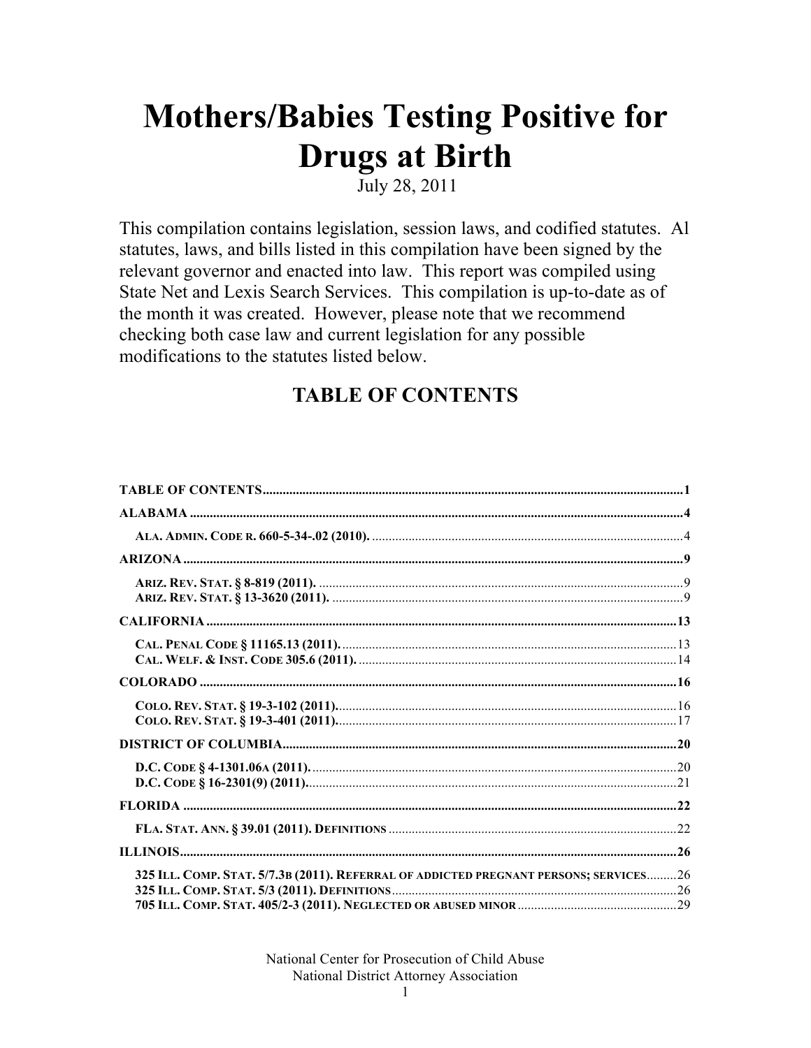# **Mothers/Babies Testing Positive for Drugs at Birth**

July 28, 2011

This compilation contains legislation, session laws, and codified statutes. All statutes, laws, and bills listed in this compilation have been signed by the relevant governor and enacted into law. This report was compiled using State Net and Lexis Search Services. This compilation is up-to-date as of the month it was created. However, please note that we recommend checking both case law and current legislation for any possible modifications to the statutes listed below.

# **TABLE OF CONTENTS**

| 325 ILL. COMP. STAT. 5/7.3B (2011). REFERRAL OF ADDICTED PREGNANT PERSONS; SERVICES26 |  |
|---------------------------------------------------------------------------------------|--|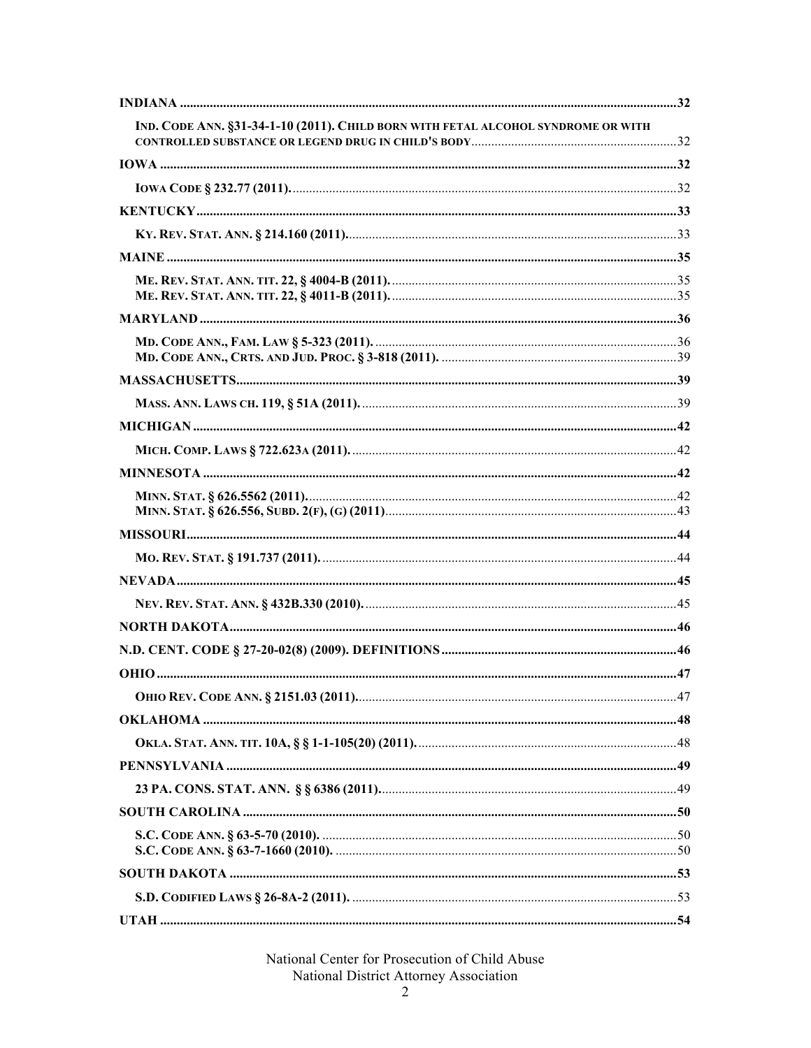| IND. CODE ANN. §31-34-1-10 (2011). CHILD BORN WITH FETAL ALCOHOL SYNDROME OR WITH |  |
|-----------------------------------------------------------------------------------|--|
|                                                                                   |  |
|                                                                                   |  |
|                                                                                   |  |
|                                                                                   |  |
|                                                                                   |  |
|                                                                                   |  |
|                                                                                   |  |
|                                                                                   |  |
|                                                                                   |  |
|                                                                                   |  |
|                                                                                   |  |
|                                                                                   |  |
|                                                                                   |  |
|                                                                                   |  |
|                                                                                   |  |
|                                                                                   |  |
|                                                                                   |  |
|                                                                                   |  |
|                                                                                   |  |
|                                                                                   |  |
|                                                                                   |  |
|                                                                                   |  |
|                                                                                   |  |
|                                                                                   |  |
|                                                                                   |  |
|                                                                                   |  |
|                                                                                   |  |
|                                                                                   |  |
|                                                                                   |  |
|                                                                                   |  |
|                                                                                   |  |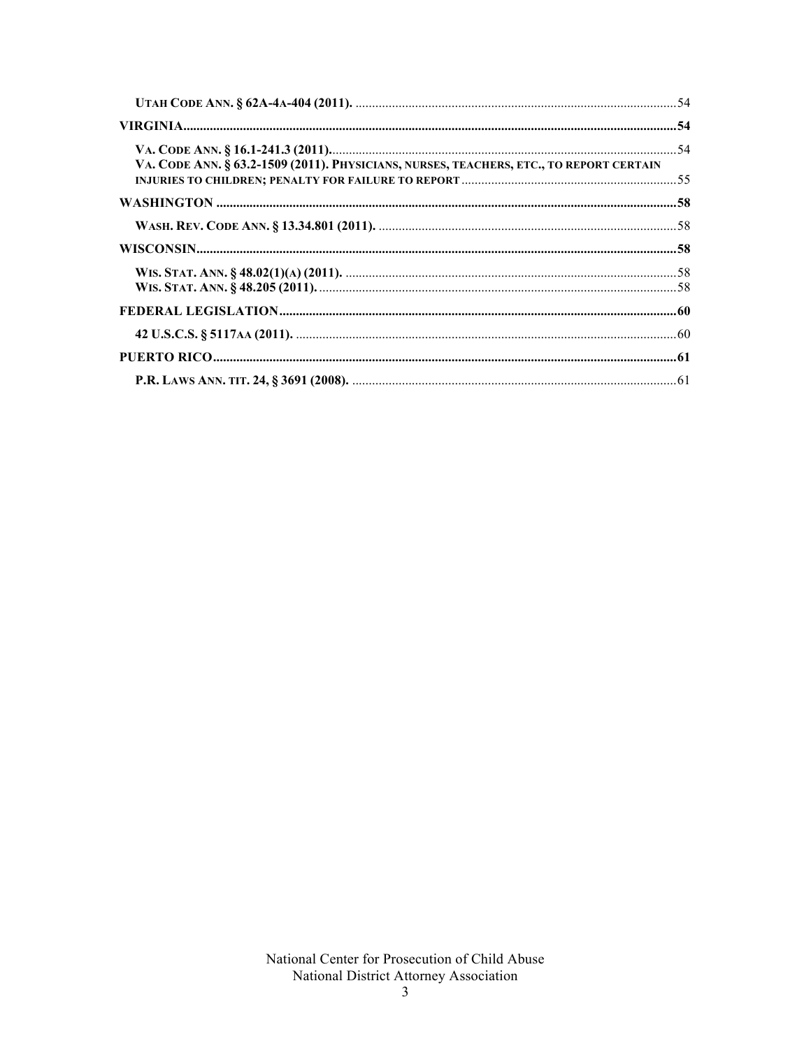| VA. CODE ANN. § 63.2-1509 (2011). PHYSICIANS, NURSES, TEACHERS, ETC., TO REPORT CERTAIN |  |
|-----------------------------------------------------------------------------------------|--|
|                                                                                         |  |
|                                                                                         |  |
|                                                                                         |  |
|                                                                                         |  |
|                                                                                         |  |
|                                                                                         |  |
|                                                                                         |  |
|                                                                                         |  |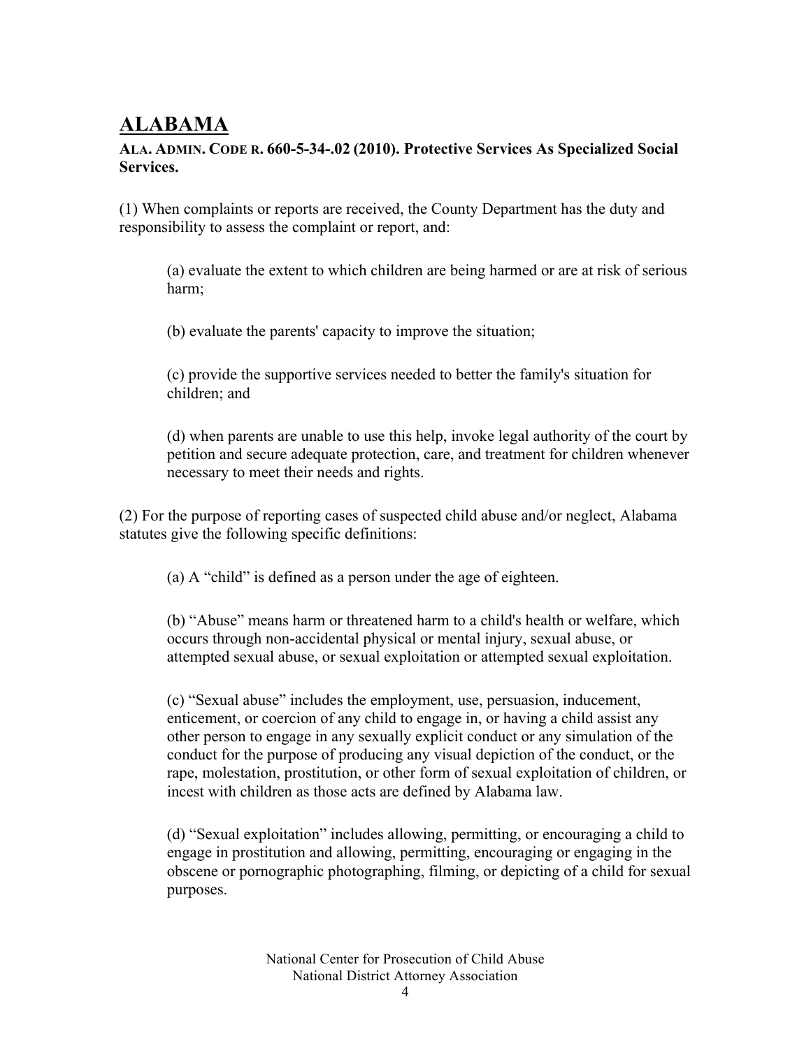# **ALABAMA**

### **ALA. ADMIN. CODE R. 660-5-34-.02 (2010). Protective Services As Specialized Social Services.**

(1) When complaints or reports are received, the County Department has the duty and responsibility to assess the complaint or report, and:

(a) evaluate the extent to which children are being harmed or are at risk of serious harm;

(b) evaluate the parents' capacity to improve the situation;

(c) provide the supportive services needed to better the family's situation for children; and

(d) when parents are unable to use this help, invoke legal authority of the court by petition and secure adequate protection, care, and treatment for children whenever necessary to meet their needs and rights.

(2) For the purpose of reporting cases of suspected child abuse and/or neglect, Alabama statutes give the following specific definitions:

(a) A "child" is defined as a person under the age of eighteen.

(b) "Abuse" means harm or threatened harm to a child's health or welfare, which occurs through non-accidental physical or mental injury, sexual abuse, or attempted sexual abuse, or sexual exploitation or attempted sexual exploitation.

(c) "Sexual abuse" includes the employment, use, persuasion, inducement, enticement, or coercion of any child to engage in, or having a child assist any other person to engage in any sexually explicit conduct or any simulation of the conduct for the purpose of producing any visual depiction of the conduct, or the rape, molestation, prostitution, or other form of sexual exploitation of children, or incest with children as those acts are defined by Alabama law.

(d) "Sexual exploitation" includes allowing, permitting, or encouraging a child to engage in prostitution and allowing, permitting, encouraging or engaging in the obscene or pornographic photographing, filming, or depicting of a child for sexual purposes.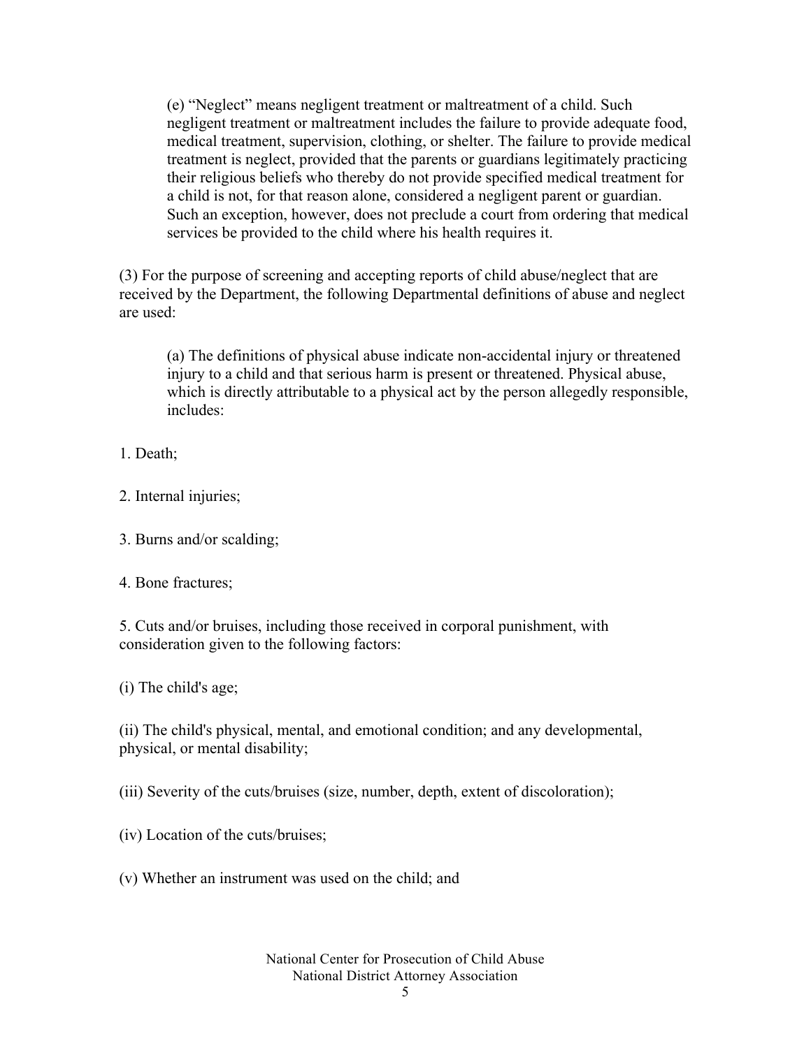(e) "Neglect" means negligent treatment or maltreatment of a child. Such negligent treatment or maltreatment includes the failure to provide adequate food, medical treatment, supervision, clothing, or shelter. The failure to provide medical treatment is neglect, provided that the parents or guardians legitimately practicing their religious beliefs who thereby do not provide specified medical treatment for a child is not, for that reason alone, considered a negligent parent or guardian. Such an exception, however, does not preclude a court from ordering that medical services be provided to the child where his health requires it.

(3) For the purpose of screening and accepting reports of child abuse/neglect that are received by the Department, the following Departmental definitions of abuse and neglect are used:

(a) The definitions of physical abuse indicate non-accidental injury or threatened injury to a child and that serious harm is present or threatened. Physical abuse, which is directly attributable to a physical act by the person allegedly responsible, includes:

1. Death;

- 2. Internal injuries;
- 3. Burns and/or scalding;
- 4. Bone fractures;

5. Cuts and/or bruises, including those received in corporal punishment, with consideration given to the following factors:

(i) The child's age;

(ii) The child's physical, mental, and emotional condition; and any developmental, physical, or mental disability;

(iii) Severity of the cuts/bruises (size, number, depth, extent of discoloration);

(iv) Location of the cuts/bruises;

(v) Whether an instrument was used on the child; and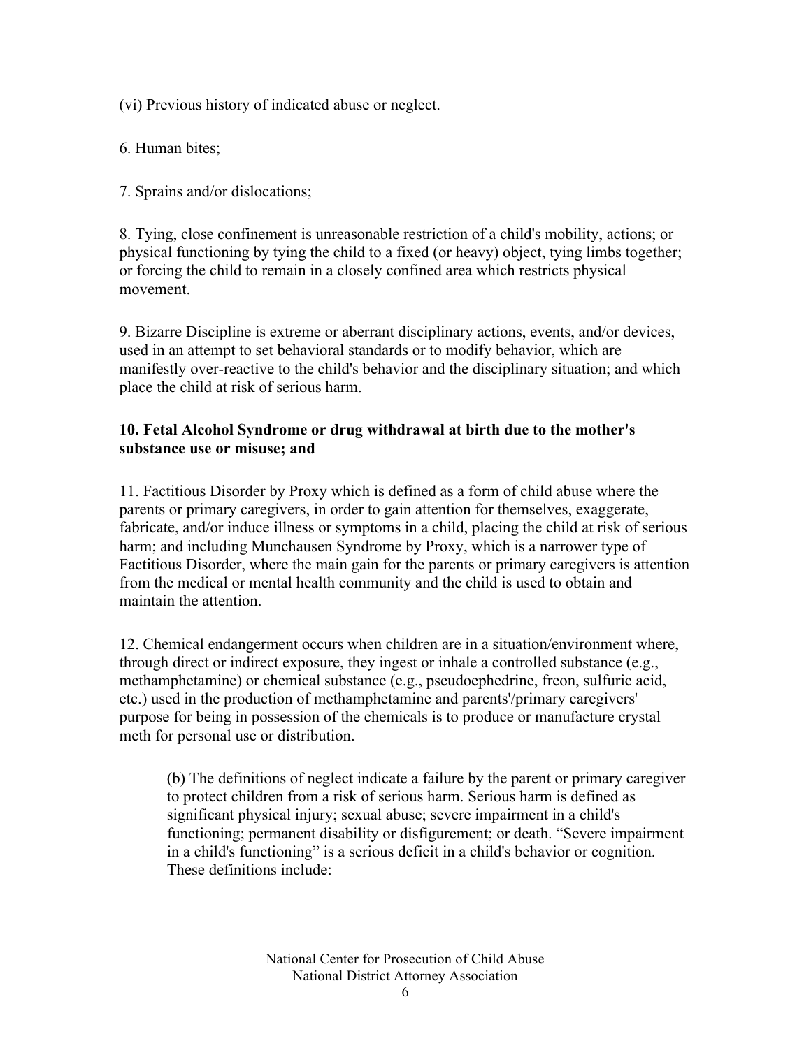(vi) Previous history of indicated abuse or neglect.

6. Human bites;

7. Sprains and/or dislocations;

8. Tying, close confinement is unreasonable restriction of a child's mobility, actions; or physical functioning by tying the child to a fixed (or heavy) object, tying limbs together; or forcing the child to remain in a closely confined area which restricts physical movement.

9. Bizarre Discipline is extreme or aberrant disciplinary actions, events, and/or devices, used in an attempt to set behavioral standards or to modify behavior, which are manifestly over-reactive to the child's behavior and the disciplinary situation; and which place the child at risk of serious harm.

#### **10. Fetal Alcohol Syndrome or drug withdrawal at birth due to the mother's substance use or misuse; and**

11. Factitious Disorder by Proxy which is defined as a form of child abuse where the parents or primary caregivers, in order to gain attention for themselves, exaggerate, fabricate, and/or induce illness or symptoms in a child, placing the child at risk of serious harm; and including Munchausen Syndrome by Proxy, which is a narrower type of Factitious Disorder, where the main gain for the parents or primary caregivers is attention from the medical or mental health community and the child is used to obtain and maintain the attention.

12. Chemical endangerment occurs when children are in a situation/environment where, through direct or indirect exposure, they ingest or inhale a controlled substance (e.g., methamphetamine) or chemical substance (e.g., pseudoephedrine, freon, sulfuric acid, etc.) used in the production of methamphetamine and parents'/primary caregivers' purpose for being in possession of the chemicals is to produce or manufacture crystal meth for personal use or distribution.

(b) The definitions of neglect indicate a failure by the parent or primary caregiver to protect children from a risk of serious harm. Serious harm is defined as significant physical injury; sexual abuse; severe impairment in a child's functioning; permanent disability or disfigurement; or death. "Severe impairment in a child's functioning" is a serious deficit in a child's behavior or cognition. These definitions include: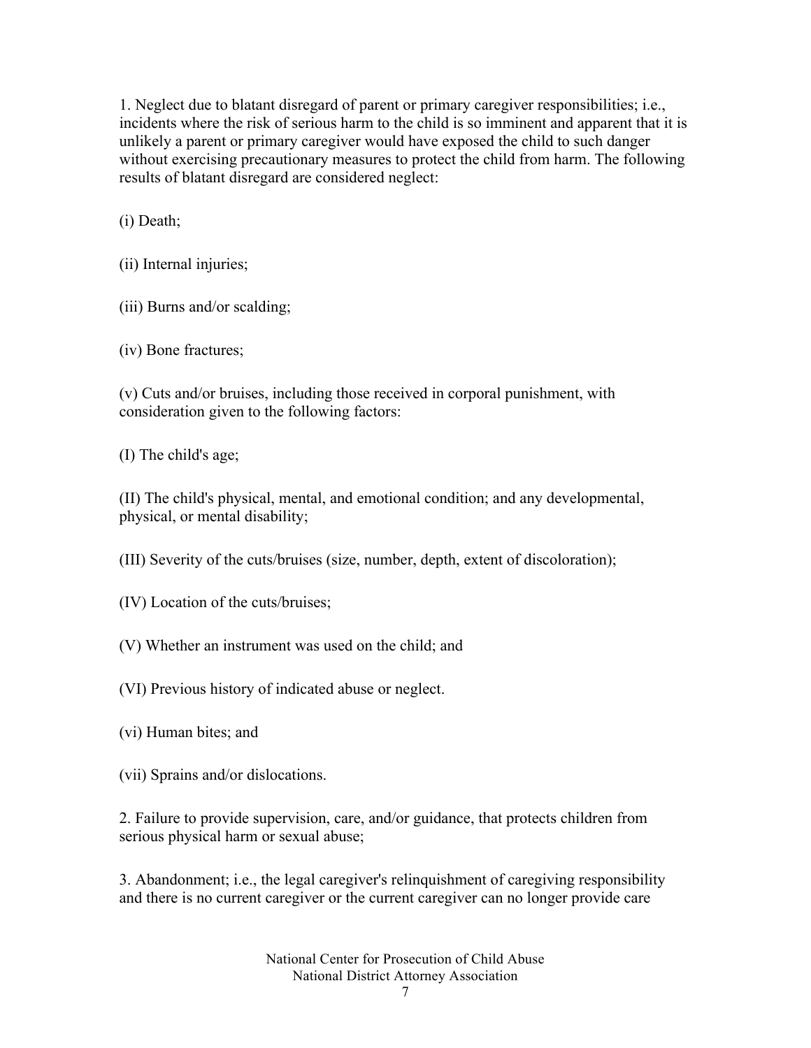1. Neglect due to blatant disregard of parent or primary caregiver responsibilities; i.e., incidents where the risk of serious harm to the child is so imminent and apparent that it is unlikely a parent or primary caregiver would have exposed the child to such danger without exercising precautionary measures to protect the child from harm. The following results of blatant disregard are considered neglect:

(i) Death;

(ii) Internal injuries;

(iii) Burns and/or scalding;

(iv) Bone fractures;

(v) Cuts and/or bruises, including those received in corporal punishment, with consideration given to the following factors:

(I) The child's age;

(II) The child's physical, mental, and emotional condition; and any developmental, physical, or mental disability;

(III) Severity of the cuts/bruises (size, number, depth, extent of discoloration);

- (IV) Location of the cuts/bruises;
- (V) Whether an instrument was used on the child; and
- (VI) Previous history of indicated abuse or neglect.
- (vi) Human bites; and
- (vii) Sprains and/or dislocations.

2. Failure to provide supervision, care, and/or guidance, that protects children from serious physical harm or sexual abuse;

3. Abandonment; i.e., the legal caregiver's relinquishment of caregiving responsibility and there is no current caregiver or the current caregiver can no longer provide care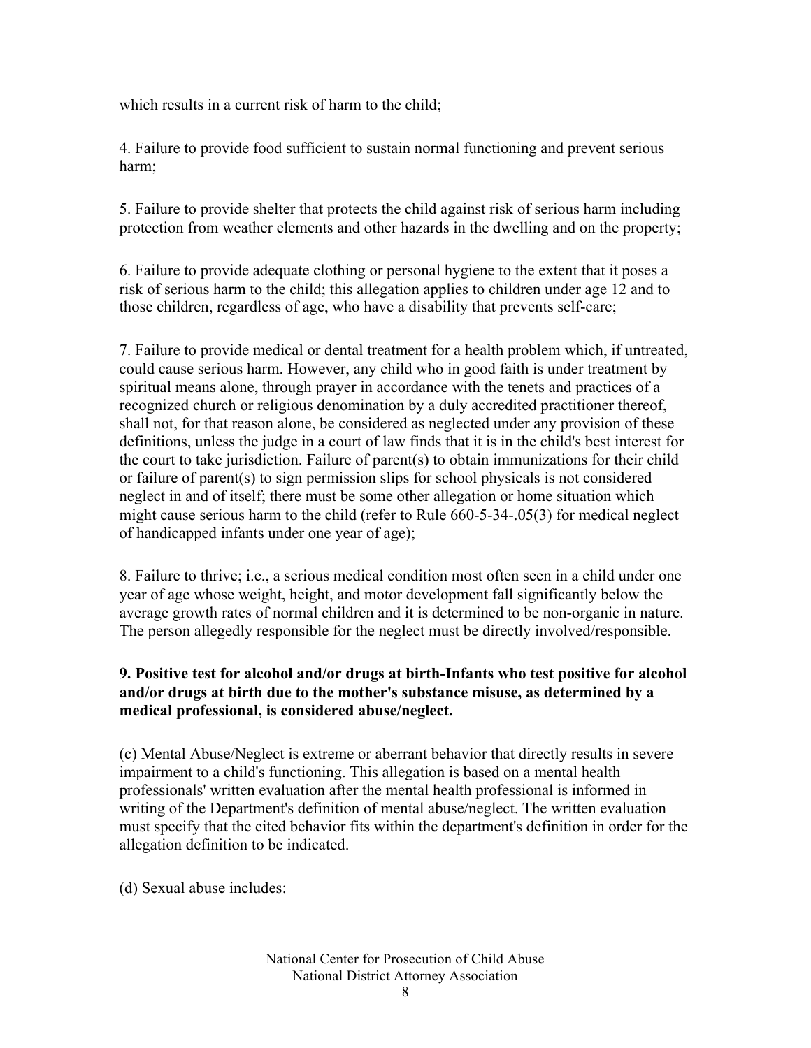which results in a current risk of harm to the child;

4. Failure to provide food sufficient to sustain normal functioning and prevent serious harm;

5. Failure to provide shelter that protects the child against risk of serious harm including protection from weather elements and other hazards in the dwelling and on the property;

6. Failure to provide adequate clothing or personal hygiene to the extent that it poses a risk of serious harm to the child; this allegation applies to children under age 12 and to those children, regardless of age, who have a disability that prevents self-care;

7. Failure to provide medical or dental treatment for a health problem which, if untreated, could cause serious harm. However, any child who in good faith is under treatment by spiritual means alone, through prayer in accordance with the tenets and practices of a recognized church or religious denomination by a duly accredited practitioner thereof, shall not, for that reason alone, be considered as neglected under any provision of these definitions, unless the judge in a court of law finds that it is in the child's best interest for the court to take jurisdiction. Failure of parent(s) to obtain immunizations for their child or failure of parent(s) to sign permission slips for school physicals is not considered neglect in and of itself; there must be some other allegation or home situation which might cause serious harm to the child (refer to Rule 660-5-34-.05(3) for medical neglect of handicapped infants under one year of age);

8. Failure to thrive; i.e., a serious medical condition most often seen in a child under one year of age whose weight, height, and motor development fall significantly below the average growth rates of normal children and it is determined to be non-organic in nature. The person allegedly responsible for the neglect must be directly involved/responsible.

### **9. Positive test for alcohol and/or drugs at birth-Infants who test positive for alcohol and/or drugs at birth due to the mother's substance misuse, as determined by a medical professional, is considered abuse/neglect.**

(c) Mental Abuse/Neglect is extreme or aberrant behavior that directly results in severe impairment to a child's functioning. This allegation is based on a mental health professionals' written evaluation after the mental health professional is informed in writing of the Department's definition of mental abuse/neglect. The written evaluation must specify that the cited behavior fits within the department's definition in order for the allegation definition to be indicated.

(d) Sexual abuse includes: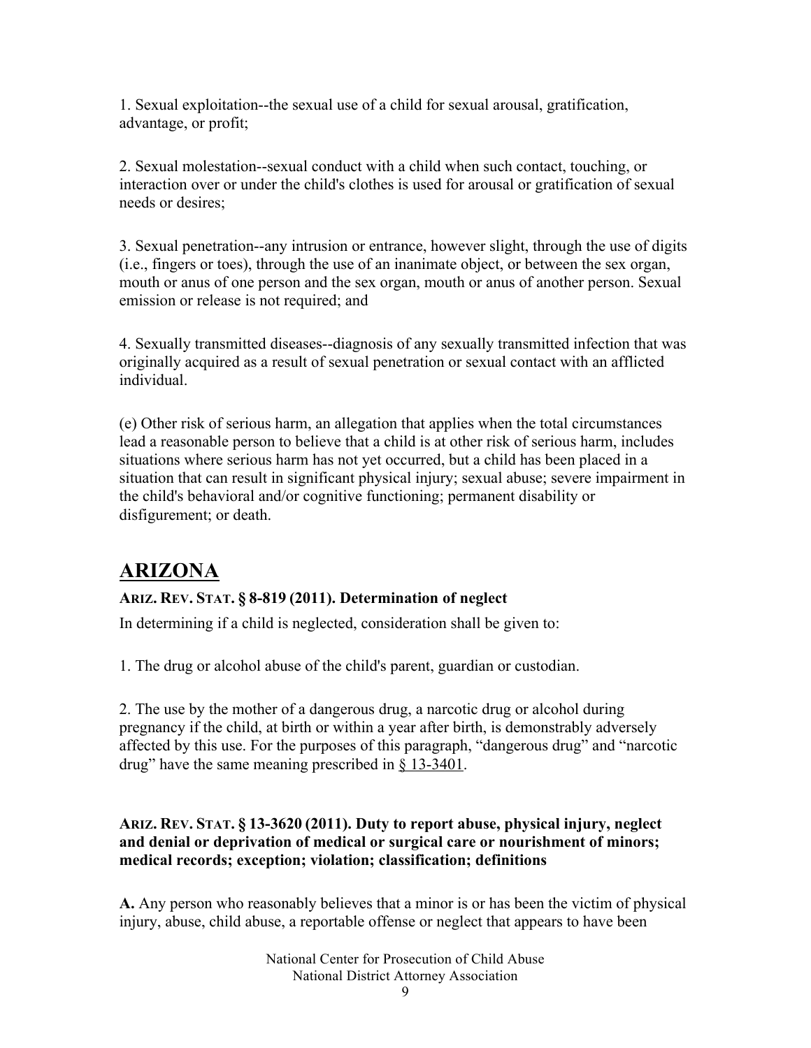1. Sexual exploitation--the sexual use of a child for sexual arousal, gratification, advantage, or profit;

2. Sexual molestation--sexual conduct with a child when such contact, touching, or interaction over or under the child's clothes is used for arousal or gratification of sexual needs or desires;

3. Sexual penetration--any intrusion or entrance, however slight, through the use of digits (i.e., fingers or toes), through the use of an inanimate object, or between the sex organ, mouth or anus of one person and the sex organ, mouth or anus of another person. Sexual emission or release is not required; and

4. Sexually transmitted diseases--diagnosis of any sexually transmitted infection that was originally acquired as a result of sexual penetration or sexual contact with an afflicted individual.

(e) Other risk of serious harm, an allegation that applies when the total circumstances lead a reasonable person to believe that a child is at other risk of serious harm, includes situations where serious harm has not yet occurred, but a child has been placed in a situation that can result in significant physical injury; sexual abuse; severe impairment in the child's behavioral and/or cognitive functioning; permanent disability or disfigurement; or death.

# **ARIZONA**

### **ARIZ. REV. STAT. § 8-819 (2011). Determination of neglect**

In determining if a child is neglected, consideration shall be given to:

1. The drug or alcohol abuse of the child's parent, guardian or custodian.

2. The use by the mother of a dangerous drug, a narcotic drug or alcohol during pregnancy if the child, at birth or within a year after birth, is demonstrably adversely affected by this use. For the purposes of this paragraph, "dangerous drug" and "narcotic drug" have the same meaning prescribed in  $\S$  13-3401.

### **ARIZ. REV. STAT. § 13-3620 (2011). Duty to report abuse, physical injury, neglect and denial or deprivation of medical or surgical care or nourishment of minors; medical records; exception; violation; classification; definitions**

**A.** Any person who reasonably believes that a minor is or has been the victim of physical injury, abuse, child abuse, a reportable offense or neglect that appears to have been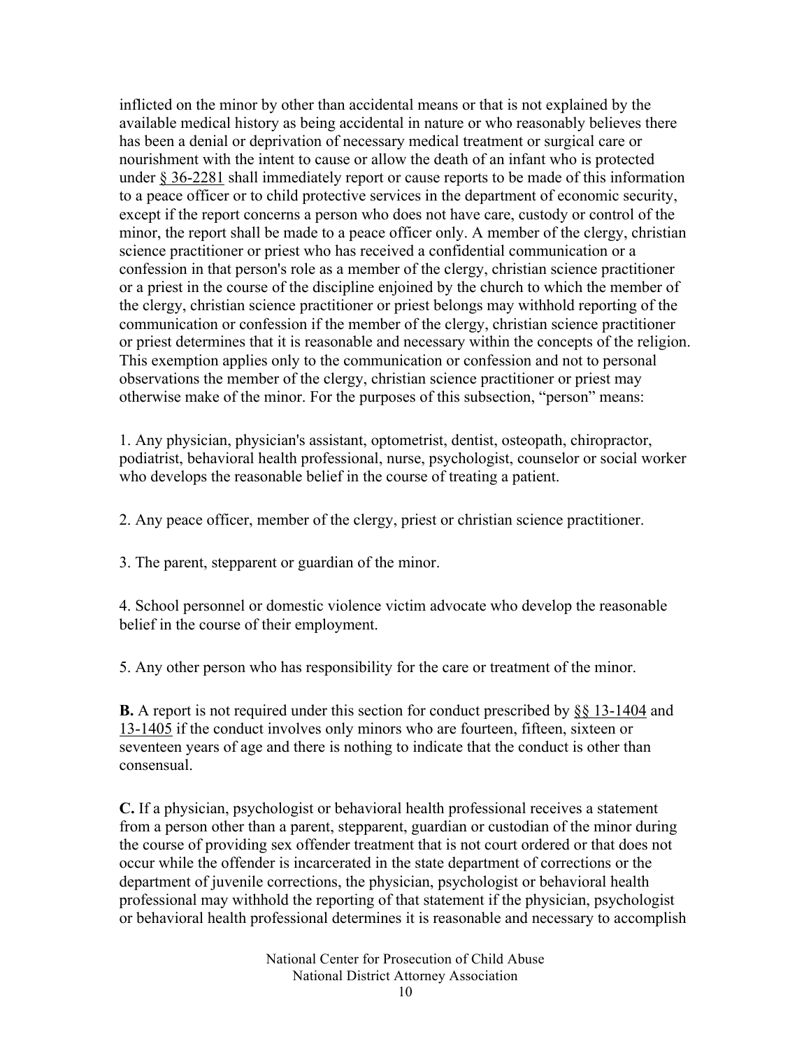inflicted on the minor by other than accidental means or that is not explained by the available medical history as being accidental in nature or who reasonably believes there has been a denial or deprivation of necessary medical treatment or surgical care or nourishment with the intent to cause or allow the death of an infant who is protected under § 36-2281 shall immediately report or cause reports to be made of this information to a peace officer or to child protective services in the department of economic security, except if the report concerns a person who does not have care, custody or control of the minor, the report shall be made to a peace officer only. A member of the clergy, christian science practitioner or priest who has received a confidential communication or a confession in that person's role as a member of the clergy, christian science practitioner or a priest in the course of the discipline enjoined by the church to which the member of the clergy, christian science practitioner or priest belongs may withhold reporting of the communication or confession if the member of the clergy, christian science practitioner or priest determines that it is reasonable and necessary within the concepts of the religion. This exemption applies only to the communication or confession and not to personal observations the member of the clergy, christian science practitioner or priest may otherwise make of the minor. For the purposes of this subsection, "person" means:

1. Any physician, physician's assistant, optometrist, dentist, osteopath, chiropractor, podiatrist, behavioral health professional, nurse, psychologist, counselor or social worker who develops the reasonable belief in the course of treating a patient.

2. Any peace officer, member of the clergy, priest or christian science practitioner.

3. The parent, stepparent or guardian of the minor.

4. School personnel or domestic violence victim advocate who develop the reasonable belief in the course of their employment.

5. Any other person who has responsibility for the care or treatment of the minor.

**B.** A report is not required under this section for conduct prescribed by §§ 13-1404 and 13-1405 if the conduct involves only minors who are fourteen, fifteen, sixteen or seventeen years of age and there is nothing to indicate that the conduct is other than consensual.

**C.** If a physician, psychologist or behavioral health professional receives a statement from a person other than a parent, stepparent, guardian or custodian of the minor during the course of providing sex offender treatment that is not court ordered or that does not occur while the offender is incarcerated in the state department of corrections or the department of juvenile corrections, the physician, psychologist or behavioral health professional may withhold the reporting of that statement if the physician, psychologist or behavioral health professional determines it is reasonable and necessary to accomplish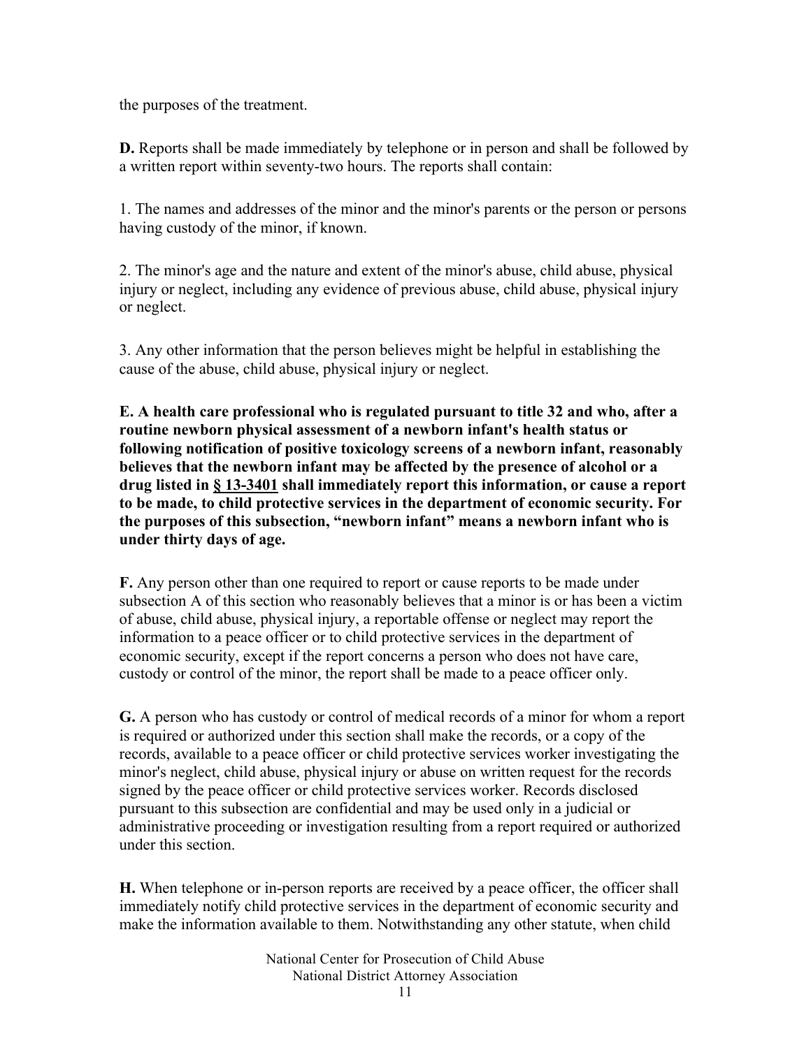the purposes of the treatment.

**D.** Reports shall be made immediately by telephone or in person and shall be followed by a written report within seventy-two hours. The reports shall contain:

1. The names and addresses of the minor and the minor's parents or the person or persons having custody of the minor, if known.

2. The minor's age and the nature and extent of the minor's abuse, child abuse, physical injury or neglect, including any evidence of previous abuse, child abuse, physical injury or neglect.

3. Any other information that the person believes might be helpful in establishing the cause of the abuse, child abuse, physical injury or neglect.

**E. A health care professional who is regulated pursuant to title 32 and who, after a routine newborn physical assessment of a newborn infant's health status or following notification of positive toxicology screens of a newborn infant, reasonably believes that the newborn infant may be affected by the presence of alcohol or a drug listed in § 13-3401 shall immediately report this information, or cause a report to be made, to child protective services in the department of economic security. For the purposes of this subsection, "newborn infant" means a newborn infant who is under thirty days of age.**

**F.** Any person other than one required to report or cause reports to be made under subsection A of this section who reasonably believes that a minor is or has been a victim of abuse, child abuse, physical injury, a reportable offense or neglect may report the information to a peace officer or to child protective services in the department of economic security, except if the report concerns a person who does not have care, custody or control of the minor, the report shall be made to a peace officer only.

**G.** A person who has custody or control of medical records of a minor for whom a report is required or authorized under this section shall make the records, or a copy of the records, available to a peace officer or child protective services worker investigating the minor's neglect, child abuse, physical injury or abuse on written request for the records signed by the peace officer or child protective services worker. Records disclosed pursuant to this subsection are confidential and may be used only in a judicial or administrative proceeding or investigation resulting from a report required or authorized under this section.

**H.** When telephone or in-person reports are received by a peace officer, the officer shall immediately notify child protective services in the department of economic security and make the information available to them. Notwithstanding any other statute, when child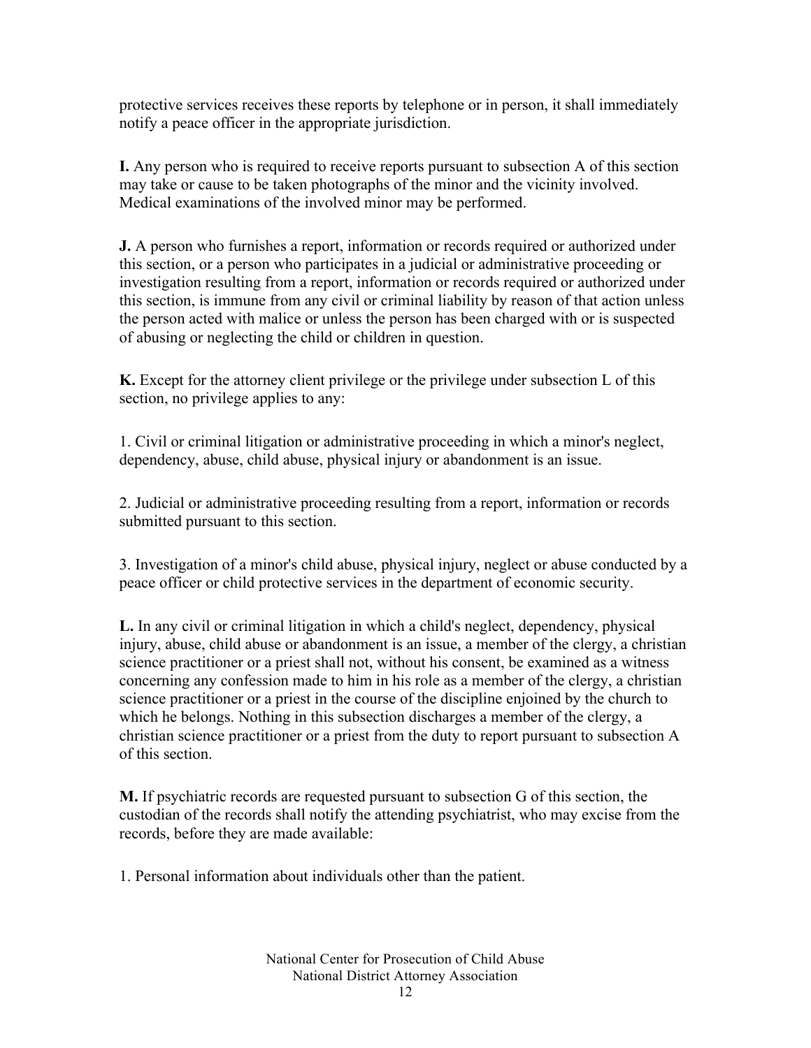protective services receives these reports by telephone or in person, it shall immediately notify a peace officer in the appropriate jurisdiction.

**I.** Any person who is required to receive reports pursuant to subsection A of this section may take or cause to be taken photographs of the minor and the vicinity involved. Medical examinations of the involved minor may be performed.

**J.** A person who furnishes a report, information or records required or authorized under this section, or a person who participates in a judicial or administrative proceeding or investigation resulting from a report, information or records required or authorized under this section, is immune from any civil or criminal liability by reason of that action unless the person acted with malice or unless the person has been charged with or is suspected of abusing or neglecting the child or children in question.

**K.** Except for the attorney client privilege or the privilege under subsection L of this section, no privilege applies to any:

1. Civil or criminal litigation or administrative proceeding in which a minor's neglect, dependency, abuse, child abuse, physical injury or abandonment is an issue.

2. Judicial or administrative proceeding resulting from a report, information or records submitted pursuant to this section.

3. Investigation of a minor's child abuse, physical injury, neglect or abuse conducted by a peace officer or child protective services in the department of economic security.

**L.** In any civil or criminal litigation in which a child's neglect, dependency, physical injury, abuse, child abuse or abandonment is an issue, a member of the clergy, a christian science practitioner or a priest shall not, without his consent, be examined as a witness concerning any confession made to him in his role as a member of the clergy, a christian science practitioner or a priest in the course of the discipline enjoined by the church to which he belongs. Nothing in this subsection discharges a member of the clergy, a christian science practitioner or a priest from the duty to report pursuant to subsection A of this section.

**M.** If psychiatric records are requested pursuant to subsection G of this section, the custodian of the records shall notify the attending psychiatrist, who may excise from the records, before they are made available:

1. Personal information about individuals other than the patient.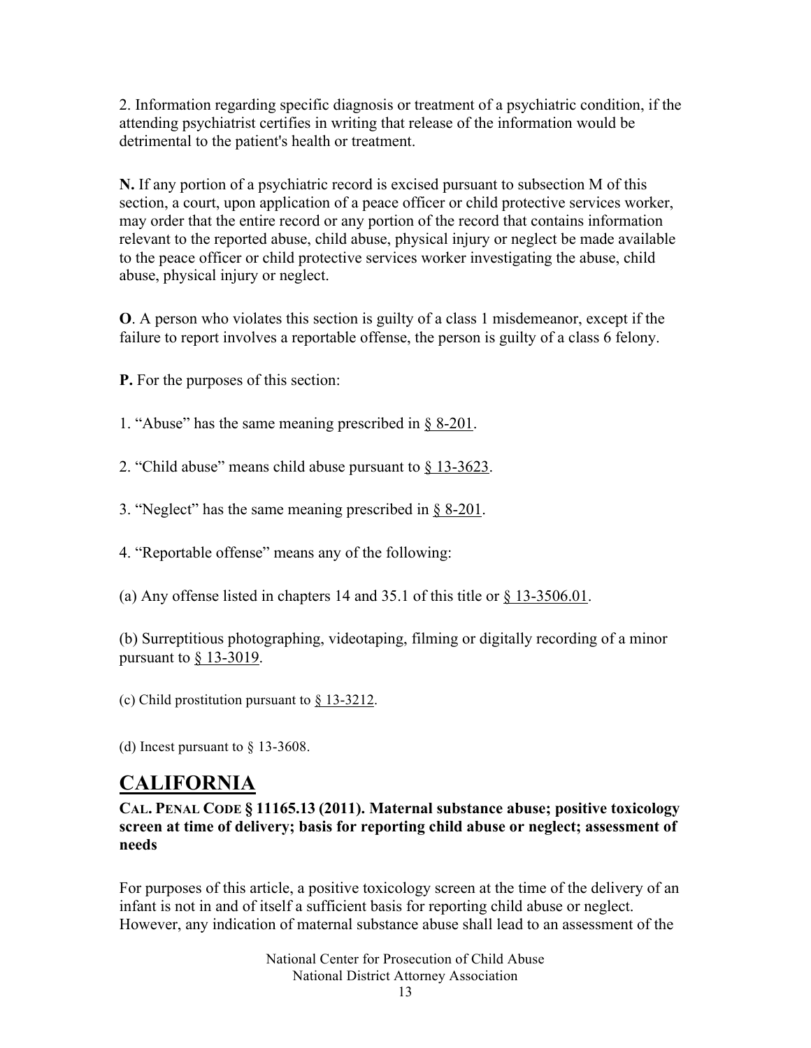2. Information regarding specific diagnosis or treatment of a psychiatric condition, if the attending psychiatrist certifies in writing that release of the information would be detrimental to the patient's health or treatment.

**N.** If any portion of a psychiatric record is excised pursuant to subsection M of this section, a court, upon application of a peace officer or child protective services worker, may order that the entire record or any portion of the record that contains information relevant to the reported abuse, child abuse, physical injury or neglect be made available to the peace officer or child protective services worker investigating the abuse, child abuse, physical injury or neglect.

**O**. A person who violates this section is guilty of a class 1 misdemeanor, except if the failure to report involves a reportable offense, the person is guilty of a class 6 felony.

**P.** For the purposes of this section:

1. "Abuse" has the same meaning prescribed in § 8-201.

2. "Child abuse" means child abuse pursuant to § 13-3623.

3. "Neglect" has the same meaning prescribed in § 8-201.

4. "Reportable offense" means any of the following:

(a) Any offense listed in chapters 14 and 35.1 of this title or  $\S$  13-3506.01.

(b) Surreptitious photographing, videotaping, filming or digitally recording of a minor pursuant to § 13-3019.

(c) Child prostitution pursuant to  $\S$  13-3212.

(d) Incest pursuant to  $\S$  13-3608.

# **CALIFORNIA**

**CAL. PENAL CODE § 11165.13 (2011). Maternal substance abuse; positive toxicology screen at time of delivery; basis for reporting child abuse or neglect; assessment of needs**

For purposes of this article, a positive toxicology screen at the time of the delivery of an infant is not in and of itself a sufficient basis for reporting child abuse or neglect. However, any indication of maternal substance abuse shall lead to an assessment of the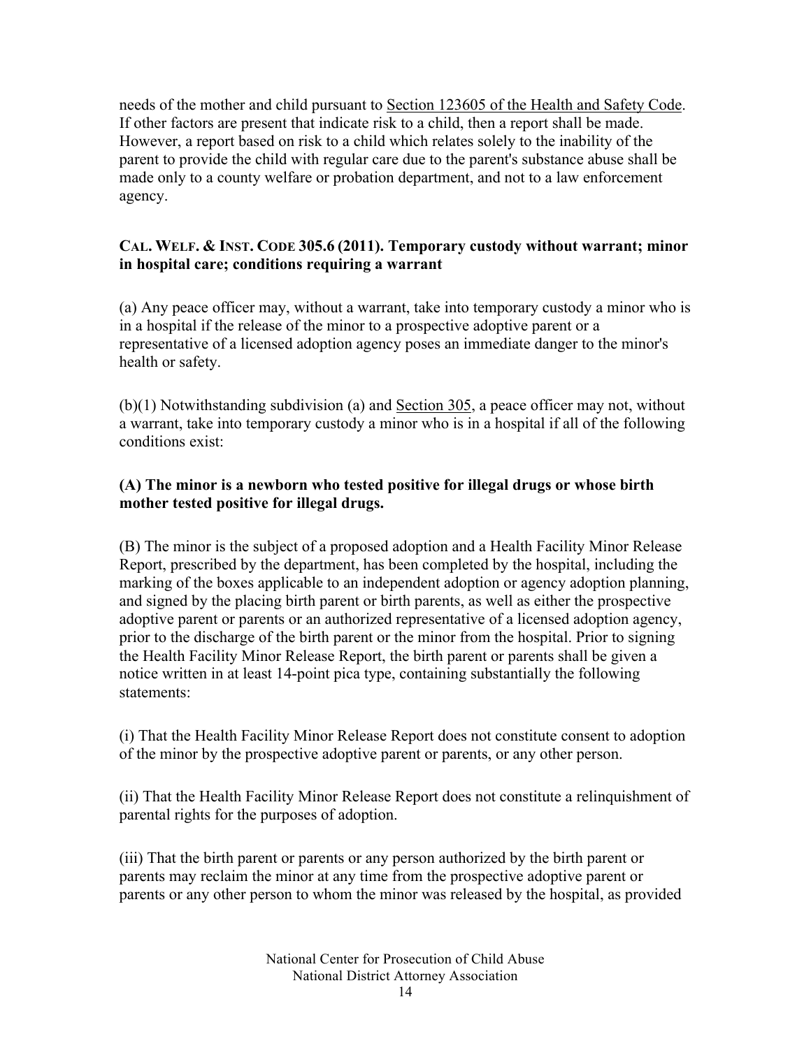needs of the mother and child pursuant to Section 123605 of the Health and Safety Code. If other factors are present that indicate risk to a child, then a report shall be made. However, a report based on risk to a child which relates solely to the inability of the parent to provide the child with regular care due to the parent's substance abuse shall be made only to a county welfare or probation department, and not to a law enforcement agency.

#### **CAL. WELF. & INST. CODE 305.6 (2011). Temporary custody without warrant; minor in hospital care; conditions requiring a warrant**

(a) Any peace officer may, without a warrant, take into temporary custody a minor who is in a hospital if the release of the minor to a prospective adoptive parent or a representative of a licensed adoption agency poses an immediate danger to the minor's health or safety.

 $(b)(1)$  Notwithstanding subdivision (a) and Section 305, a peace officer may not, without a warrant, take into temporary custody a minor who is in a hospital if all of the following conditions exist:

### **(A) The minor is a newborn who tested positive for illegal drugs or whose birth mother tested positive for illegal drugs.**

(B) The minor is the subject of a proposed adoption and a Health Facility Minor Release Report, prescribed by the department, has been completed by the hospital, including the marking of the boxes applicable to an independent adoption or agency adoption planning, and signed by the placing birth parent or birth parents, as well as either the prospective adoptive parent or parents or an authorized representative of a licensed adoption agency, prior to the discharge of the birth parent or the minor from the hospital. Prior to signing the Health Facility Minor Release Report, the birth parent or parents shall be given a notice written in at least 14-point pica type, containing substantially the following statements:

(i) That the Health Facility Minor Release Report does not constitute consent to adoption of the minor by the prospective adoptive parent or parents, or any other person.

(ii) That the Health Facility Minor Release Report does not constitute a relinquishment of parental rights for the purposes of adoption.

(iii) That the birth parent or parents or any person authorized by the birth parent or parents may reclaim the minor at any time from the prospective adoptive parent or parents or any other person to whom the minor was released by the hospital, as provided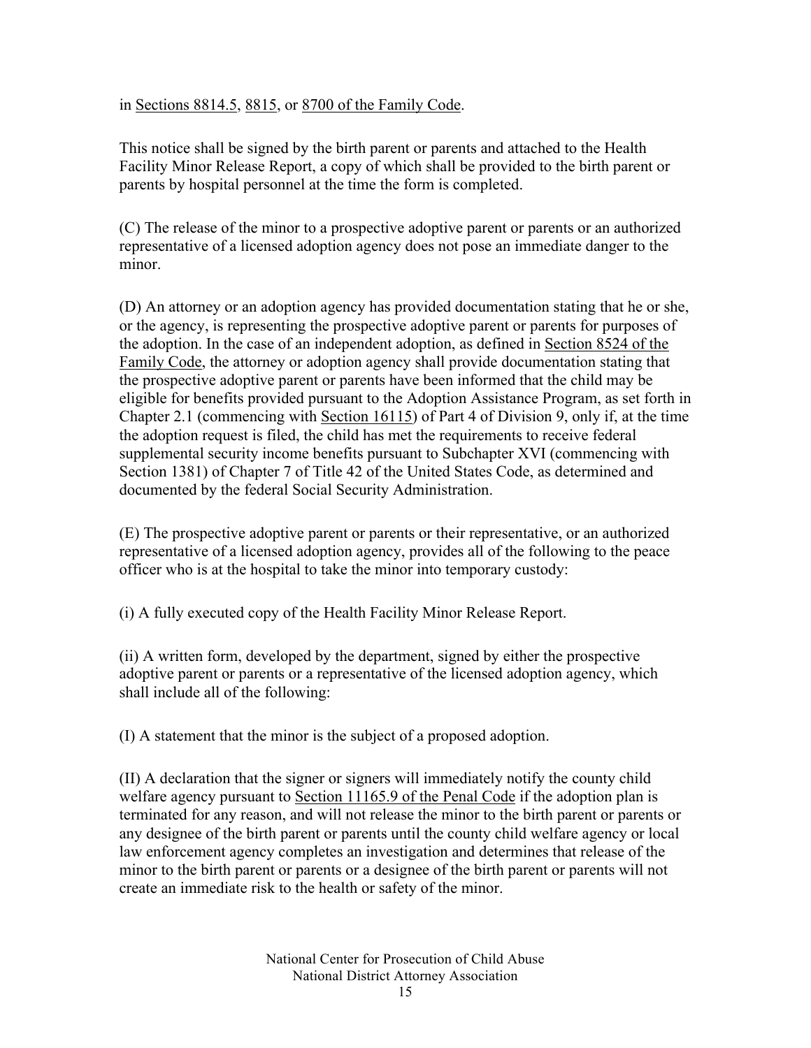in Sections 8814.5, 8815, or 8700 of the Family Code.

This notice shall be signed by the birth parent or parents and attached to the Health Facility Minor Release Report, a copy of which shall be provided to the birth parent or parents by hospital personnel at the time the form is completed.

(C) The release of the minor to a prospective adoptive parent or parents or an authorized representative of a licensed adoption agency does not pose an immediate danger to the minor.

(D) An attorney or an adoption agency has provided documentation stating that he or she, or the agency, is representing the prospective adoptive parent or parents for purposes of the adoption. In the case of an independent adoption, as defined in Section 8524 of the Family Code, the attorney or adoption agency shall provide documentation stating that the prospective adoptive parent or parents have been informed that the child may be eligible for benefits provided pursuant to the Adoption Assistance Program, as set forth in Chapter 2.1 (commencing with Section 16115) of Part 4 of Division 9, only if, at the time the adoption request is filed, the child has met the requirements to receive federal supplemental security income benefits pursuant to Subchapter XVI (commencing with Section 1381) of Chapter 7 of Title 42 of the United States Code, as determined and documented by the federal Social Security Administration.

(E) The prospective adoptive parent or parents or their representative, or an authorized representative of a licensed adoption agency, provides all of the following to the peace officer who is at the hospital to take the minor into temporary custody:

(i) A fully executed copy of the Health Facility Minor Release Report.

(ii) A written form, developed by the department, signed by either the prospective adoptive parent or parents or a representative of the licensed adoption agency, which shall include all of the following:

(I) A statement that the minor is the subject of a proposed adoption.

(II) A declaration that the signer or signers will immediately notify the county child welfare agency pursuant to Section 11165.9 of the Penal Code if the adoption plan is terminated for any reason, and will not release the minor to the birth parent or parents or any designee of the birth parent or parents until the county child welfare agency or local law enforcement agency completes an investigation and determines that release of the minor to the birth parent or parents or a designee of the birth parent or parents will not create an immediate risk to the health or safety of the minor.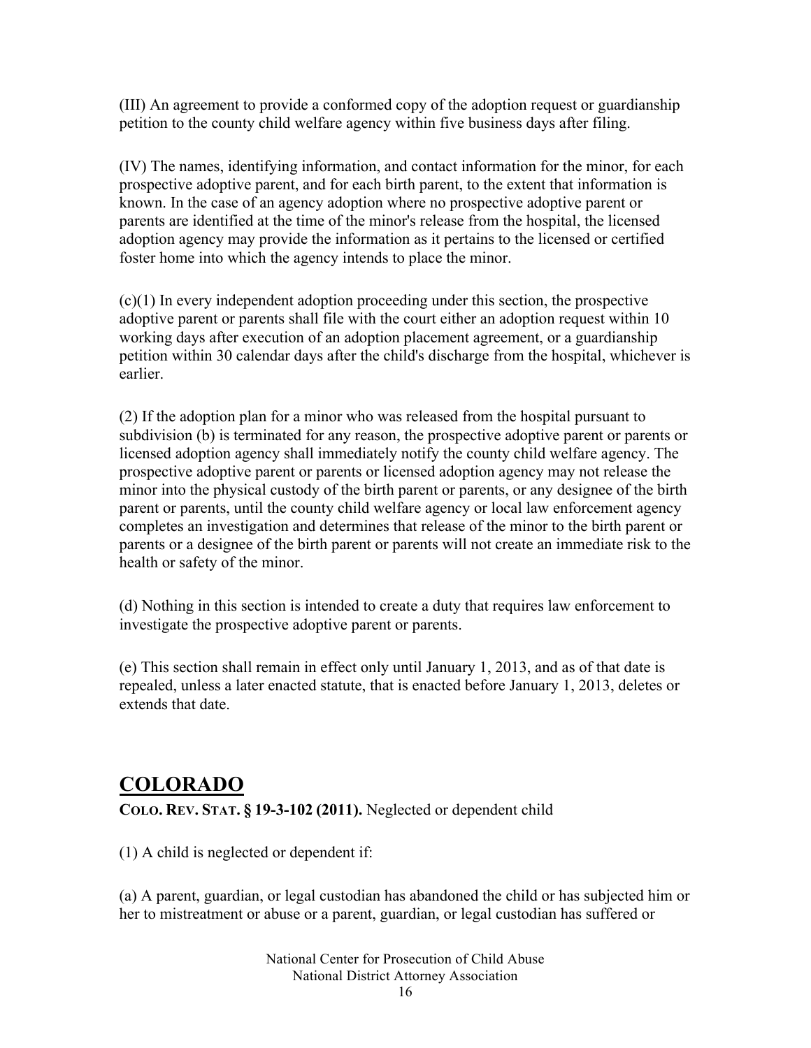(III) An agreement to provide a conformed copy of the adoption request or guardianship petition to the county child welfare agency within five business days after filing.

(IV) The names, identifying information, and contact information for the minor, for each prospective adoptive parent, and for each birth parent, to the extent that information is known. In the case of an agency adoption where no prospective adoptive parent or parents are identified at the time of the minor's release from the hospital, the licensed adoption agency may provide the information as it pertains to the licensed or certified foster home into which the agency intends to place the minor.

(c)(1) In every independent adoption proceeding under this section, the prospective adoptive parent or parents shall file with the court either an adoption request within 10 working days after execution of an adoption placement agreement, or a guardianship petition within 30 calendar days after the child's discharge from the hospital, whichever is earlier.

(2) If the adoption plan for a minor who was released from the hospital pursuant to subdivision (b) is terminated for any reason, the prospective adoptive parent or parents or licensed adoption agency shall immediately notify the county child welfare agency. The prospective adoptive parent or parents or licensed adoption agency may not release the minor into the physical custody of the birth parent or parents, or any designee of the birth parent or parents, until the county child welfare agency or local law enforcement agency completes an investigation and determines that release of the minor to the birth parent or parents or a designee of the birth parent or parents will not create an immediate risk to the health or safety of the minor.

(d) Nothing in this section is intended to create a duty that requires law enforcement to investigate the prospective adoptive parent or parents.

(e) This section shall remain in effect only until January 1, 2013, and as of that date is repealed, unless a later enacted statute, that is enacted before January 1, 2013, deletes or extends that date.

### **COLORADO**

**COLO. REV. STAT. § 19-3-102 (2011).** Neglected or dependent child

(1) A child is neglected or dependent if:

(a) A parent, guardian, or legal custodian has abandoned the child or has subjected him or her to mistreatment or abuse or a parent, guardian, or legal custodian has suffered or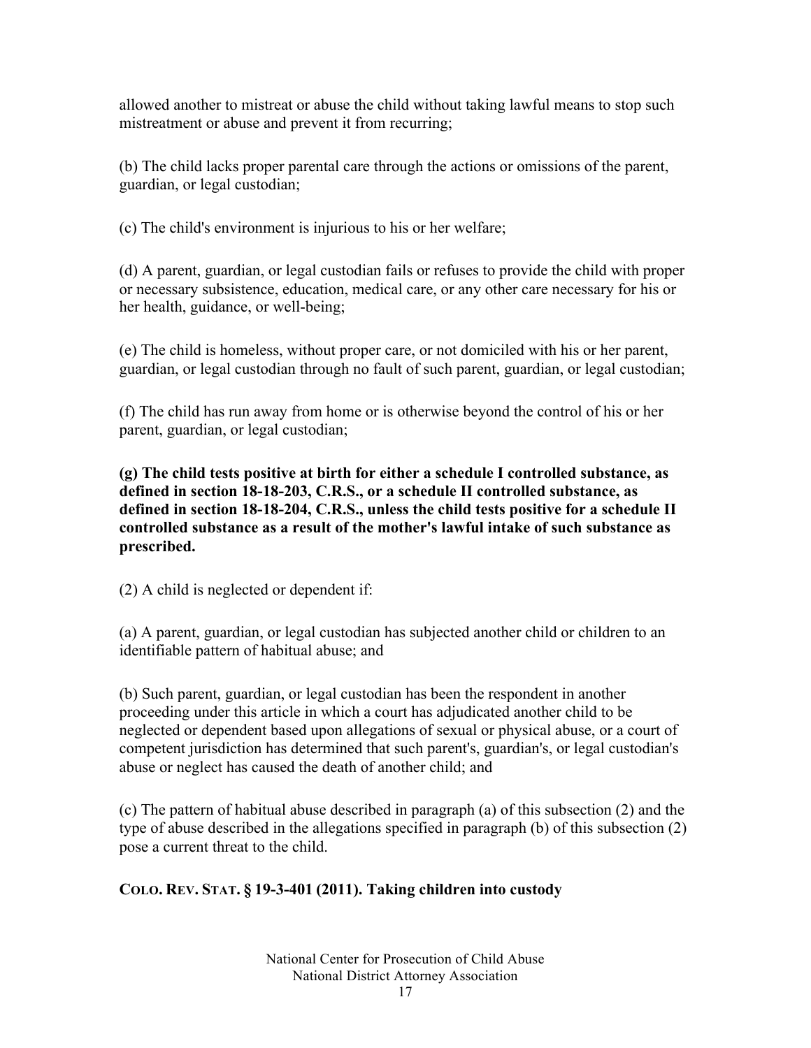allowed another to mistreat or abuse the child without taking lawful means to stop such mistreatment or abuse and prevent it from recurring;

(b) The child lacks proper parental care through the actions or omissions of the parent, guardian, or legal custodian;

(c) The child's environment is injurious to his or her welfare;

(d) A parent, guardian, or legal custodian fails or refuses to provide the child with proper or necessary subsistence, education, medical care, or any other care necessary for his or her health, guidance, or well-being;

(e) The child is homeless, without proper care, or not domiciled with his or her parent, guardian, or legal custodian through no fault of such parent, guardian, or legal custodian;

(f) The child has run away from home or is otherwise beyond the control of his or her parent, guardian, or legal custodian;

**(g) The child tests positive at birth for either a schedule I controlled substance, as defined in section 18-18-203, C.R.S., or a schedule II controlled substance, as defined in section 18-18-204, C.R.S., unless the child tests positive for a schedule II controlled substance as a result of the mother's lawful intake of such substance as prescribed.**

(2) A child is neglected or dependent if:

(a) A parent, guardian, or legal custodian has subjected another child or children to an identifiable pattern of habitual abuse; and

(b) Such parent, guardian, or legal custodian has been the respondent in another proceeding under this article in which a court has adjudicated another child to be neglected or dependent based upon allegations of sexual or physical abuse, or a court of competent jurisdiction has determined that such parent's, guardian's, or legal custodian's abuse or neglect has caused the death of another child; and

(c) The pattern of habitual abuse described in paragraph (a) of this subsection (2) and the type of abuse described in the allegations specified in paragraph (b) of this subsection (2) pose a current threat to the child.

### **COLO. REV. STAT. § 19-3-401 (2011). Taking children into custody**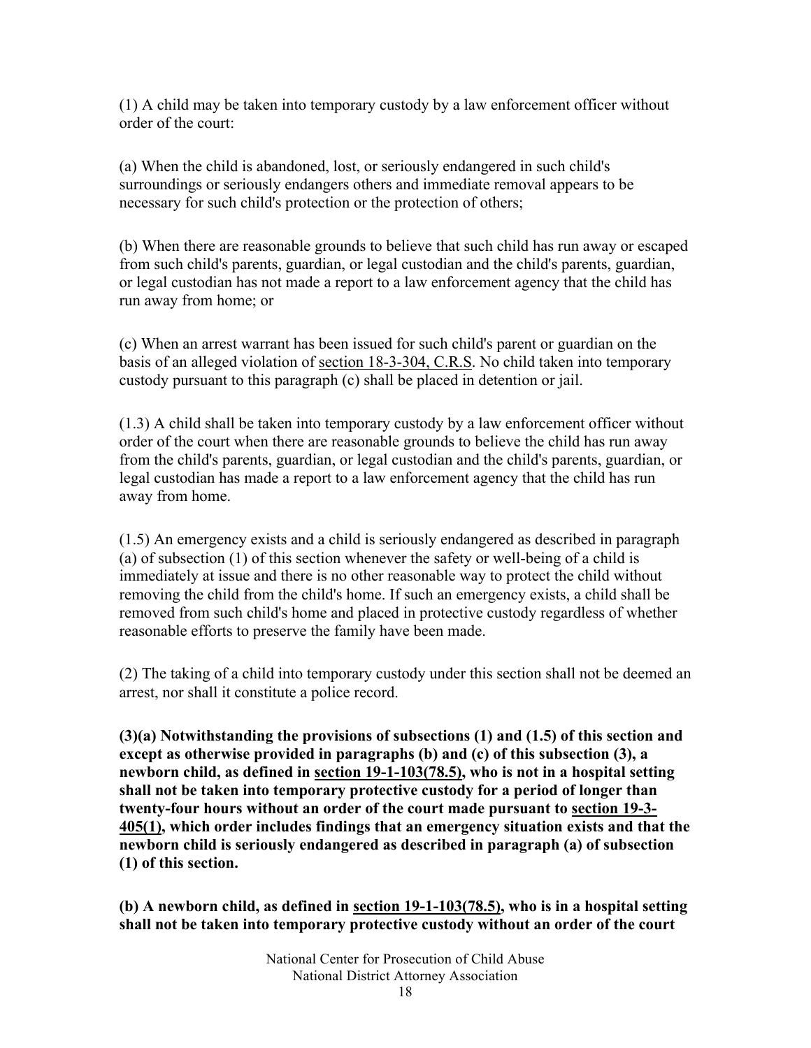(1) A child may be taken into temporary custody by a law enforcement officer without order of the court:

(a) When the child is abandoned, lost, or seriously endangered in such child's surroundings or seriously endangers others and immediate removal appears to be necessary for such child's protection or the protection of others;

(b) When there are reasonable grounds to believe that such child has run away or escaped from such child's parents, guardian, or legal custodian and the child's parents, guardian, or legal custodian has not made a report to a law enforcement agency that the child has run away from home; or

(c) When an arrest warrant has been issued for such child's parent or guardian on the basis of an alleged violation of section 18-3-304, C.R.S. No child taken into temporary custody pursuant to this paragraph (c) shall be placed in detention or jail.

(1.3) A child shall be taken into temporary custody by a law enforcement officer without order of the court when there are reasonable grounds to believe the child has run away from the child's parents, guardian, or legal custodian and the child's parents, guardian, or legal custodian has made a report to a law enforcement agency that the child has run away from home.

(1.5) An emergency exists and a child is seriously endangered as described in paragraph (a) of subsection (1) of this section whenever the safety or well-being of a child is immediately at issue and there is no other reasonable way to protect the child without removing the child from the child's home. If such an emergency exists, a child shall be removed from such child's home and placed in protective custody regardless of whether reasonable efforts to preserve the family have been made.

(2) The taking of a child into temporary custody under this section shall not be deemed an arrest, nor shall it constitute a police record.

**(3)(a) Notwithstanding the provisions of subsections (1) and (1.5) of this section and except as otherwise provided in paragraphs (b) and (c) of this subsection (3), a newborn child, as defined in section 19-1-103(78.5), who is not in a hospital setting shall not be taken into temporary protective custody for a period of longer than twenty-four hours without an order of the court made pursuant to section 19-3- 405(1), which order includes findings that an emergency situation exists and that the newborn child is seriously endangered as described in paragraph (a) of subsection (1) of this section.**

**(b) A newborn child, as defined in section 19-1-103(78.5), who is in a hospital setting shall not be taken into temporary protective custody without an order of the court**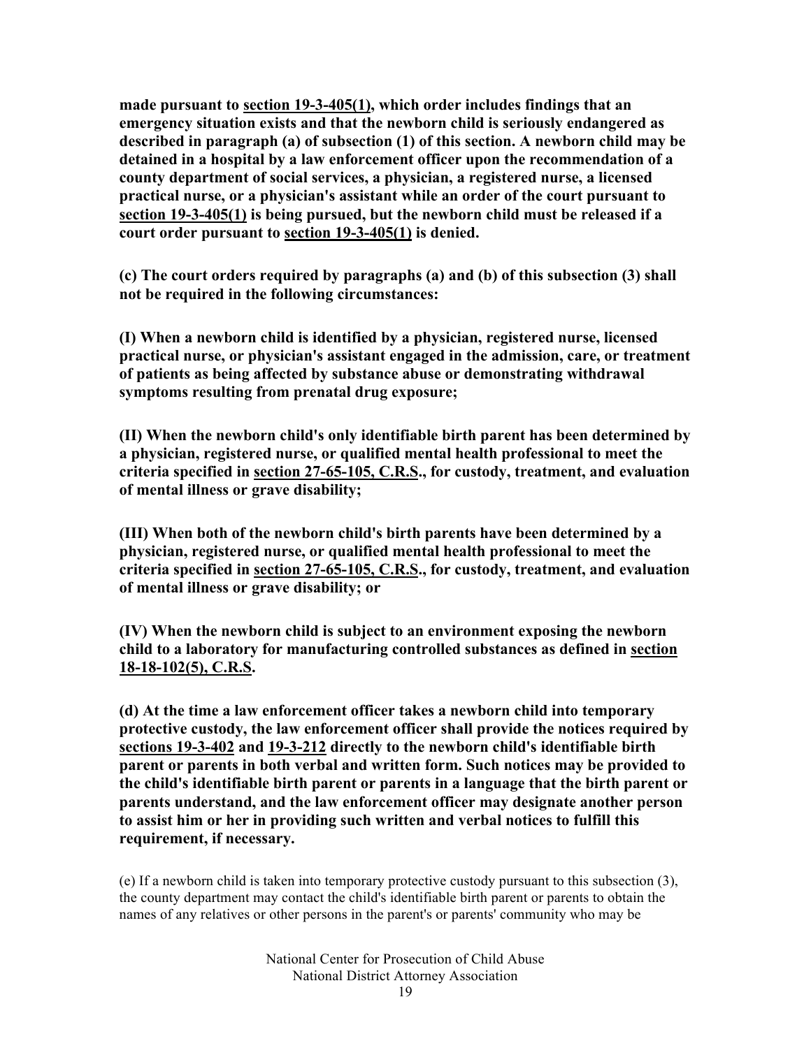**made pursuant to section 19-3-405(1), which order includes findings that an emergency situation exists and that the newborn child is seriously endangered as described in paragraph (a) of subsection (1) of this section. A newborn child may be detained in a hospital by a law enforcement officer upon the recommendation of a county department of social services, a physician, a registered nurse, a licensed practical nurse, or a physician's assistant while an order of the court pursuant to section 19-3-405(1) is being pursued, but the newborn child must be released if a court order pursuant to section 19-3-405(1) is denied.**

**(c) The court orders required by paragraphs (a) and (b) of this subsection (3) shall not be required in the following circumstances:**

**(I) When a newborn child is identified by a physician, registered nurse, licensed practical nurse, or physician's assistant engaged in the admission, care, or treatment of patients as being affected by substance abuse or demonstrating withdrawal symptoms resulting from prenatal drug exposure;**

**(II) When the newborn child's only identifiable birth parent has been determined by a physician, registered nurse, or qualified mental health professional to meet the criteria specified in section 27-65-105, C.R.S., for custody, treatment, and evaluation of mental illness or grave disability;**

**(III) When both of the newborn child's birth parents have been determined by a physician, registered nurse, or qualified mental health professional to meet the criteria specified in section 27-65-105, C.R.S., for custody, treatment, and evaluation of mental illness or grave disability; or**

**(IV) When the newborn child is subject to an environment exposing the newborn child to a laboratory for manufacturing controlled substances as defined in section 18-18-102(5), C.R.S.**

**(d) At the time a law enforcement officer takes a newborn child into temporary protective custody, the law enforcement officer shall provide the notices required by sections 19-3-402 and 19-3-212 directly to the newborn child's identifiable birth parent or parents in both verbal and written form. Such notices may be provided to the child's identifiable birth parent or parents in a language that the birth parent or parents understand, and the law enforcement officer may designate another person to assist him or her in providing such written and verbal notices to fulfill this requirement, if necessary.**

(e) If a newborn child is taken into temporary protective custody pursuant to this subsection (3), the county department may contact the child's identifiable birth parent or parents to obtain the names of any relatives or other persons in the parent's or parents' community who may be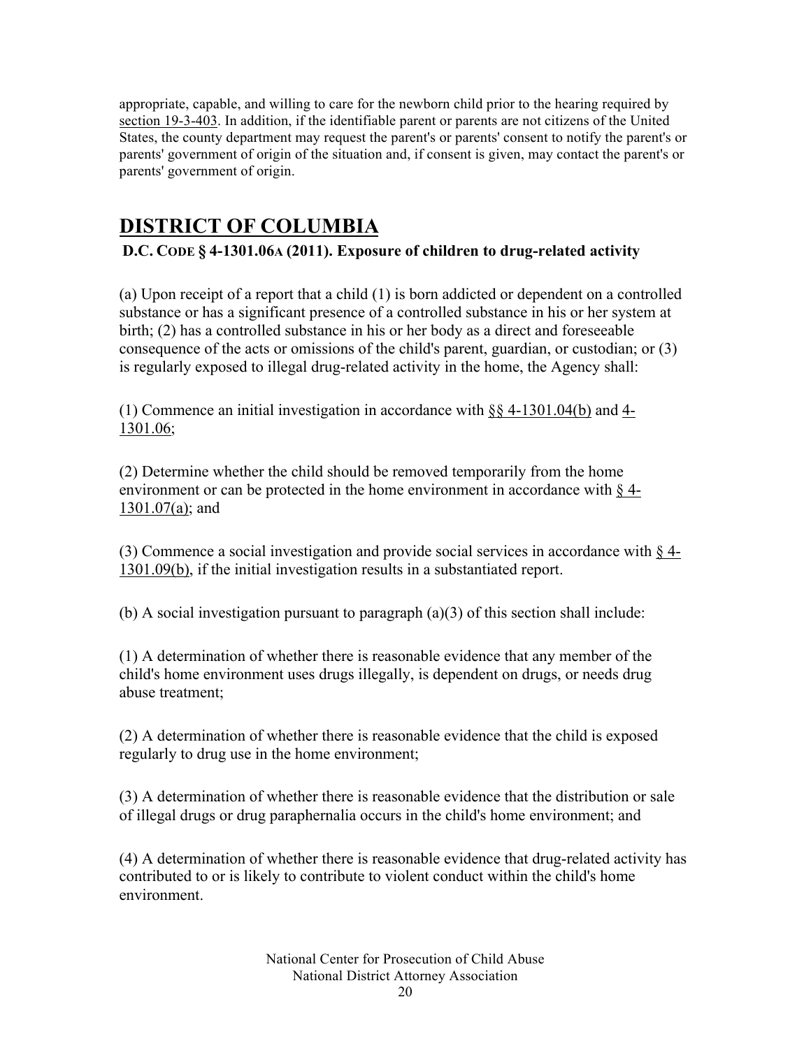appropriate, capable, and willing to care for the newborn child prior to the hearing required by section 19-3-403. In addition, if the identifiable parent or parents are not citizens of the United States, the county department may request the parent's or parents' consent to notify the parent's or parents' government of origin of the situation and, if consent is given, may contact the parent's or parents' government of origin.

### **DISTRICT OF COLUMBIA**

### **D.C. CODE § 4-1301.06A (2011). Exposure of children to drug-related activity**

(a) Upon receipt of a report that a child (1) is born addicted or dependent on a controlled substance or has a significant presence of a controlled substance in his or her system at birth; (2) has a controlled substance in his or her body as a direct and foreseeable consequence of the acts or omissions of the child's parent, guardian, or custodian; or (3) is regularly exposed to illegal drug-related activity in the home, the Agency shall:

(1) Commence an initial investigation in accordance with  $\S$ § 4-1301.04(b) and 4-1301.06;

(2) Determine whether the child should be removed temporarily from the home environment or can be protected in the home environment in accordance with § 4- 1301.07(a); and

(3) Commence a social investigation and provide social services in accordance with  $§ 4-$ 1301.09(b), if the initial investigation results in a substantiated report.

(b) A social investigation pursuant to paragraph  $(a)(3)$  of this section shall include:

(1) A determination of whether there is reasonable evidence that any member of the child's home environment uses drugs illegally, is dependent on drugs, or needs drug abuse treatment;

(2) A determination of whether there is reasonable evidence that the child is exposed regularly to drug use in the home environment;

(3) A determination of whether there is reasonable evidence that the distribution or sale of illegal drugs or drug paraphernalia occurs in the child's home environment; and

(4) A determination of whether there is reasonable evidence that drug-related activity has contributed to or is likely to contribute to violent conduct within the child's home environment.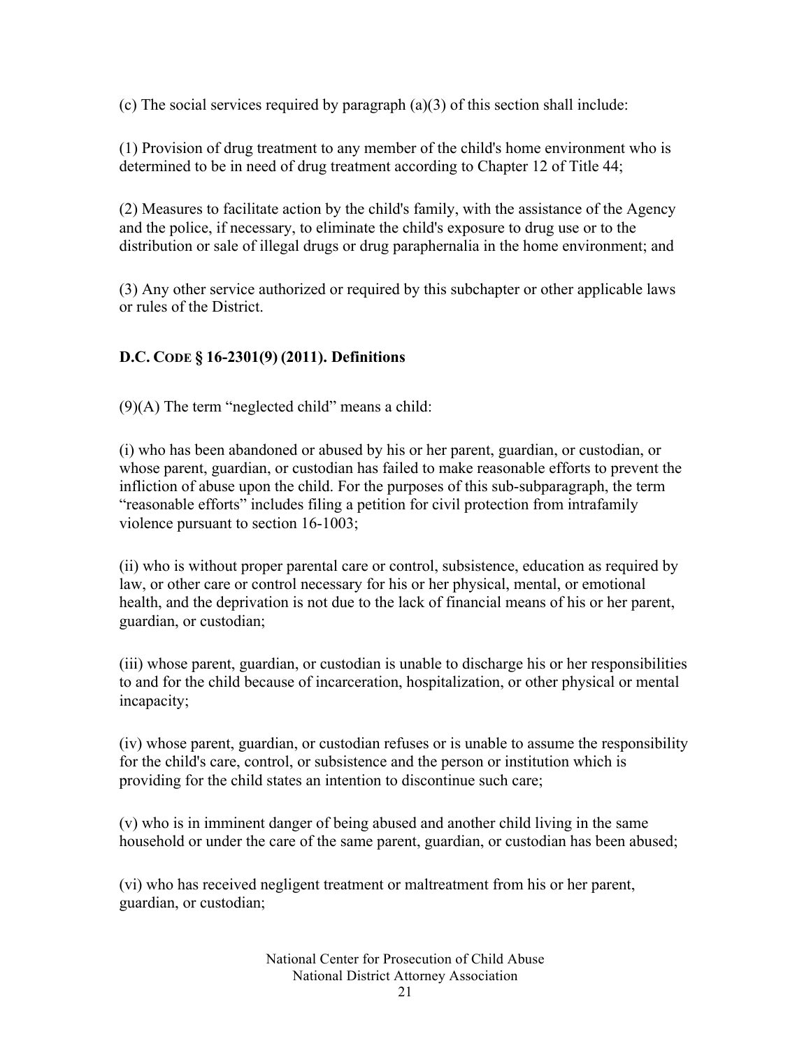(c) The social services required by paragraph (a)(3) of this section shall include:

(1) Provision of drug treatment to any member of the child's home environment who is determined to be in need of drug treatment according to Chapter 12 of Title 44;

(2) Measures to facilitate action by the child's family, with the assistance of the Agency and the police, if necessary, to eliminate the child's exposure to drug use or to the distribution or sale of illegal drugs or drug paraphernalia in the home environment; and

(3) Any other service authorized or required by this subchapter or other applicable laws or rules of the District.

### **D.C. CODE § 16-2301(9) (2011). Definitions**

 $(9)$ (A) The term "neglected child" means a child:

(i) who has been abandoned or abused by his or her parent, guardian, or custodian, or whose parent, guardian, or custodian has failed to make reasonable efforts to prevent the infliction of abuse upon the child. For the purposes of this sub-subparagraph, the term "reasonable efforts" includes filing a petition for civil protection from intrafamily violence pursuant to section 16-1003;

(ii) who is without proper parental care or control, subsistence, education as required by law, or other care or control necessary for his or her physical, mental, or emotional health, and the deprivation is not due to the lack of financial means of his or her parent, guardian, or custodian;

(iii) whose parent, guardian, or custodian is unable to discharge his or her responsibilities to and for the child because of incarceration, hospitalization, or other physical or mental incapacity;

(iv) whose parent, guardian, or custodian refuses or is unable to assume the responsibility for the child's care, control, or subsistence and the person or institution which is providing for the child states an intention to discontinue such care;

(v) who is in imminent danger of being abused and another child living in the same household or under the care of the same parent, guardian, or custodian has been abused;

(vi) who has received negligent treatment or maltreatment from his or her parent, guardian, or custodian;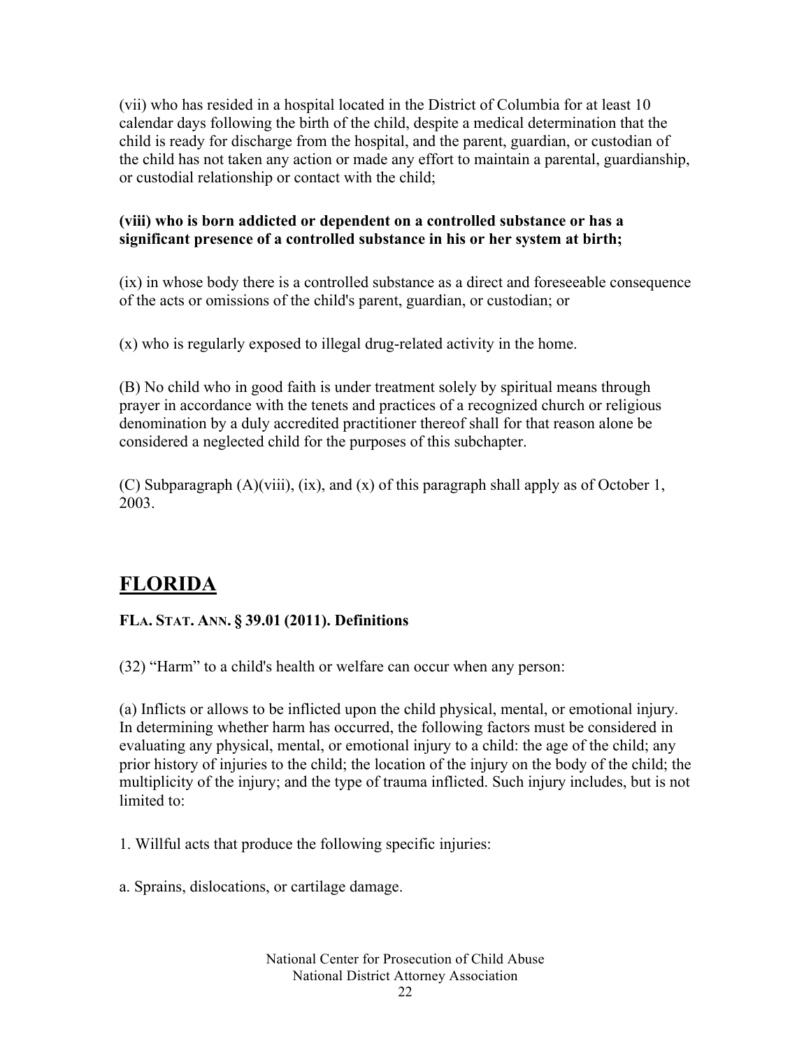(vii) who has resided in a hospital located in the District of Columbia for at least 10 calendar days following the birth of the child, despite a medical determination that the child is ready for discharge from the hospital, and the parent, guardian, or custodian of the child has not taken any action or made any effort to maintain a parental, guardianship, or custodial relationship or contact with the child;

#### **(viii) who is born addicted or dependent on a controlled substance or has a significant presence of a controlled substance in his or her system at birth;**

(ix) in whose body there is a controlled substance as a direct and foreseeable consequence of the acts or omissions of the child's parent, guardian, or custodian; or

(x) who is regularly exposed to illegal drug-related activity in the home.

(B) No child who in good faith is under treatment solely by spiritual means through prayer in accordance with the tenets and practices of a recognized church or religious denomination by a duly accredited practitioner thereof shall for that reason alone be considered a neglected child for the purposes of this subchapter.

(C) Subparagraph (A)(viii), (ix), and (x) of this paragraph shall apply as of October 1, 2003.

# **FLORIDA**

### **FLA. STAT. ANN. § 39.01 (2011). Definitions**

(32) "Harm" to a child's health or welfare can occur when any person:

(a) Inflicts or allows to be inflicted upon the child physical, mental, or emotional injury. In determining whether harm has occurred, the following factors must be considered in evaluating any physical, mental, or emotional injury to a child: the age of the child; any prior history of injuries to the child; the location of the injury on the body of the child; the multiplicity of the injury; and the type of trauma inflicted. Such injury includes, but is not limited to:

1. Willful acts that produce the following specific injuries:

a. Sprains, dislocations, or cartilage damage.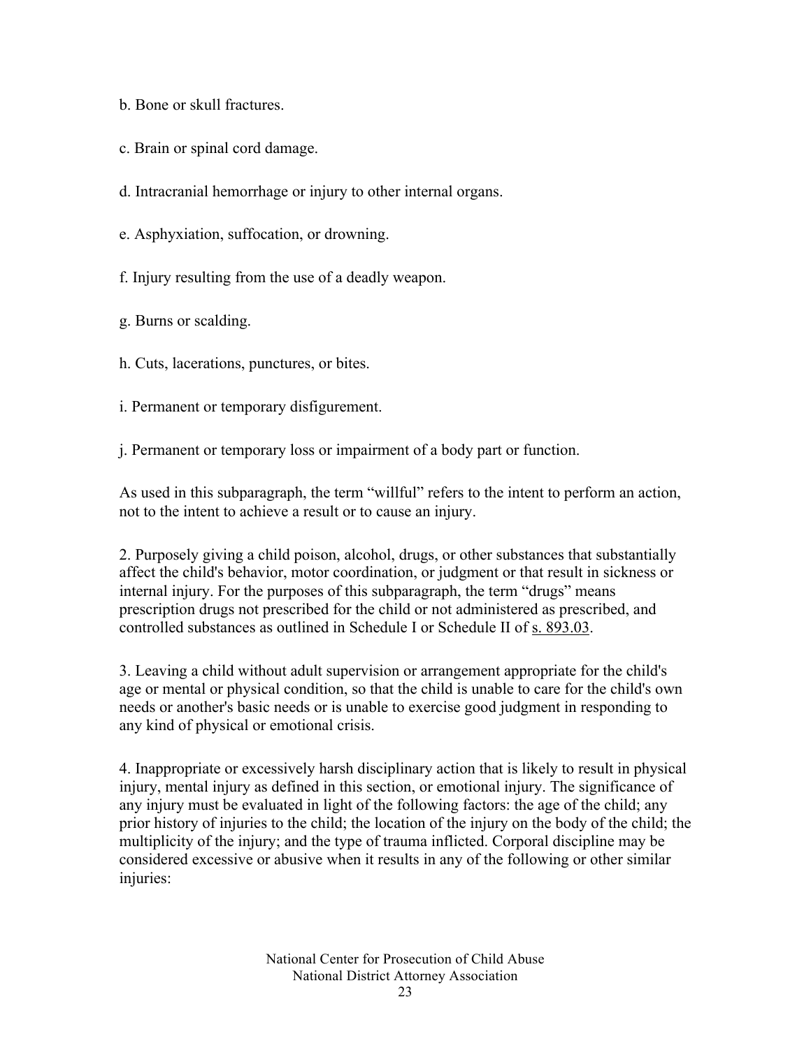- b. Bone or skull fractures.
- c. Brain or spinal cord damage.
- d. Intracranial hemorrhage or injury to other internal organs.
- e. Asphyxiation, suffocation, or drowning.
- f. Injury resulting from the use of a deadly weapon.
- g. Burns or scalding.
- h. Cuts, lacerations, punctures, or bites.
- i. Permanent or temporary disfigurement.

j. Permanent or temporary loss or impairment of a body part or function.

As used in this subparagraph, the term "willful" refers to the intent to perform an action, not to the intent to achieve a result or to cause an injury.

2. Purposely giving a child poison, alcohol, drugs, or other substances that substantially affect the child's behavior, motor coordination, or judgment or that result in sickness or internal injury. For the purposes of this subparagraph, the term "drugs" means prescription drugs not prescribed for the child or not administered as prescribed, and controlled substances as outlined in Schedule I or Schedule II of s. 893.03.

3. Leaving a child without adult supervision or arrangement appropriate for the child's age or mental or physical condition, so that the child is unable to care for the child's own needs or another's basic needs or is unable to exercise good judgment in responding to any kind of physical or emotional crisis.

4. Inappropriate or excessively harsh disciplinary action that is likely to result in physical injury, mental injury as defined in this section, or emotional injury. The significance of any injury must be evaluated in light of the following factors: the age of the child; any prior history of injuries to the child; the location of the injury on the body of the child; the multiplicity of the injury; and the type of trauma inflicted. Corporal discipline may be considered excessive or abusive when it results in any of the following or other similar injuries: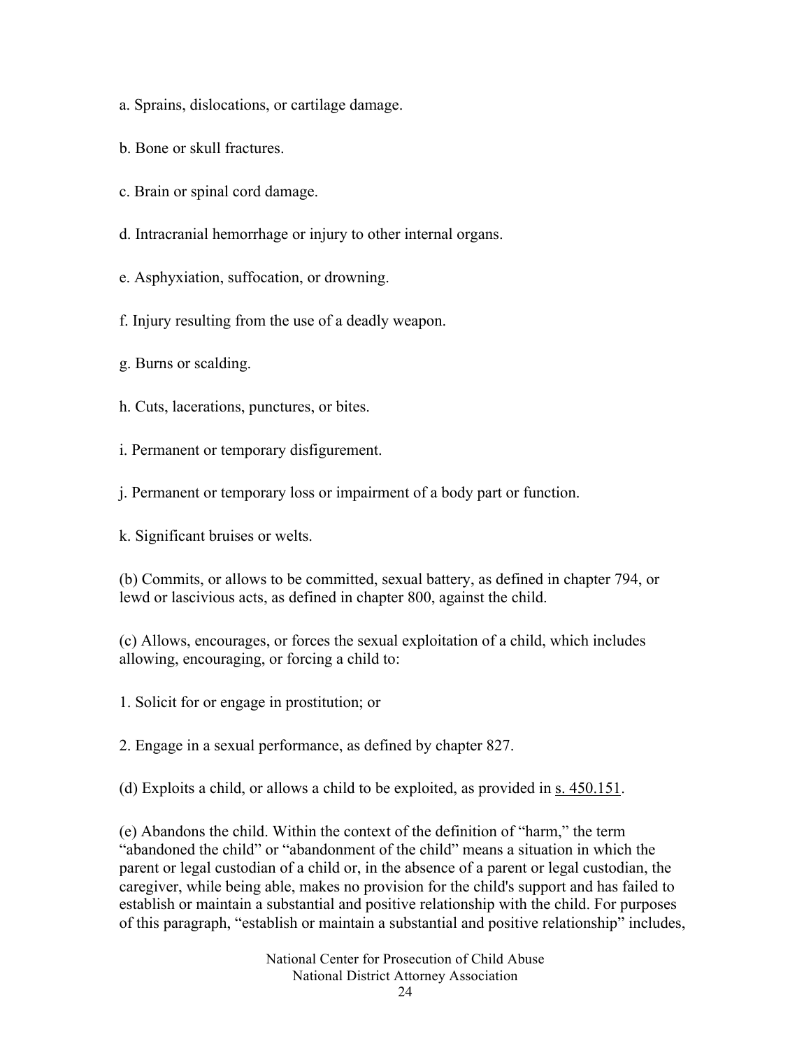- a. Sprains, dislocations, or cartilage damage.
- b. Bone or skull fractures.
- c. Brain or spinal cord damage.
- d. Intracranial hemorrhage or injury to other internal organs.
- e. Asphyxiation, suffocation, or drowning.
- f. Injury resulting from the use of a deadly weapon.
- g. Burns or scalding.
- h. Cuts, lacerations, punctures, or bites.
- i. Permanent or temporary disfigurement.
- j. Permanent or temporary loss or impairment of a body part or function.
- k. Significant bruises or welts.

(b) Commits, or allows to be committed, sexual battery, as defined in chapter 794, or lewd or lascivious acts, as defined in chapter 800, against the child.

(c) Allows, encourages, or forces the sexual exploitation of a child, which includes allowing, encouraging, or forcing a child to:

1. Solicit for or engage in prostitution; or

2. Engage in a sexual performance, as defined by chapter 827.

(d) Exploits a child, or allows a child to be exploited, as provided in s. 450.151.

(e) Abandons the child. Within the context of the definition of "harm," the term "abandoned the child" or "abandonment of the child" means a situation in which the parent or legal custodian of a child or, in the absence of a parent or legal custodian, the caregiver, while being able, makes no provision for the child's support and has failed to establish or maintain a substantial and positive relationship with the child. For purposes of this paragraph, "establish or maintain a substantial and positive relationship" includes,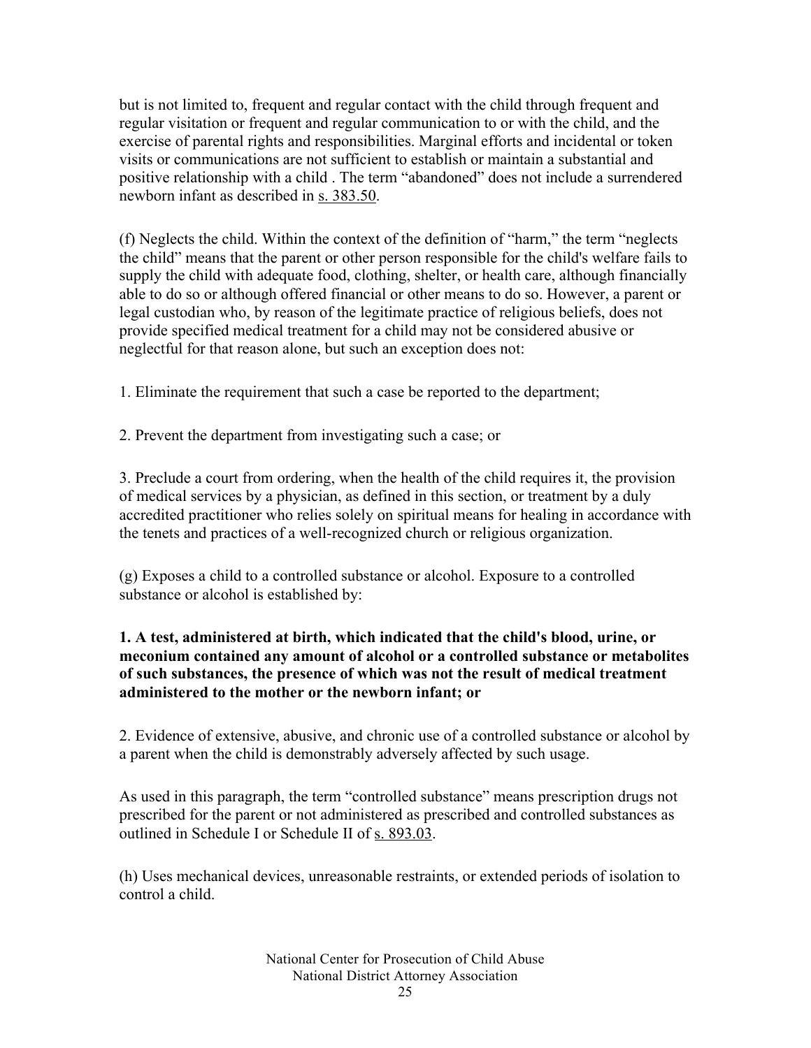but is not limited to, frequent and regular contact with the child through frequent and regular visitation or frequent and regular communication to or with the child, and the exercise of parental rights and responsibilities. Marginal efforts and incidental or token visits or communications are not sufficient to establish or maintain a substantial and positive relationship with a child . The term "abandoned" does not include a surrendered newborn infant as described in s. 383.50.

(f) Neglects the child. Within the context of the definition of "harm," the term "neglects the child" means that the parent or other person responsible for the child's welfare fails to supply the child with adequate food, clothing, shelter, or health care, although financially able to do so or although offered financial or other means to do so. However, a parent or legal custodian who, by reason of the legitimate practice of religious beliefs, does not provide specified medical treatment for a child may not be considered abusive or neglectful for that reason alone, but such an exception does not:

1. Eliminate the requirement that such a case be reported to the department;

2. Prevent the department from investigating such a case; or

3. Preclude a court from ordering, when the health of the child requires it, the provision of medical services by a physician, as defined in this section, or treatment by a duly accredited practitioner who relies solely on spiritual means for healing in accordance with the tenets and practices of a well-recognized church or religious organization.

(g) Exposes a child to a controlled substance or alcohol. Exposure to a controlled substance or alcohol is established by:

### **1. A test, administered at birth, which indicated that the child's blood, urine, or meconium contained any amount of alcohol or a controlled substance or metabolites of such substances, the presence of which was not the result of medical treatment administered to the mother or the newborn infant; or**

2. Evidence of extensive, abusive, and chronic use of a controlled substance or alcohol by a parent when the child is demonstrably adversely affected by such usage.

As used in this paragraph, the term "controlled substance" means prescription drugs not prescribed for the parent or not administered as prescribed and controlled substances as outlined in Schedule I or Schedule II of s. 893.03.

(h) Uses mechanical devices, unreasonable restraints, or extended periods of isolation to control a child.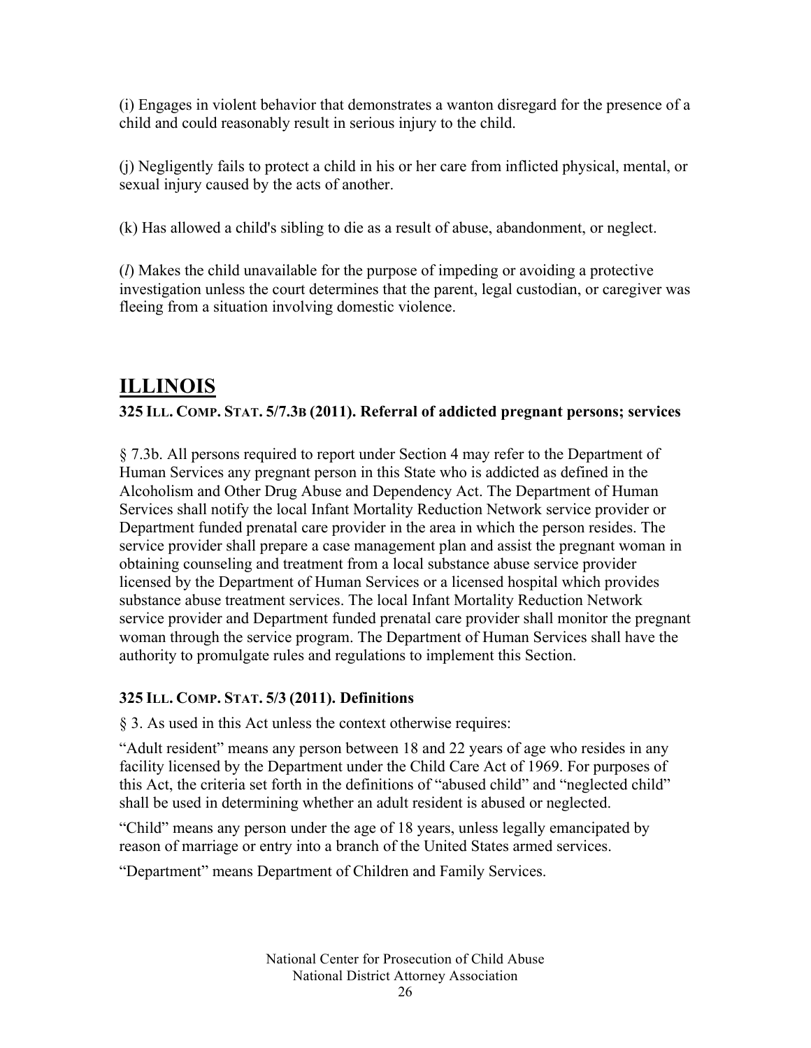(i) Engages in violent behavior that demonstrates a wanton disregard for the presence of a child and could reasonably result in serious injury to the child.

(j) Negligently fails to protect a child in his or her care from inflicted physical, mental, or sexual injury caused by the acts of another.

(k) Has allowed a child's sibling to die as a result of abuse, abandonment, or neglect.

(*l*) Makes the child unavailable for the purpose of impeding or avoiding a protective investigation unless the court determines that the parent, legal custodian, or caregiver was fleeing from a situation involving domestic violence.

# **ILLINOIS**

**325 ILL. COMP. STAT. 5/7.3B (2011). Referral of addicted pregnant persons; services**

§ 7.3b. All persons required to report under Section 4 may refer to the Department of Human Services any pregnant person in this State who is addicted as defined in the Alcoholism and Other Drug Abuse and Dependency Act. The Department of Human Services shall notify the local Infant Mortality Reduction Network service provider or Department funded prenatal care provider in the area in which the person resides. The service provider shall prepare a case management plan and assist the pregnant woman in obtaining counseling and treatment from a local substance abuse service provider licensed by the Department of Human Services or a licensed hospital which provides substance abuse treatment services. The local Infant Mortality Reduction Network service provider and Department funded prenatal care provider shall monitor the pregnant woman through the service program. The Department of Human Services shall have the authority to promulgate rules and regulations to implement this Section.

### **325 ILL. COMP. STAT. 5/3 (2011). Definitions**

§ 3. As used in this Act unless the context otherwise requires:

"Adult resident" means any person between 18 and 22 years of age who resides in any facility licensed by the Department under the Child Care Act of 1969. For purposes of this Act, the criteria set forth in the definitions of "abused child" and "neglected child" shall be used in determining whether an adult resident is abused or neglected.

"Child" means any person under the age of 18 years, unless legally emancipated by reason of marriage or entry into a branch of the United States armed services.

"Department" means Department of Children and Family Services.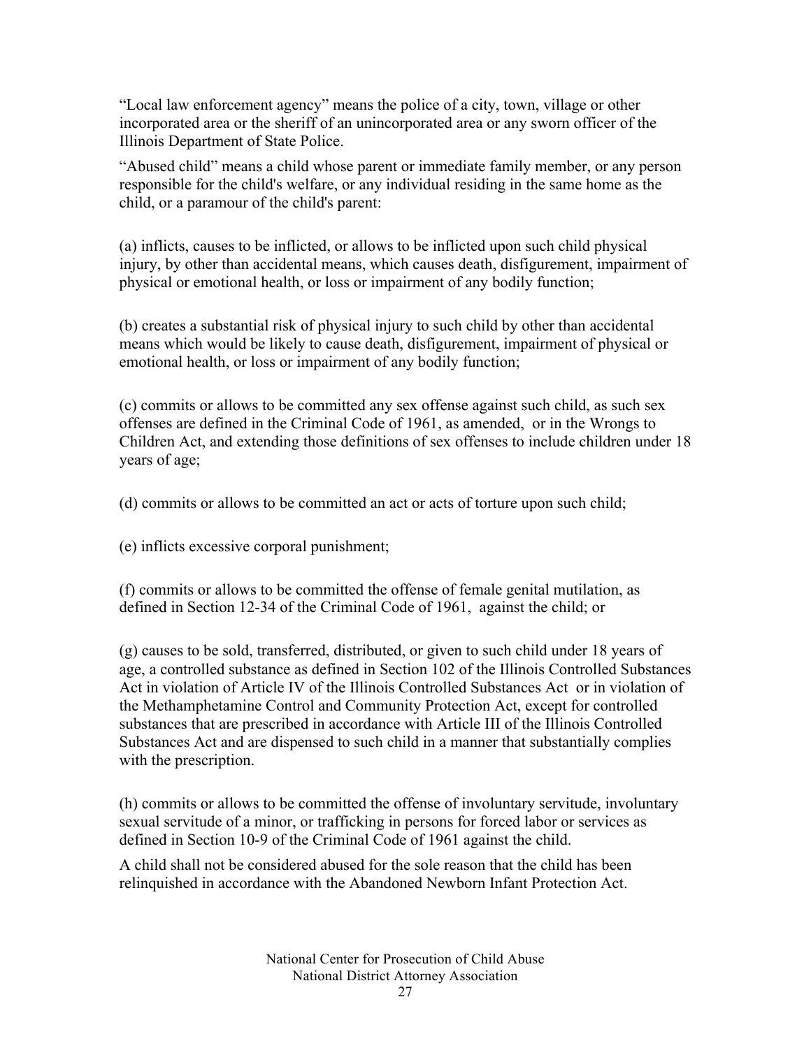"Local law enforcement agency" means the police of a city, town, village or other incorporated area or the sheriff of an unincorporated area or any sworn officer of the Illinois Department of State Police.

"Abused child" means a child whose parent or immediate family member, or any person responsible for the child's welfare, or any individual residing in the same home as the child, or a paramour of the child's parent:

(a) inflicts, causes to be inflicted, or allows to be inflicted upon such child physical injury, by other than accidental means, which causes death, disfigurement, impairment of physical or emotional health, or loss or impairment of any bodily function;

(b) creates a substantial risk of physical injury to such child by other than accidental means which would be likely to cause death, disfigurement, impairment of physical or emotional health, or loss or impairment of any bodily function;

(c) commits or allows to be committed any sex offense against such child, as such sex offenses are defined in the Criminal Code of 1961, as amended, or in the Wrongs to Children Act, and extending those definitions of sex offenses to include children under 18 years of age;

(d) commits or allows to be committed an act or acts of torture upon such child;

(e) inflicts excessive corporal punishment;

(f) commits or allows to be committed the offense of female genital mutilation, as defined in Section 12-34 of the Criminal Code of 1961, against the child; or

(g) causes to be sold, transferred, distributed, or given to such child under 18 years of age, a controlled substance as defined in Section 102 of the Illinois Controlled Substances Act in violation of Article IV of the Illinois Controlled Substances Act or in violation of the Methamphetamine Control and Community Protection Act, except for controlled substances that are prescribed in accordance with Article III of the Illinois Controlled Substances Act and are dispensed to such child in a manner that substantially complies with the prescription.

(h) commits or allows to be committed the offense of involuntary servitude, involuntary sexual servitude of a minor, or trafficking in persons for forced labor or services as defined in Section 10-9 of the Criminal Code of 1961 against the child.

A child shall not be considered abused for the sole reason that the child has been relinquished in accordance with the Abandoned Newborn Infant Protection Act.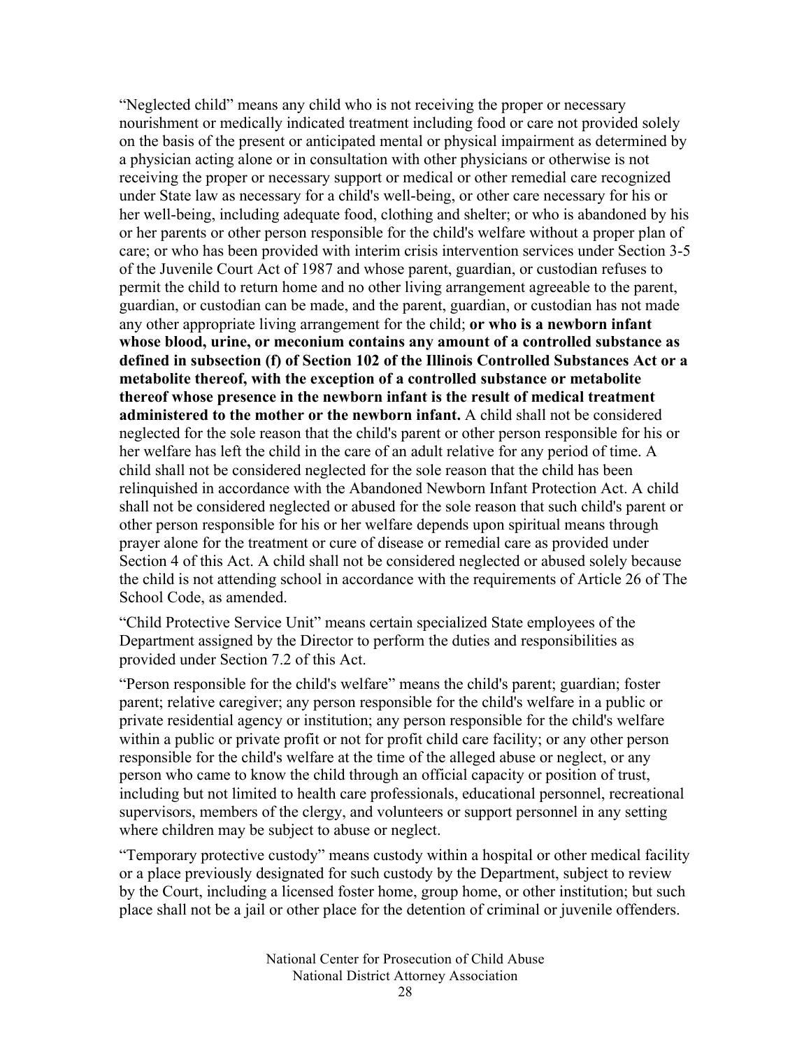"Neglected child" means any child who is not receiving the proper or necessary nourishment or medically indicated treatment including food or care not provided solely on the basis of the present or anticipated mental or physical impairment as determined by a physician acting alone or in consultation with other physicians or otherwise is not receiving the proper or necessary support or medical or other remedial care recognized under State law as necessary for a child's well-being, or other care necessary for his or her well-being, including adequate food, clothing and shelter; or who is abandoned by his or her parents or other person responsible for the child's welfare without a proper plan of care; or who has been provided with interim crisis intervention services under Section 3-5 of the Juvenile Court Act of 1987 and whose parent, guardian, or custodian refuses to permit the child to return home and no other living arrangement agreeable to the parent, guardian, or custodian can be made, and the parent, guardian, or custodian has not made any other appropriate living arrangement for the child; **or who is a newborn infant whose blood, urine, or meconium contains any amount of a controlled substance as defined in subsection (f) of Section 102 of the Illinois Controlled Substances Act or a metabolite thereof, with the exception of a controlled substance or metabolite thereof whose presence in the newborn infant is the result of medical treatment administered to the mother or the newborn infant.** A child shall not be considered neglected for the sole reason that the child's parent or other person responsible for his or her welfare has left the child in the care of an adult relative for any period of time. A child shall not be considered neglected for the sole reason that the child has been relinquished in accordance with the Abandoned Newborn Infant Protection Act. A child shall not be considered neglected or abused for the sole reason that such child's parent or other person responsible for his or her welfare depends upon spiritual means through prayer alone for the treatment or cure of disease or remedial care as provided under Section 4 of this Act. A child shall not be considered neglected or abused solely because the child is not attending school in accordance with the requirements of Article 26 of The School Code, as amended.

"Child Protective Service Unit" means certain specialized State employees of the Department assigned by the Director to perform the duties and responsibilities as provided under Section 7.2 of this Act.

"Person responsible for the child's welfare" means the child's parent; guardian; foster parent; relative caregiver; any person responsible for the child's welfare in a public or private residential agency or institution; any person responsible for the child's welfare within a public or private profit or not for profit child care facility; or any other person responsible for the child's welfare at the time of the alleged abuse or neglect, or any person who came to know the child through an official capacity or position of trust, including but not limited to health care professionals, educational personnel, recreational supervisors, members of the clergy, and volunteers or support personnel in any setting where children may be subject to abuse or neglect.

"Temporary protective custody" means custody within a hospital or other medical facility or a place previously designated for such custody by the Department, subject to review by the Court, including a licensed foster home, group home, or other institution; but such place shall not be a jail or other place for the detention of criminal or juvenile offenders.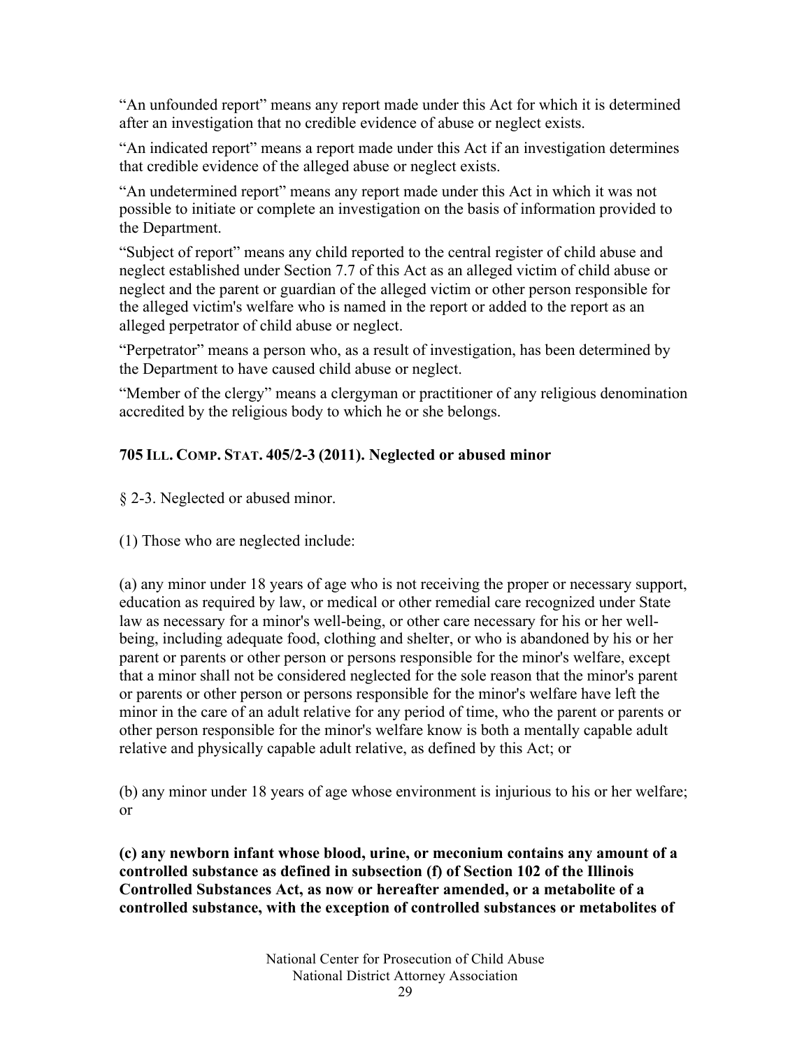"An unfounded report" means any report made under this Act for which it is determined after an investigation that no credible evidence of abuse or neglect exists.

"An indicated report" means a report made under this Act if an investigation determines that credible evidence of the alleged abuse or neglect exists.

"An undetermined report" means any report made under this Act in which it was not possible to initiate or complete an investigation on the basis of information provided to the Department.

"Subject of report" means any child reported to the central register of child abuse and neglect established under Section 7.7 of this Act as an alleged victim of child abuse or neglect and the parent or guardian of the alleged victim or other person responsible for the alleged victim's welfare who is named in the report or added to the report as an alleged perpetrator of child abuse or neglect.

"Perpetrator" means a person who, as a result of investigation, has been determined by the Department to have caused child abuse or neglect.

"Member of the clergy" means a clergyman or practitioner of any religious denomination accredited by the religious body to which he or she belongs.

### **705 ILL. COMP. STAT. 405/2-3 (2011). Neglected or abused minor**

§ 2-3. Neglected or abused minor.

(1) Those who are neglected include:

(a) any minor under 18 years of age who is not receiving the proper or necessary support, education as required by law, or medical or other remedial care recognized under State law as necessary for a minor's well-being, or other care necessary for his or her wellbeing, including adequate food, clothing and shelter, or who is abandoned by his or her parent or parents or other person or persons responsible for the minor's welfare, except that a minor shall not be considered neglected for the sole reason that the minor's parent or parents or other person or persons responsible for the minor's welfare have left the minor in the care of an adult relative for any period of time, who the parent or parents or other person responsible for the minor's welfare know is both a mentally capable adult relative and physically capable adult relative, as defined by this Act; or

(b) any minor under 18 years of age whose environment is injurious to his or her welfare; or

**(c) any newborn infant whose blood, urine, or meconium contains any amount of a controlled substance as defined in subsection (f) of Section 102 of the Illinois Controlled Substances Act, as now or hereafter amended, or a metabolite of a controlled substance, with the exception of controlled substances or metabolites of**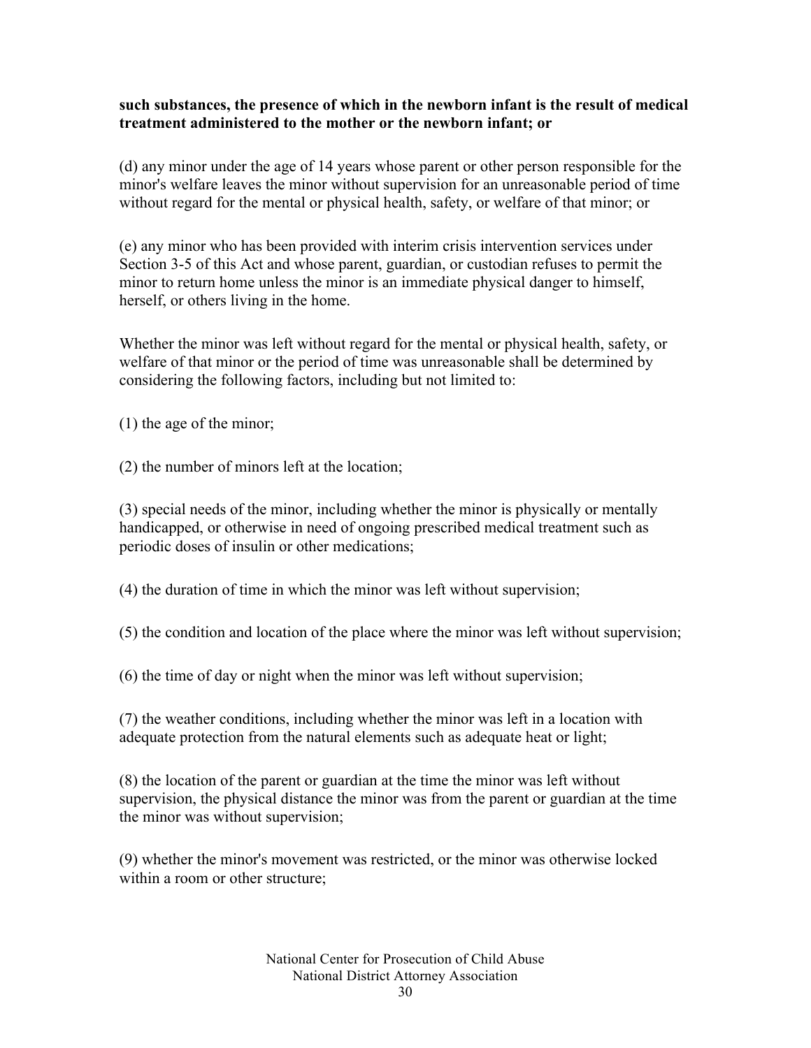#### **such substances, the presence of which in the newborn infant is the result of medical treatment administered to the mother or the newborn infant; or**

(d) any minor under the age of 14 years whose parent or other person responsible for the minor's welfare leaves the minor without supervision for an unreasonable period of time without regard for the mental or physical health, safety, or welfare of that minor; or

(e) any minor who has been provided with interim crisis intervention services under Section 3-5 of this Act and whose parent, guardian, or custodian refuses to permit the minor to return home unless the minor is an immediate physical danger to himself, herself, or others living in the home.

Whether the minor was left without regard for the mental or physical health, safety, or welfare of that minor or the period of time was unreasonable shall be determined by considering the following factors, including but not limited to:

(1) the age of the minor;

(2) the number of minors left at the location;

(3) special needs of the minor, including whether the minor is physically or mentally handicapped, or otherwise in need of ongoing prescribed medical treatment such as periodic doses of insulin or other medications;

(4) the duration of time in which the minor was left without supervision;

(5) the condition and location of the place where the minor was left without supervision;

(6) the time of day or night when the minor was left without supervision;

(7) the weather conditions, including whether the minor was left in a location with adequate protection from the natural elements such as adequate heat or light;

(8) the location of the parent or guardian at the time the minor was left without supervision, the physical distance the minor was from the parent or guardian at the time the minor was without supervision;

(9) whether the minor's movement was restricted, or the minor was otherwise locked within a room or other structure;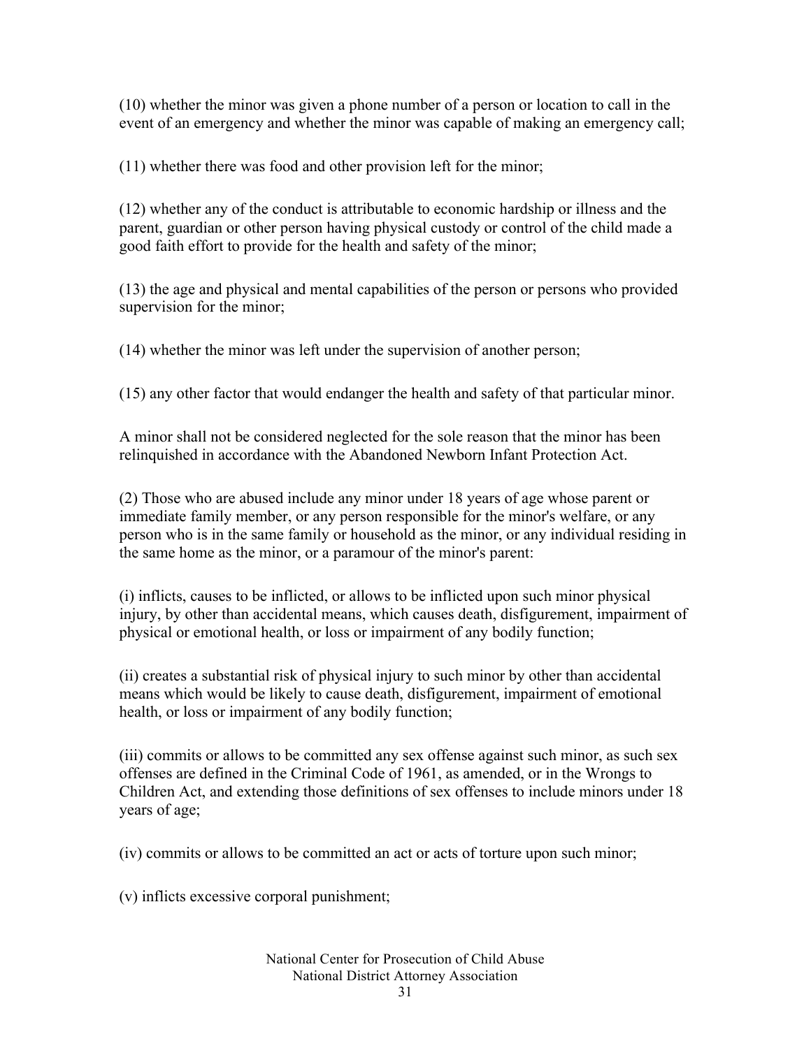(10) whether the minor was given a phone number of a person or location to call in the event of an emergency and whether the minor was capable of making an emergency call;

(11) whether there was food and other provision left for the minor;

(12) whether any of the conduct is attributable to economic hardship or illness and the parent, guardian or other person having physical custody or control of the child made a good faith effort to provide for the health and safety of the minor;

(13) the age and physical and mental capabilities of the person or persons who provided supervision for the minor;

(14) whether the minor was left under the supervision of another person;

(15) any other factor that would endanger the health and safety of that particular minor.

A minor shall not be considered neglected for the sole reason that the minor has been relinquished in accordance with the Abandoned Newborn Infant Protection Act.

(2) Those who are abused include any minor under 18 years of age whose parent or immediate family member, or any person responsible for the minor's welfare, or any person who is in the same family or household as the minor, or any individual residing in the same home as the minor, or a paramour of the minor's parent:

(i) inflicts, causes to be inflicted, or allows to be inflicted upon such minor physical injury, by other than accidental means, which causes death, disfigurement, impairment of physical or emotional health, or loss or impairment of any bodily function;

(ii) creates a substantial risk of physical injury to such minor by other than accidental means which would be likely to cause death, disfigurement, impairment of emotional health, or loss or impairment of any bodily function;

(iii) commits or allows to be committed any sex offense against such minor, as such sex offenses are defined in the Criminal Code of 1961, as amended, or in the Wrongs to Children Act, and extending those definitions of sex offenses to include minors under 18 years of age;

(iv) commits or allows to be committed an act or acts of torture upon such minor;

(v) inflicts excessive corporal punishment;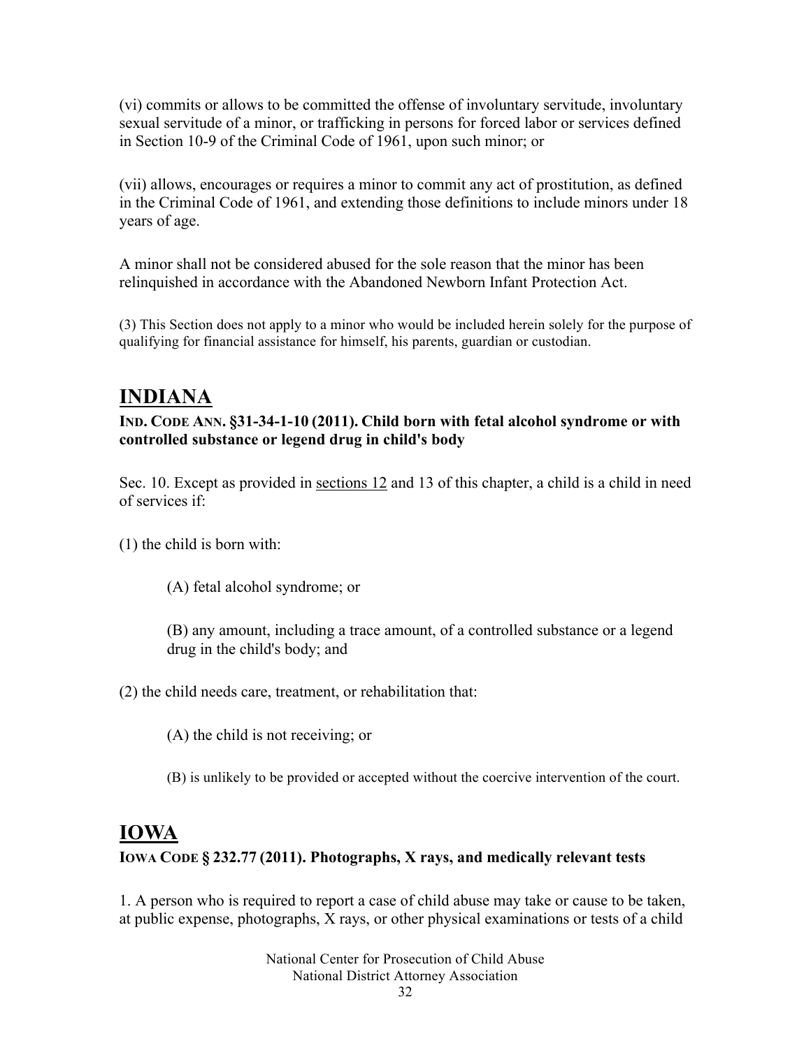(vi) commits or allows to be committed the offense of involuntary servitude, involuntary sexual servitude of a minor, or trafficking in persons for forced labor or services defined in Section 10-9 of the Criminal Code of 1961, upon such minor; or

(vii) allows, encourages or requires a minor to commit any act of prostitution, as defined in the Criminal Code of 1961, and extending those definitions to include minors under 18 years of age.

A minor shall not be considered abused for the sole reason that the minor has been relinquished in accordance with the Abandoned Newborn Infant Protection Act.

(3) This Section does not apply to a minor who would be included herein solely for the purpose of qualifying for financial assistance for himself, his parents, guardian or custodian.

# **INDIANA**

**IND. CODE ANN. §31-34-1-10 (2011). Child born with fetal alcohol syndrome or with controlled substance or legend drug in child's body**

Sec. 10. Except as provided in sections 12 and 13 of this chapter, a child is a child in need of services if:

(1) the child is born with:

(A) fetal alcohol syndrome; or

(B) any amount, including a trace amount, of a controlled substance or a legend drug in the child's body; and

(2) the child needs care, treatment, or rehabilitation that:

(A) the child is not receiving; or

(B) is unlikely to be provided or accepted without the coercive intervention of the court.

# **IOWA**

### **IOWA CODE § 232.77 (2011). Photographs, X rays, and medically relevant tests**

1. A person who is required to report a case of child abuse may take or cause to be taken, at public expense, photographs, X rays, or other physical examinations or tests of a child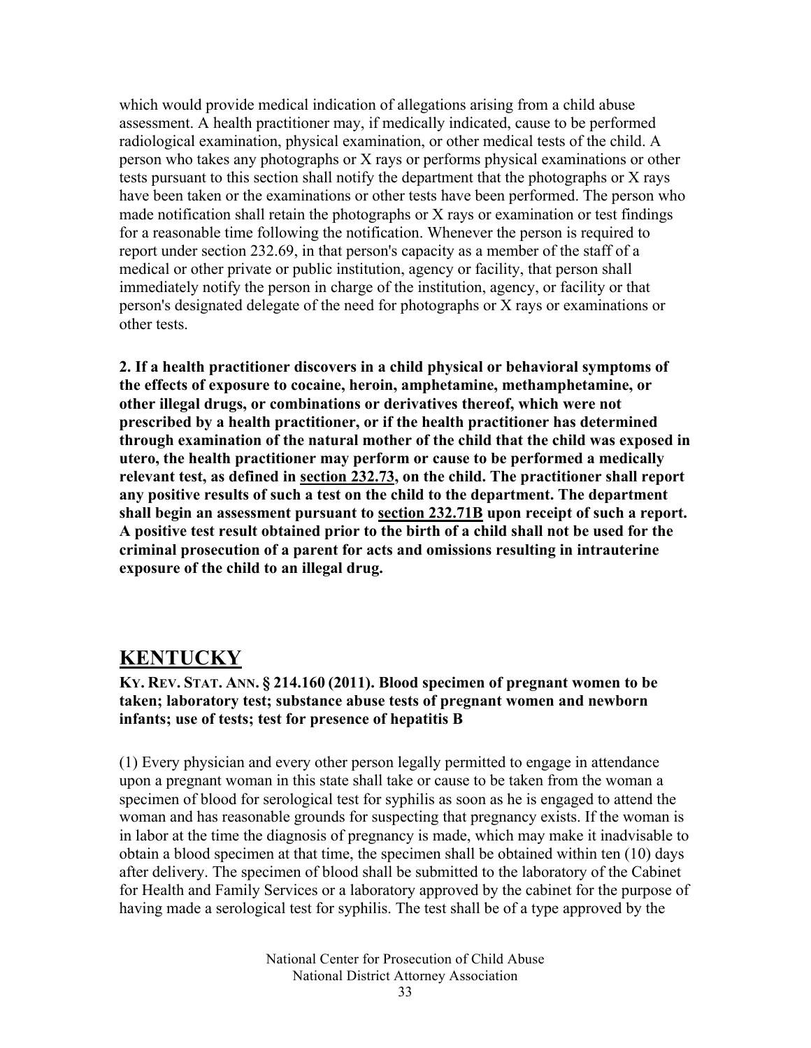which would provide medical indication of allegations arising from a child abuse assessment. A health practitioner may, if medically indicated, cause to be performed radiological examination, physical examination, or other medical tests of the child. A person who takes any photographs or X rays or performs physical examinations or other tests pursuant to this section shall notify the department that the photographs or X rays have been taken or the examinations or other tests have been performed. The person who made notification shall retain the photographs or X rays or examination or test findings for a reasonable time following the notification. Whenever the person is required to report under section 232.69, in that person's capacity as a member of the staff of a medical or other private or public institution, agency or facility, that person shall immediately notify the person in charge of the institution, agency, or facility or that person's designated delegate of the need for photographs or X rays or examinations or other tests.

**2. If a health practitioner discovers in a child physical or behavioral symptoms of the effects of exposure to cocaine, heroin, amphetamine, methamphetamine, or other illegal drugs, or combinations or derivatives thereof, which were not prescribed by a health practitioner, or if the health practitioner has determined through examination of the natural mother of the child that the child was exposed in utero, the health practitioner may perform or cause to be performed a medically relevant test, as defined in section 232.73, on the child. The practitioner shall report any positive results of such a test on the child to the department. The department shall begin an assessment pursuant to section 232.71B upon receipt of such a report. A positive test result obtained prior to the birth of a child shall not be used for the criminal prosecution of a parent for acts and omissions resulting in intrauterine exposure of the child to an illegal drug.**

### **KENTUCKY**

#### **KY. REV. STAT. ANN. § 214.160 (2011). Blood specimen of pregnant women to be taken; laboratory test; substance abuse tests of pregnant women and newborn infants; use of tests; test for presence of hepatitis B**

(1) Every physician and every other person legally permitted to engage in attendance upon a pregnant woman in this state shall take or cause to be taken from the woman a specimen of blood for serological test for syphilis as soon as he is engaged to attend the woman and has reasonable grounds for suspecting that pregnancy exists. If the woman is in labor at the time the diagnosis of pregnancy is made, which may make it inadvisable to obtain a blood specimen at that time, the specimen shall be obtained within ten (10) days after delivery. The specimen of blood shall be submitted to the laboratory of the Cabinet for Health and Family Services or a laboratory approved by the cabinet for the purpose of having made a serological test for syphilis. The test shall be of a type approved by the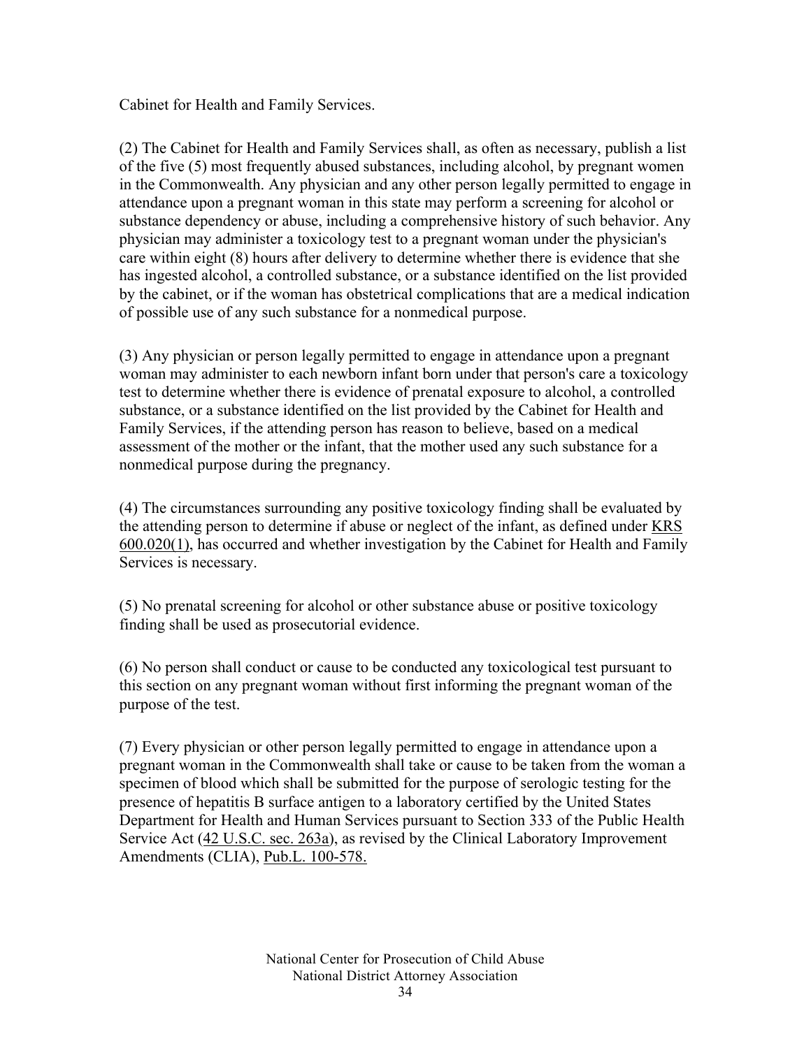Cabinet for Health and Family Services.

(2) The Cabinet for Health and Family Services shall, as often as necessary, publish a list of the five (5) most frequently abused substances, including alcohol, by pregnant women in the Commonwealth. Any physician and any other person legally permitted to engage in attendance upon a pregnant woman in this state may perform a screening for alcohol or substance dependency or abuse, including a comprehensive history of such behavior. Any physician may administer a toxicology test to a pregnant woman under the physician's care within eight (8) hours after delivery to determine whether there is evidence that she has ingested alcohol, a controlled substance, or a substance identified on the list provided by the cabinet, or if the woman has obstetrical complications that are a medical indication of possible use of any such substance for a nonmedical purpose.

(3) Any physician or person legally permitted to engage in attendance upon a pregnant woman may administer to each newborn infant born under that person's care a toxicology test to determine whether there is evidence of prenatal exposure to alcohol, a controlled substance, or a substance identified on the list provided by the Cabinet for Health and Family Services, if the attending person has reason to believe, based on a medical assessment of the mother or the infant, that the mother used any such substance for a nonmedical purpose during the pregnancy.

(4) The circumstances surrounding any positive toxicology finding shall be evaluated by the attending person to determine if abuse or neglect of the infant, as defined under KRS 600.020(1), has occurred and whether investigation by the Cabinet for Health and Family Services is necessary.

(5) No prenatal screening for alcohol or other substance abuse or positive toxicology finding shall be used as prosecutorial evidence.

(6) No person shall conduct or cause to be conducted any toxicological test pursuant to this section on any pregnant woman without first informing the pregnant woman of the purpose of the test.

(7) Every physician or other person legally permitted to engage in attendance upon a pregnant woman in the Commonwealth shall take or cause to be taken from the woman a specimen of blood which shall be submitted for the purpose of serologic testing for the presence of hepatitis B surface antigen to a laboratory certified by the United States Department for Health and Human Services pursuant to Section 333 of the Public Health Service Act (42 U.S.C. sec. 263a), as revised by the Clinical Laboratory Improvement Amendments (CLIA), Pub.L. 100-578.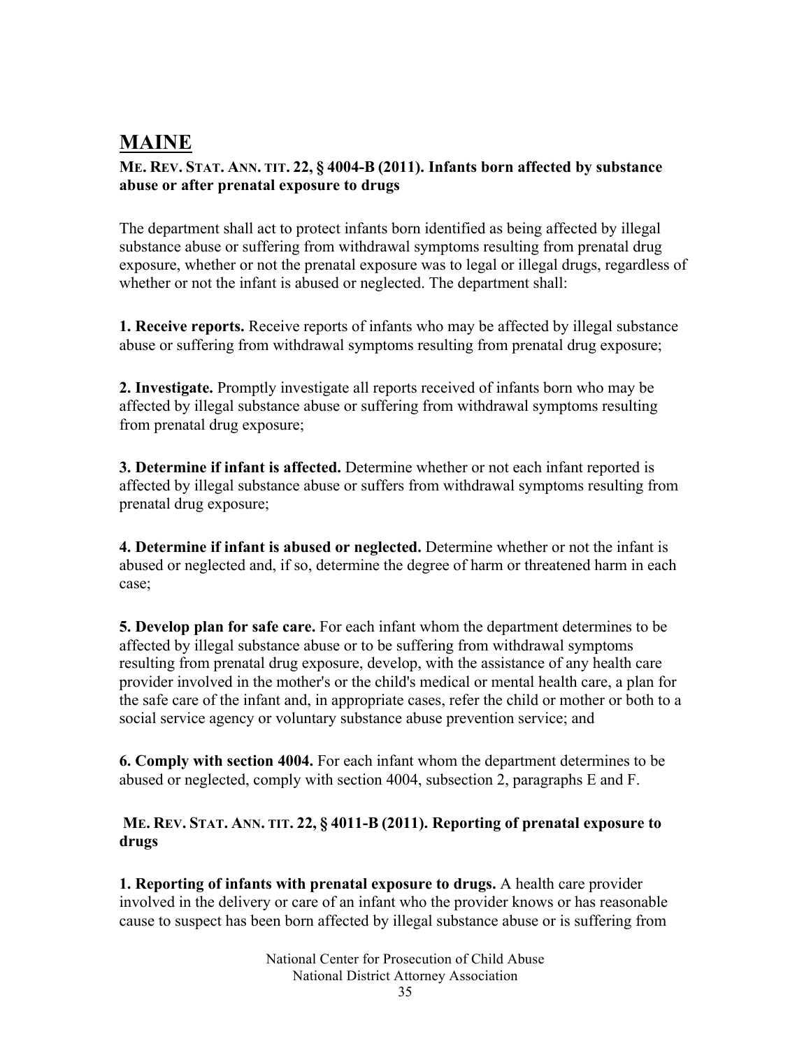### **MAINE**

### **ME. REV. STAT. ANN. TIT. 22, § 4004-B (2011). Infants born affected by substance abuse or after prenatal exposure to drugs**

The department shall act to protect infants born identified as being affected by illegal substance abuse or suffering from withdrawal symptoms resulting from prenatal drug exposure, whether or not the prenatal exposure was to legal or illegal drugs, regardless of whether or not the infant is abused or neglected. The department shall:

**1. Receive reports.** Receive reports of infants who may be affected by illegal substance abuse or suffering from withdrawal symptoms resulting from prenatal drug exposure;

**2. Investigate.** Promptly investigate all reports received of infants born who may be affected by illegal substance abuse or suffering from withdrawal symptoms resulting from prenatal drug exposure;

**3. Determine if infant is affected.** Determine whether or not each infant reported is affected by illegal substance abuse or suffers from withdrawal symptoms resulting from prenatal drug exposure;

**4. Determine if infant is abused or neglected.** Determine whether or not the infant is abused or neglected and, if so, determine the degree of harm or threatened harm in each case;

**5. Develop plan for safe care.** For each infant whom the department determines to be affected by illegal substance abuse or to be suffering from withdrawal symptoms resulting from prenatal drug exposure, develop, with the assistance of any health care provider involved in the mother's or the child's medical or mental health care, a plan for the safe care of the infant and, in appropriate cases, refer the child or mother or both to a social service agency or voluntary substance abuse prevention service; and

**6. Comply with section 4004.** For each infant whom the department determines to be abused or neglected, comply with section 4004, subsection 2, paragraphs E and F.

### **ME. REV. STAT. ANN. TIT. 22, § 4011-B (2011). Reporting of prenatal exposure to drugs**

**1. Reporting of infants with prenatal exposure to drugs.** A health care provider involved in the delivery or care of an infant who the provider knows or has reasonable cause to suspect has been born affected by illegal substance abuse or is suffering from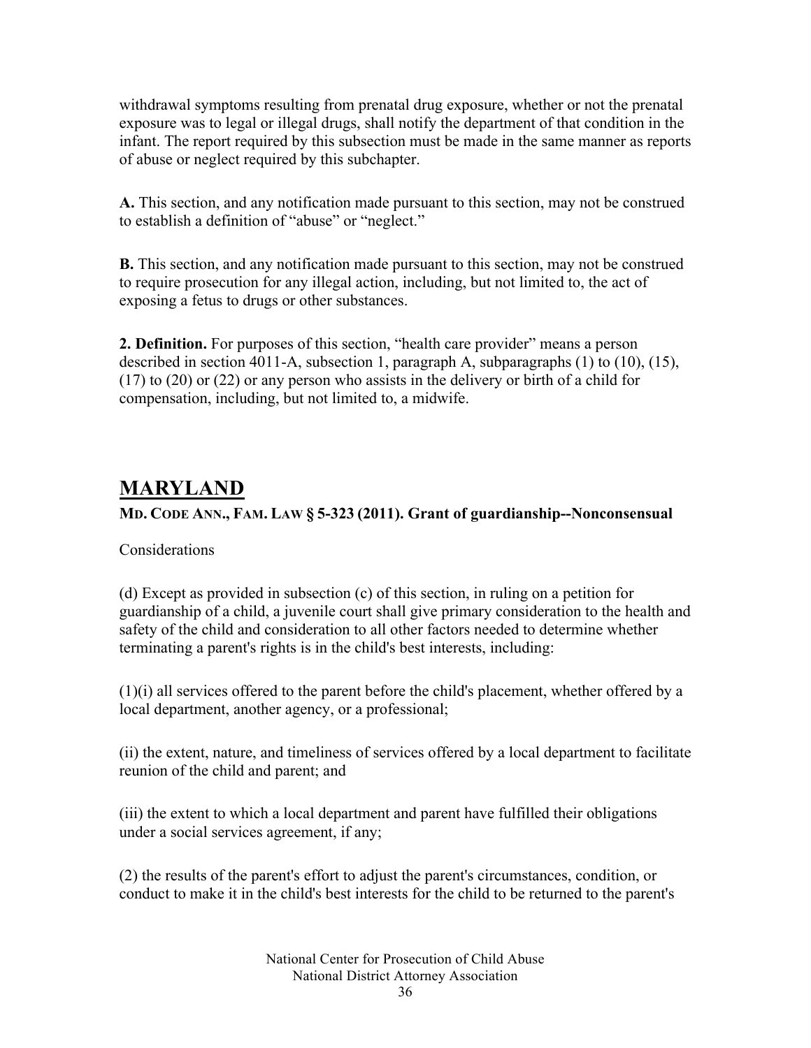withdrawal symptoms resulting from prenatal drug exposure, whether or not the prenatal exposure was to legal or illegal drugs, shall notify the department of that condition in the infant. The report required by this subsection must be made in the same manner as reports of abuse or neglect required by this subchapter.

**A.** This section, and any notification made pursuant to this section, may not be construed to establish a definition of "abuse" or "neglect."

**B.** This section, and any notification made pursuant to this section, may not be construed to require prosecution for any illegal action, including, but not limited to, the act of exposing a fetus to drugs or other substances.

**2. Definition.** For purposes of this section, "health care provider" means a person described in section 4011-A, subsection 1, paragraph A, subparagraphs (1) to (10), (15), (17) to (20) or (22) or any person who assists in the delivery or birth of a child for compensation, including, but not limited to, a midwife.

# **MARYLAND**

### **MD. CODE ANN., FAM. LAW § 5-323 (2011). Grant of guardianship--Nonconsensual**

Considerations

(d) Except as provided in subsection (c) of this section, in ruling on a petition for guardianship of a child, a juvenile court shall give primary consideration to the health and safety of the child and consideration to all other factors needed to determine whether terminating a parent's rights is in the child's best interests, including:

(1)(i) all services offered to the parent before the child's placement, whether offered by a local department, another agency, or a professional;

(ii) the extent, nature, and timeliness of services offered by a local department to facilitate reunion of the child and parent; and

(iii) the extent to which a local department and parent have fulfilled their obligations under a social services agreement, if any;

(2) the results of the parent's effort to adjust the parent's circumstances, condition, or conduct to make it in the child's best interests for the child to be returned to the parent's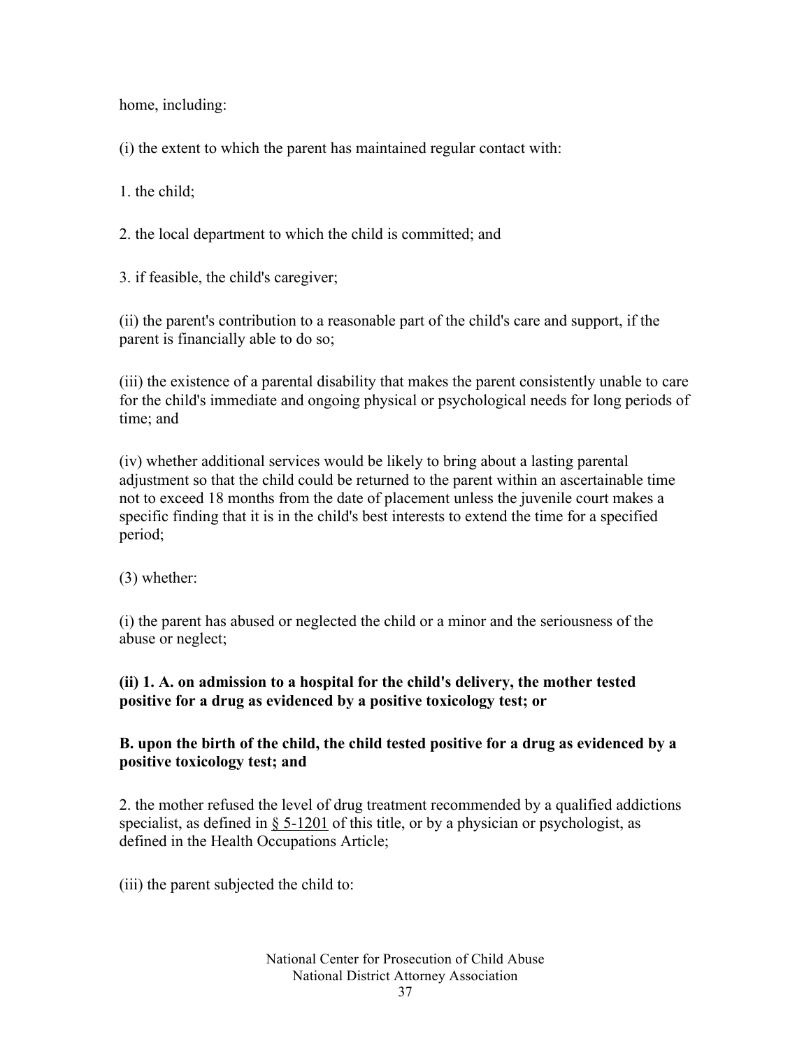home, including:

(i) the extent to which the parent has maintained regular contact with:

1. the child;

2. the local department to which the child is committed; and

3. if feasible, the child's caregiver;

(ii) the parent's contribution to a reasonable part of the child's care and support, if the parent is financially able to do so;

(iii) the existence of a parental disability that makes the parent consistently unable to care for the child's immediate and ongoing physical or psychological needs for long periods of time; and

(iv) whether additional services would be likely to bring about a lasting parental adjustment so that the child could be returned to the parent within an ascertainable time not to exceed 18 months from the date of placement unless the juvenile court makes a specific finding that it is in the child's best interests to extend the time for a specified period;

(3) whether:

(i) the parent has abused or neglected the child or a minor and the seriousness of the abuse or neglect;

**(ii) 1. A. on admission to a hospital for the child's delivery, the mother tested positive for a drug as evidenced by a positive toxicology test; or** 

**B. upon the birth of the child, the child tested positive for a drug as evidenced by a positive toxicology test; and** 

2. the mother refused the level of drug treatment recommended by a qualified addictions specialist, as defined in § 5-1201 of this title, or by a physician or psychologist, as defined in the Health Occupations Article;

(iii) the parent subjected the child to: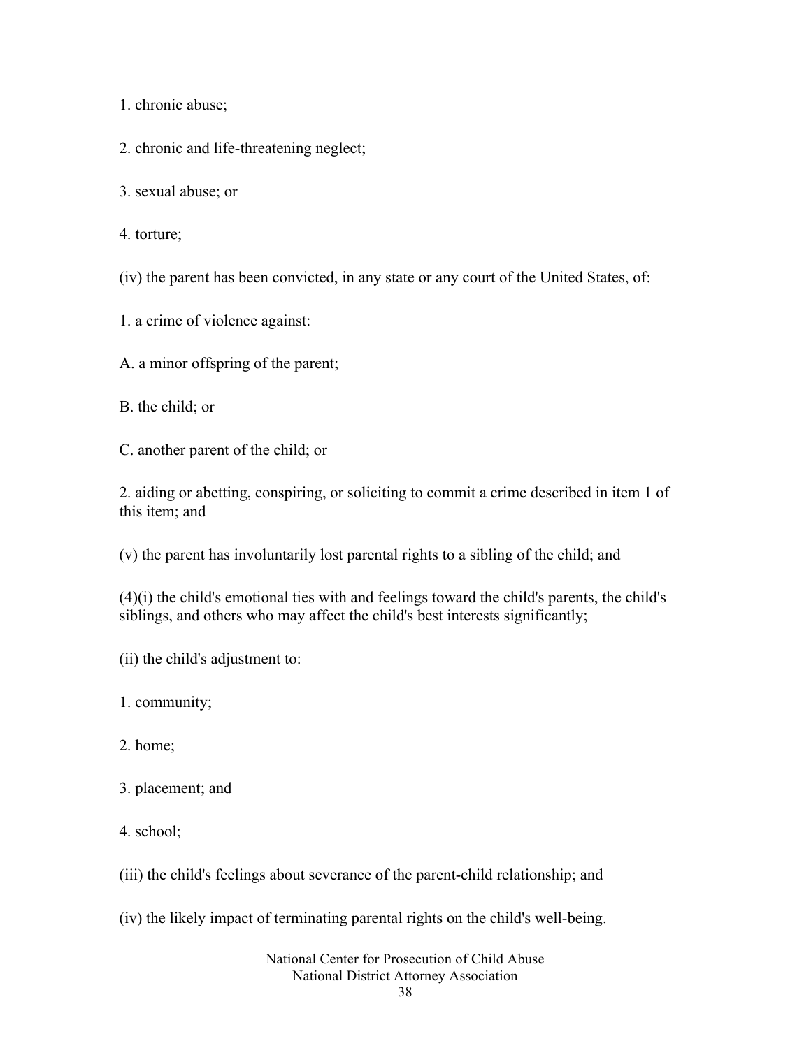1. chronic abuse;

- 2. chronic and life-threatening neglect;
- 3. sexual abuse; or
- 4. torture;

(iv) the parent has been convicted, in any state or any court of the United States, of:

- 1. a crime of violence against:
- A. a minor offspring of the parent;
- B. the child; or

C. another parent of the child; or

2. aiding or abetting, conspiring, or soliciting to commit a crime described in item 1 of this item; and

(v) the parent has involuntarily lost parental rights to a sibling of the child; and

(4)(i) the child's emotional ties with and feelings toward the child's parents, the child's siblings, and others who may affect the child's best interests significantly;

- (ii) the child's adjustment to:
- 1. community;
- 2. home;
- 3. placement; and
- 4. school;

(iii) the child's feelings about severance of the parent-child relationship; and

(iv) the likely impact of terminating parental rights on the child's well-being.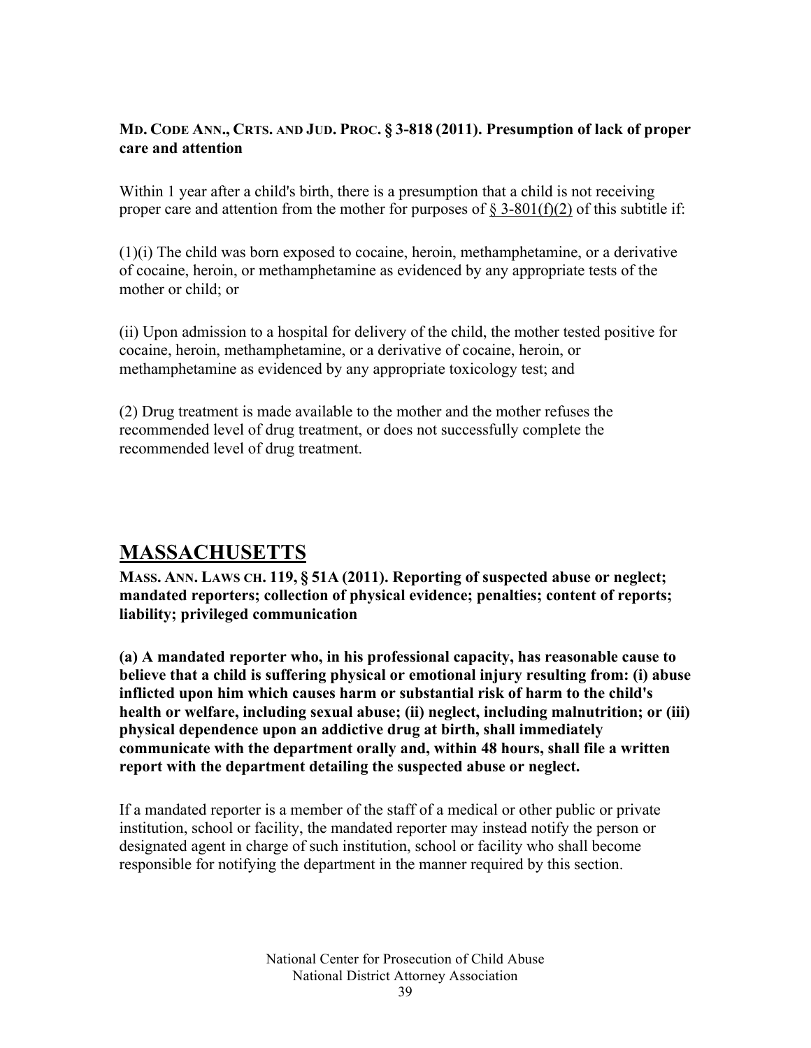#### **MD. CODE ANN., CRTS. AND JUD. PROC. § 3-818 (2011). Presumption of lack of proper care and attention**

Within 1 year after a child's birth, there is a presumption that a child is not receiving proper care and attention from the mother for purposes of  $\S$  3-801(f)(2) of this subtitle if:

(1)(i) The child was born exposed to cocaine, heroin, methamphetamine, or a derivative of cocaine, heroin, or methamphetamine as evidenced by any appropriate tests of the mother or child; or

(ii) Upon admission to a hospital for delivery of the child, the mother tested positive for cocaine, heroin, methamphetamine, or a derivative of cocaine, heroin, or methamphetamine as evidenced by any appropriate toxicology test; and

(2) Drug treatment is made available to the mother and the mother refuses the recommended level of drug treatment, or does not successfully complete the recommended level of drug treatment.

### **MASSACHUSETTS**

**MASS. ANN. LAWS CH. 119, § 51A (2011). Reporting of suspected abuse or neglect; mandated reporters; collection of physical evidence; penalties; content of reports; liability; privileged communication**

**(a) A mandated reporter who, in his professional capacity, has reasonable cause to believe that a child is suffering physical or emotional injury resulting from: (i) abuse inflicted upon him which causes harm or substantial risk of harm to the child's health or welfare, including sexual abuse; (ii) neglect, including malnutrition; or (iii) physical dependence upon an addictive drug at birth, shall immediately communicate with the department orally and, within 48 hours, shall file a written report with the department detailing the suspected abuse or neglect.**

If a mandated reporter is a member of the staff of a medical or other public or private institution, school or facility, the mandated reporter may instead notify the person or designated agent in charge of such institution, school or facility who shall become responsible for notifying the department in the manner required by this section.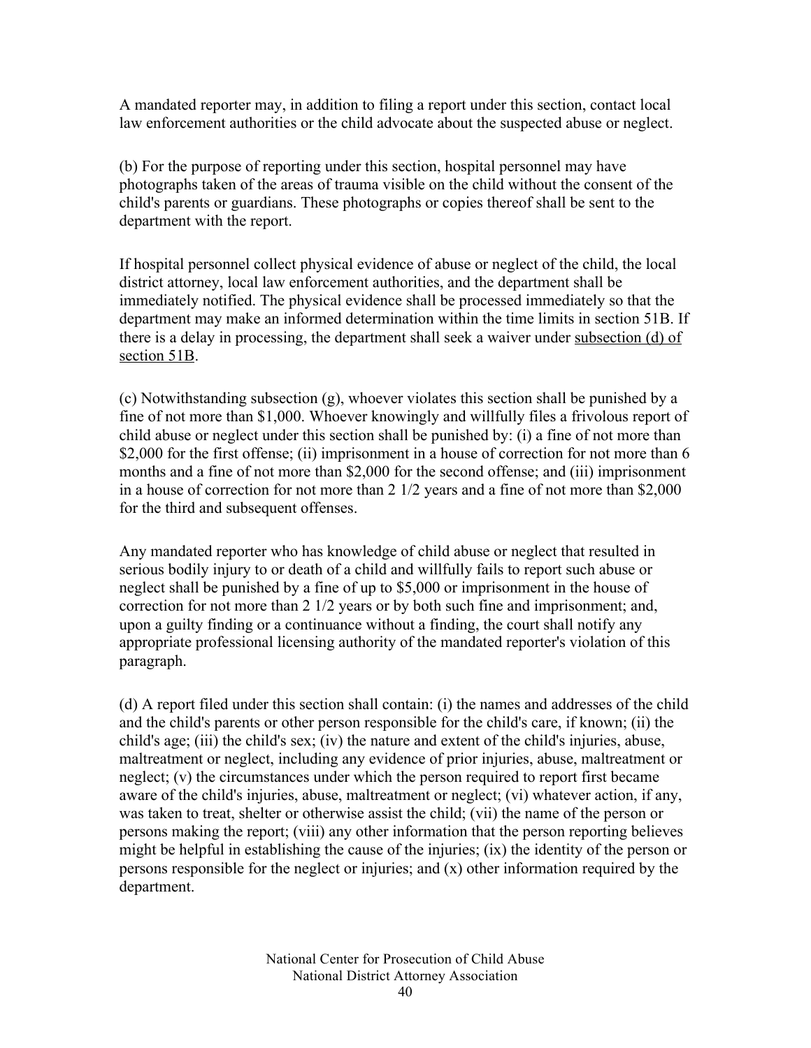A mandated reporter may, in addition to filing a report under this section, contact local law enforcement authorities or the child advocate about the suspected abuse or neglect.

(b) For the purpose of reporting under this section, hospital personnel may have photographs taken of the areas of trauma visible on the child without the consent of the child's parents or guardians. These photographs or copies thereof shall be sent to the department with the report.

If hospital personnel collect physical evidence of abuse or neglect of the child, the local district attorney, local law enforcement authorities, and the department shall be immediately notified. The physical evidence shall be processed immediately so that the department may make an informed determination within the time limits in section 51B. If there is a delay in processing, the department shall seek a waiver under subsection (d) of section 51B.

(c) Notwithstanding subsection (g), whoever violates this section shall be punished by a fine of not more than \$1,000. Whoever knowingly and willfully files a frivolous report of child abuse or neglect under this section shall be punished by: (i) a fine of not more than \$2,000 for the first offense; (ii) imprisonment in a house of correction for not more than 6 months and a fine of not more than \$2,000 for the second offense; and (iii) imprisonment in a house of correction for not more than 2 1/2 years and a fine of not more than \$2,000 for the third and subsequent offenses.

Any mandated reporter who has knowledge of child abuse or neglect that resulted in serious bodily injury to or death of a child and willfully fails to report such abuse or neglect shall be punished by a fine of up to \$5,000 or imprisonment in the house of correction for not more than 2 1/2 years or by both such fine and imprisonment; and, upon a guilty finding or a continuance without a finding, the court shall notify any appropriate professional licensing authority of the mandated reporter's violation of this paragraph.

(d) A report filed under this section shall contain: (i) the names and addresses of the child and the child's parents or other person responsible for the child's care, if known; (ii) the child's age; (iii) the child's sex; (iv) the nature and extent of the child's injuries, abuse, maltreatment or neglect, including any evidence of prior injuries, abuse, maltreatment or neglect; (v) the circumstances under which the person required to report first became aware of the child's injuries, abuse, maltreatment or neglect; (vi) whatever action, if any, was taken to treat, shelter or otherwise assist the child; (vii) the name of the person or persons making the report; (viii) any other information that the person reporting believes might be helpful in establishing the cause of the injuries; (ix) the identity of the person or persons responsible for the neglect or injuries; and (x) other information required by the department.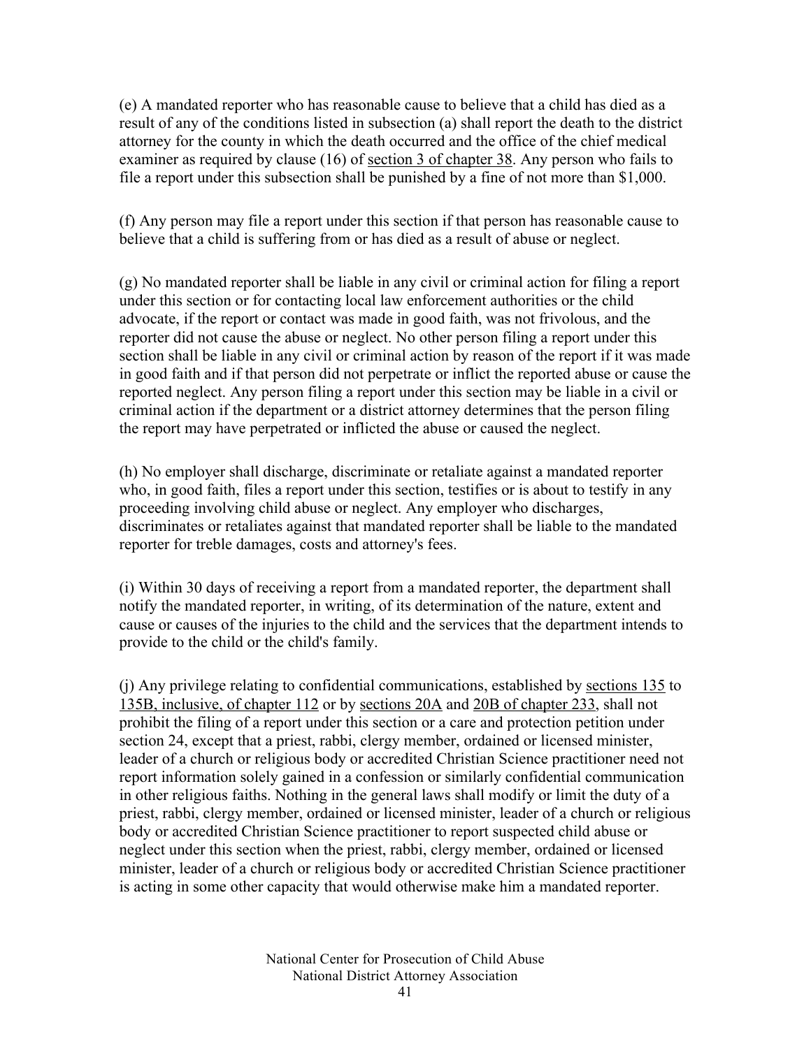(e) A mandated reporter who has reasonable cause to believe that a child has died as a result of any of the conditions listed in subsection (a) shall report the death to the district attorney for the county in which the death occurred and the office of the chief medical examiner as required by clause (16) of <u>section 3 of chapter 38</u>. Any person who fails to file a report under this subsection shall be punished by a fine of not more than \$1,000.

(f) Any person may file a report under this section if that person has reasonable cause to believe that a child is suffering from or has died as a result of abuse or neglect.

(g) No mandated reporter shall be liable in any civil or criminal action for filing a report under this section or for contacting local law enforcement authorities or the child advocate, if the report or contact was made in good faith, was not frivolous, and the reporter did not cause the abuse or neglect. No other person filing a report under this section shall be liable in any civil or criminal action by reason of the report if it was made in good faith and if that person did not perpetrate or inflict the reported abuse or cause the reported neglect. Any person filing a report under this section may be liable in a civil or criminal action if the department or a district attorney determines that the person filing the report may have perpetrated or inflicted the abuse or caused the neglect.

(h) No employer shall discharge, discriminate or retaliate against a mandated reporter who, in good faith, files a report under this section, testifies or is about to testify in any proceeding involving child abuse or neglect. Any employer who discharges, discriminates or retaliates against that mandated reporter shall be liable to the mandated reporter for treble damages, costs and attorney's fees.

(i) Within 30 days of receiving a report from a mandated reporter, the department shall notify the mandated reporter, in writing, of its determination of the nature, extent and cause or causes of the injuries to the child and the services that the department intends to provide to the child or the child's family.

(j) Any privilege relating to confidential communications, established by sections 135 to 135B, inclusive, of chapter 112 or by sections 20A and 20B of chapter 233, shall not prohibit the filing of a report under this section or a care and protection petition under section 24, except that a priest, rabbi, clergy member, ordained or licensed minister, leader of a church or religious body or accredited Christian Science practitioner need not report information solely gained in a confession or similarly confidential communication in other religious faiths. Nothing in the general laws shall modify or limit the duty of a priest, rabbi, clergy member, ordained or licensed minister, leader of a church or religious body or accredited Christian Science practitioner to report suspected child abuse or neglect under this section when the priest, rabbi, clergy member, ordained or licensed minister, leader of a church or religious body or accredited Christian Science practitioner is acting in some other capacity that would otherwise make him a mandated reporter.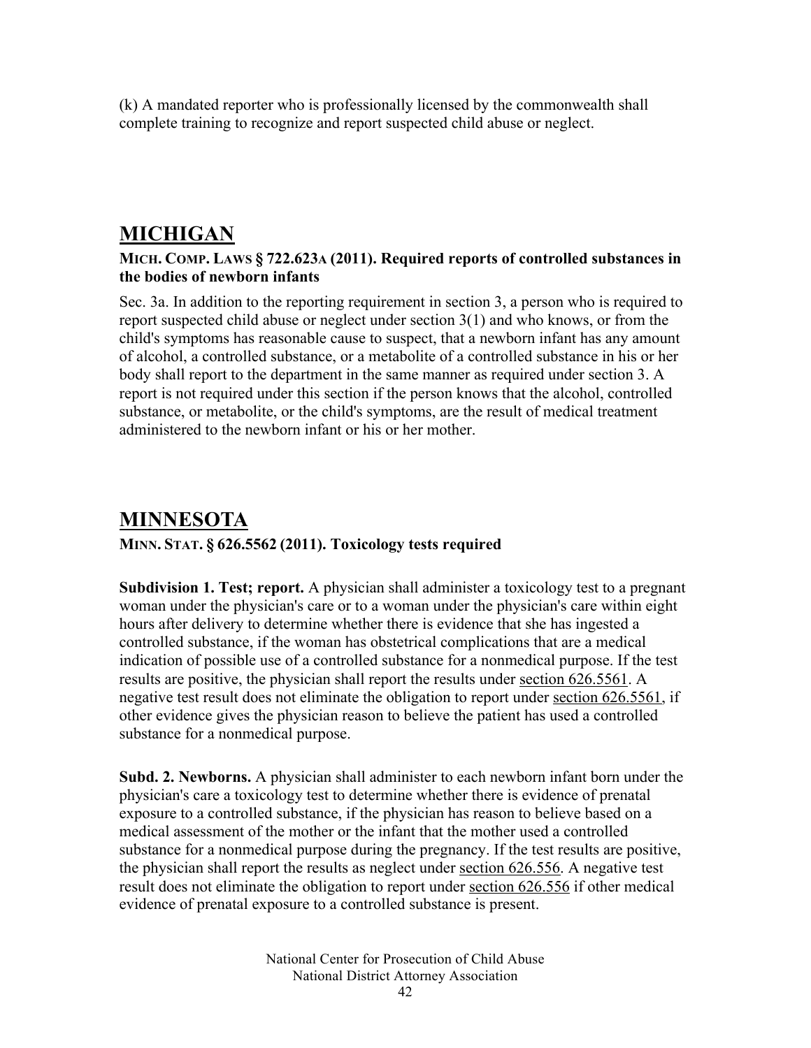(k) A mandated reporter who is professionally licensed by the commonwealth shall complete training to recognize and report suspected child abuse or neglect.

### **MICHIGAN**

#### **MICH. COMP. LAWS § 722.623A (2011). Required reports of controlled substances in the bodies of newborn infants**

Sec. 3a. In addition to the reporting requirement in section 3, a person who is required to report suspected child abuse or neglect under section 3(1) and who knows, or from the child's symptoms has reasonable cause to suspect, that a newborn infant has any amount of alcohol, a controlled substance, or a metabolite of a controlled substance in his or her body shall report to the department in the same manner as required under section 3. A report is not required under this section if the person knows that the alcohol, controlled substance, or metabolite, or the child's symptoms, are the result of medical treatment administered to the newborn infant or his or her mother.

### **MINNESOTA MINN. STAT. § 626.5562 (2011). Toxicology tests required**

**Subdivision 1. Test; report.** A physician shall administer a toxicology test to a pregnant woman under the physician's care or to a woman under the physician's care within eight hours after delivery to determine whether there is evidence that she has ingested a controlled substance, if the woman has obstetrical complications that are a medical indication of possible use of a controlled substance for a nonmedical purpose. If the test results are positive, the physician shall report the results under section 626.5561. A negative test result does not eliminate the obligation to report under section 626.5561, if other evidence gives the physician reason to believe the patient has used a controlled substance for a nonmedical purpose.

**Subd. 2. Newborns.** A physician shall administer to each newborn infant born under the physician's care a toxicology test to determine whether there is evidence of prenatal exposure to a controlled substance, if the physician has reason to believe based on a medical assessment of the mother or the infant that the mother used a controlled substance for a nonmedical purpose during the pregnancy. If the test results are positive, the physician shall report the results as neglect under section 626.556. A negative test result does not eliminate the obligation to report under section 626.556 if other medical evidence of prenatal exposure to a controlled substance is present.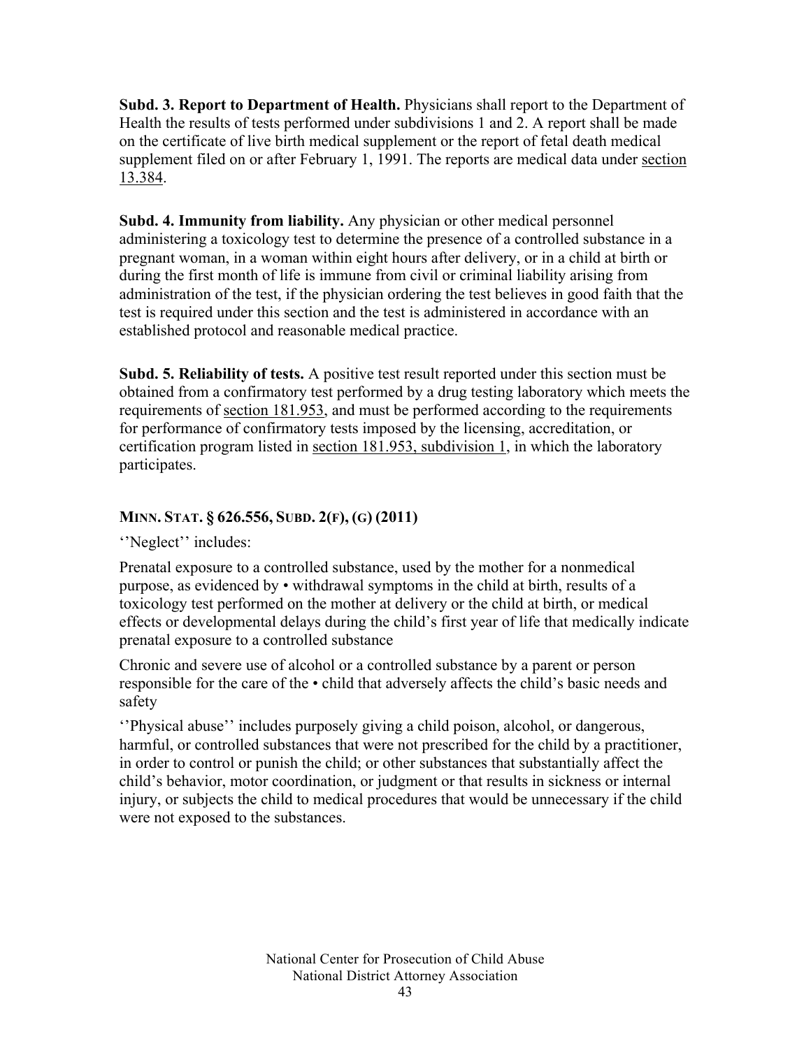**Subd. 3. Report to Department of Health.** Physicians shall report to the Department of Health the results of tests performed under subdivisions 1 and 2. A report shall be made on the certificate of live birth medical supplement or the report of fetal death medical supplement filed on or after February 1, 1991. The reports are medical data under section 13.384.

**Subd. 4. Immunity from liability.** Any physician or other medical personnel administering a toxicology test to determine the presence of a controlled substance in a pregnant woman, in a woman within eight hours after delivery, or in a child at birth or during the first month of life is immune from civil or criminal liability arising from administration of the test, if the physician ordering the test believes in good faith that the test is required under this section and the test is administered in accordance with an established protocol and reasonable medical practice.

**Subd. 5. Reliability of tests.** A positive test result reported under this section must be obtained from a confirmatory test performed by a drug testing laboratory which meets the requirements of section 181.953, and must be performed according to the requirements for performance of confirmatory tests imposed by the licensing, accreditation, or certification program listed in section 181.953, subdivision 1, in which the laboratory participates.

### **MINN. STAT. § 626.556, SUBD. 2(F), (G) (2011)**

''Neglect'' includes:

Prenatal exposure to a controlled substance, used by the mother for a nonmedical purpose, as evidenced by • withdrawal symptoms in the child at birth, results of a toxicology test performed on the mother at delivery or the child at birth, or medical effects or developmental delays during the child's first year of life that medically indicate prenatal exposure to a controlled substance

Chronic and severe use of alcohol or a controlled substance by a parent or person responsible for the care of the • child that adversely affects the child's basic needs and safety

''Physical abuse'' includes purposely giving a child poison, alcohol, or dangerous, harmful, or controlled substances that were not prescribed for the child by a practitioner, in order to control or punish the child; or other substances that substantially affect the child's behavior, motor coordination, or judgment or that results in sickness or internal injury, or subjects the child to medical procedures that would be unnecessary if the child were not exposed to the substances.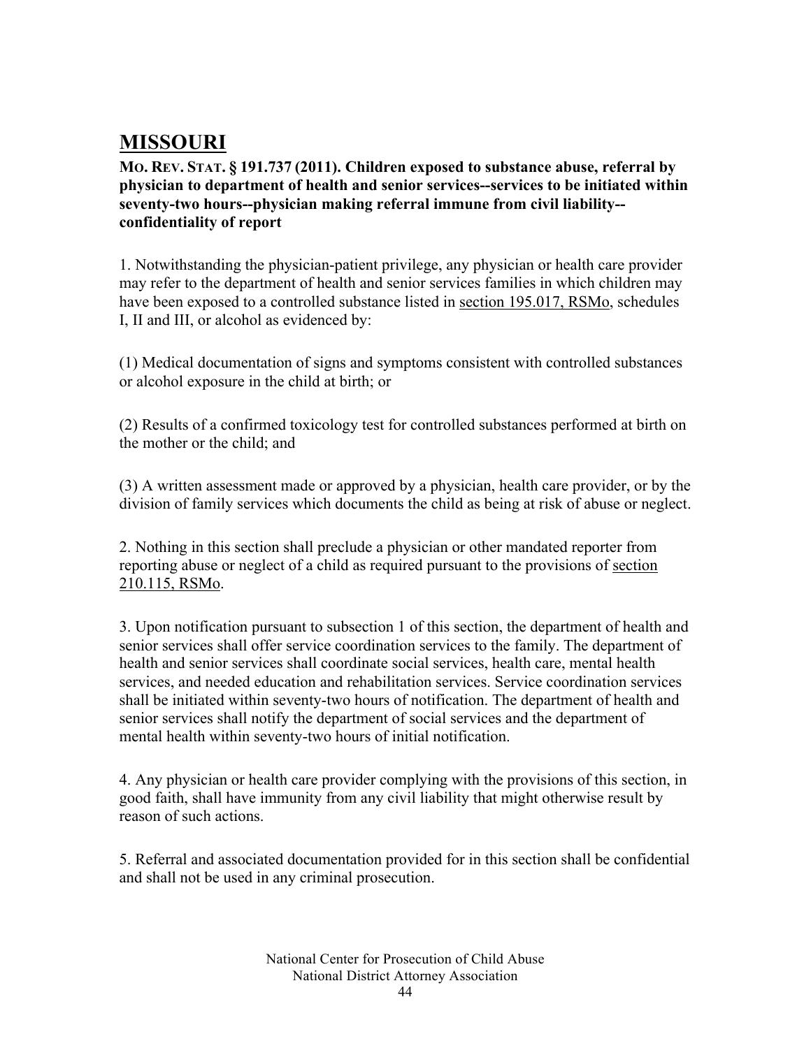### **MISSOURI**

**MO. REV. STAT. § 191.737 (2011). Children exposed to substance abuse, referral by physician to department of health and senior services--services to be initiated within seventy-two hours--physician making referral immune from civil liability- confidentiality of report**

1. Notwithstanding the physician-patient privilege, any physician or health care provider may refer to the department of health and senior services families in which children may have been exposed to a controlled substance listed in section 195.017, RSMo, schedules I, II and III, or alcohol as evidenced by:

(1) Medical documentation of signs and symptoms consistent with controlled substances or alcohol exposure in the child at birth; or

(2) Results of a confirmed toxicology test for controlled substances performed at birth on the mother or the child; and

(3) A written assessment made or approved by a physician, health care provider, or by the division of family services which documents the child as being at risk of abuse or neglect.

2. Nothing in this section shall preclude a physician or other mandated reporter from reporting abuse or neglect of a child as required pursuant to the provisions of section 210.115, RSMo.

3. Upon notification pursuant to subsection 1 of this section, the department of health and senior services shall offer service coordination services to the family. The department of health and senior services shall coordinate social services, health care, mental health services, and needed education and rehabilitation services. Service coordination services shall be initiated within seventy-two hours of notification. The department of health and senior services shall notify the department of social services and the department of mental health within seventy-two hours of initial notification.

4. Any physician or health care provider complying with the provisions of this section, in good faith, shall have immunity from any civil liability that might otherwise result by reason of such actions.

5. Referral and associated documentation provided for in this section shall be confidential and shall not be used in any criminal prosecution.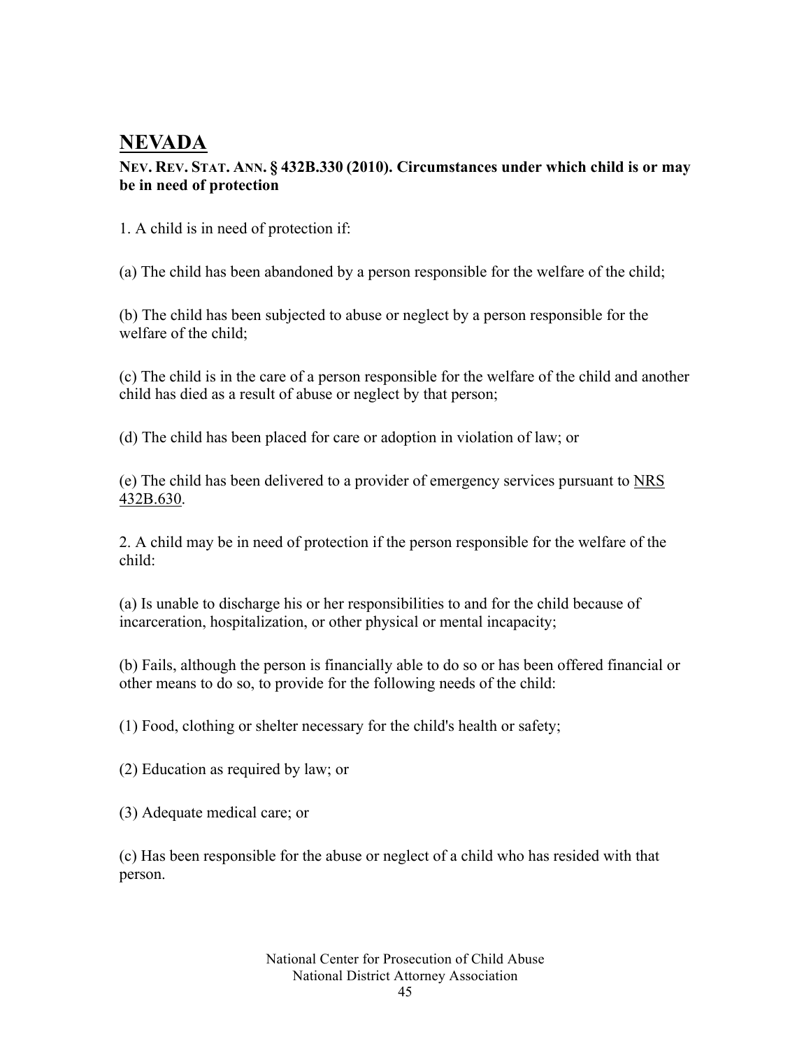### **NEVADA**

### **NEV. REV. STAT. ANN. § 432B.330 (2010). Circumstances under which child is or may be in need of protection**

1. A child is in need of protection if:

(a) The child has been abandoned by a person responsible for the welfare of the child;

(b) The child has been subjected to abuse or neglect by a person responsible for the welfare of the child;

(c) The child is in the care of a person responsible for the welfare of the child and another child has died as a result of abuse or neglect by that person;

(d) The child has been placed for care or adoption in violation of law; or

(e) The child has been delivered to a provider of emergency services pursuant to NRS 432B.630.

2. A child may be in need of protection if the person responsible for the welfare of the child:

(a) Is unable to discharge his or her responsibilities to and for the child because of incarceration, hospitalization, or other physical or mental incapacity;

(b) Fails, although the person is financially able to do so or has been offered financial or other means to do so, to provide for the following needs of the child:

(1) Food, clothing or shelter necessary for the child's health or safety;

(2) Education as required by law; or

(3) Adequate medical care; or

(c) Has been responsible for the abuse or neglect of a child who has resided with that person.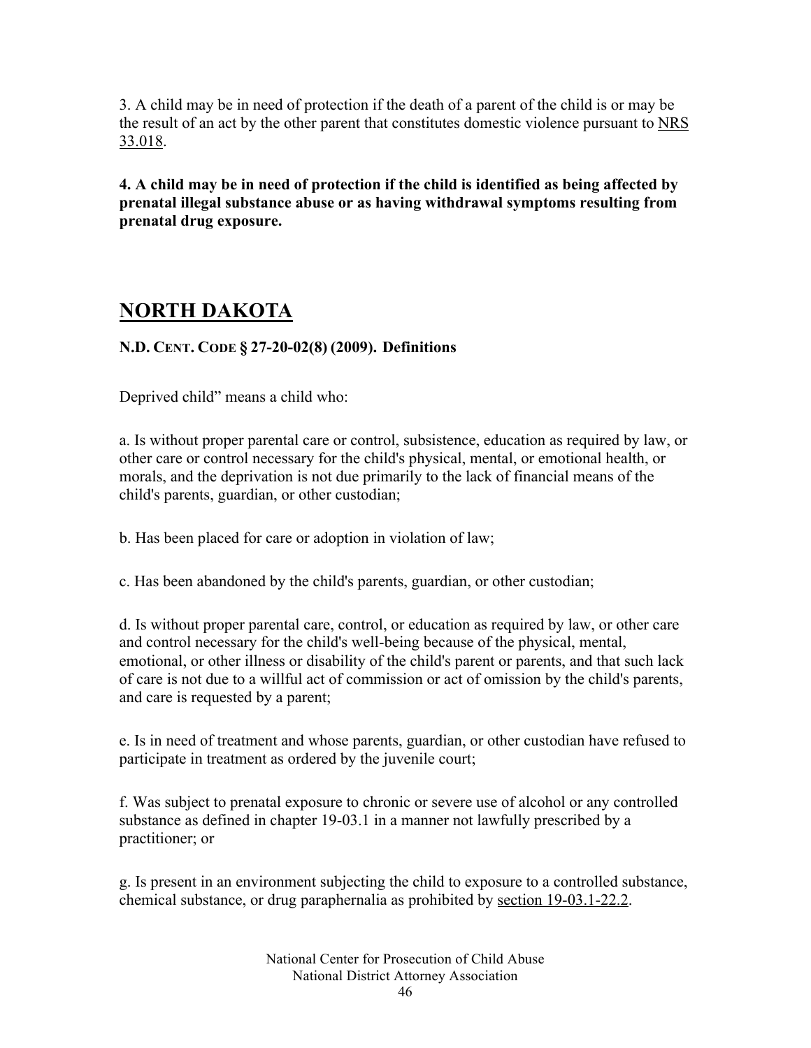3. A child may be in need of protection if the death of a parent of the child is or may be the result of an act by the other parent that constitutes domestic violence pursuant to NRS 33.018.

**4. A child may be in need of protection if the child is identified as being affected by prenatal illegal substance abuse or as having withdrawal symptoms resulting from prenatal drug exposure.**

### **NORTH DAKOTA**

### **N.D. CENT. CODE § 27-20-02(8) (2009). Definitions**

Deprived child" means a child who:

a. Is without proper parental care or control, subsistence, education as required by law, or other care or control necessary for the child's physical, mental, or emotional health, or morals, and the deprivation is not due primarily to the lack of financial means of the child's parents, guardian, or other custodian;

b. Has been placed for care or adoption in violation of law;

c. Has been abandoned by the child's parents, guardian, or other custodian;

d. Is without proper parental care, control, or education as required by law, or other care and control necessary for the child's well-being because of the physical, mental, emotional, or other illness or disability of the child's parent or parents, and that such lack of care is not due to a willful act of commission or act of omission by the child's parents, and care is requested by a parent;

e. Is in need of treatment and whose parents, guardian, or other custodian have refused to participate in treatment as ordered by the juvenile court;

f. Was subject to prenatal exposure to chronic or severe use of alcohol or any controlled substance as defined in chapter 19-03.1 in a manner not lawfully prescribed by a practitioner; or

g. Is present in an environment subjecting the child to exposure to a controlled substance, chemical substance, or drug paraphernalia as prohibited by section 19-03.1-22.2.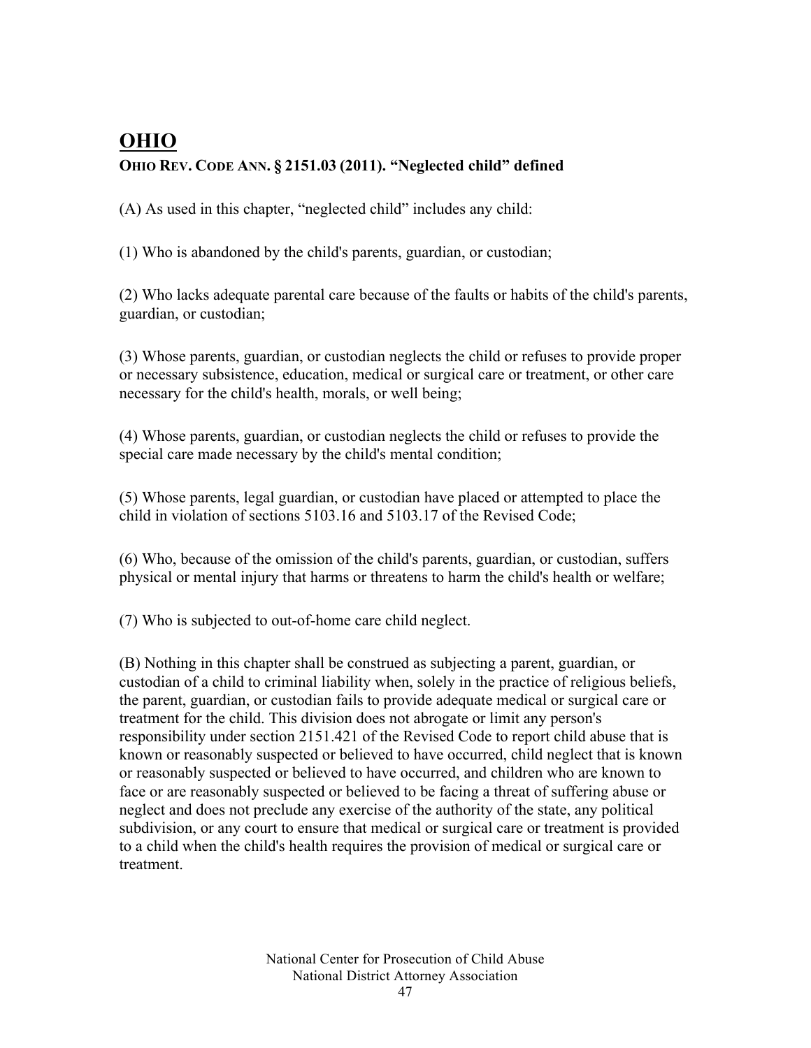### **OHIO OHIO REV. CODE ANN. § 2151.03 (2011). "Neglected child" defined**

(A) As used in this chapter, "neglected child" includes any child:

(1) Who is abandoned by the child's parents, guardian, or custodian;

(2) Who lacks adequate parental care because of the faults or habits of the child's parents, guardian, or custodian;

(3) Whose parents, guardian, or custodian neglects the child or refuses to provide proper or necessary subsistence, education, medical or surgical care or treatment, or other care necessary for the child's health, morals, or well being;

(4) Whose parents, guardian, or custodian neglects the child or refuses to provide the special care made necessary by the child's mental condition;

(5) Whose parents, legal guardian, or custodian have placed or attempted to place the child in violation of sections 5103.16 and 5103.17 of the Revised Code;

(6) Who, because of the omission of the child's parents, guardian, or custodian, suffers physical or mental injury that harms or threatens to harm the child's health or welfare;

(7) Who is subjected to out-of-home care child neglect.

(B) Nothing in this chapter shall be construed as subjecting a parent, guardian, or custodian of a child to criminal liability when, solely in the practice of religious beliefs, the parent, guardian, or custodian fails to provide adequate medical or surgical care or treatment for the child. This division does not abrogate or limit any person's responsibility under section 2151.421 of the Revised Code to report child abuse that is known or reasonably suspected or believed to have occurred, child neglect that is known or reasonably suspected or believed to have occurred, and children who are known to face or are reasonably suspected or believed to be facing a threat of suffering abuse or neglect and does not preclude any exercise of the authority of the state, any political subdivision, or any court to ensure that medical or surgical care or treatment is provided to a child when the child's health requires the provision of medical or surgical care or treatment.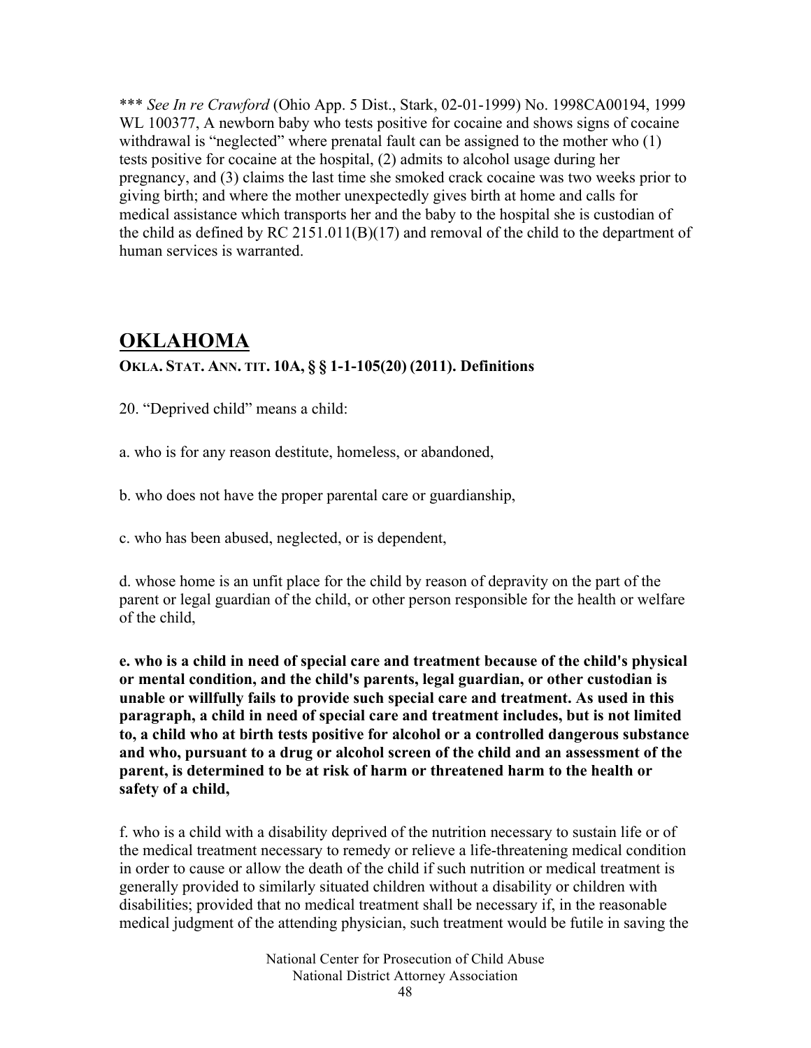\*\*\* *See In re Crawford* (Ohio App. 5 Dist., Stark, 02-01-1999) No. 1998CA00194, 1999 WL 100377, A newborn baby who tests positive for cocaine and shows signs of cocaine withdrawal is "neglected" where prenatal fault can be assigned to the mother who (1) tests positive for cocaine at the hospital, (2) admits to alcohol usage during her pregnancy, and (3) claims the last time she smoked crack cocaine was two weeks prior to giving birth; and where the mother unexpectedly gives birth at home and calls for medical assistance which transports her and the baby to the hospital she is custodian of the child as defined by RC 2151.011(B)(17) and removal of the child to the department of human services is warranted.

### **OKLAHOMA**

### **OKLA. STAT. ANN. TIT. 10A, § § 1-1-105(20) (2011). Definitions**

20. "Deprived child" means a child:

a. who is for any reason destitute, homeless, or abandoned,

b. who does not have the proper parental care or guardianship,

c. who has been abused, neglected, or is dependent,

d. whose home is an unfit place for the child by reason of depravity on the part of the parent or legal guardian of the child, or other person responsible for the health or welfare of the child,

**e. who is a child in need of special care and treatment because of the child's physical or mental condition, and the child's parents, legal guardian, or other custodian is unable or willfully fails to provide such special care and treatment. As used in this paragraph, a child in need of special care and treatment includes, but is not limited to, a child who at birth tests positive for alcohol or a controlled dangerous substance and who, pursuant to a drug or alcohol screen of the child and an assessment of the parent, is determined to be at risk of harm or threatened harm to the health or safety of a child,** 

f. who is a child with a disability deprived of the nutrition necessary to sustain life or of the medical treatment necessary to remedy or relieve a life-threatening medical condition in order to cause or allow the death of the child if such nutrition or medical treatment is generally provided to similarly situated children without a disability or children with disabilities; provided that no medical treatment shall be necessary if, in the reasonable medical judgment of the attending physician, such treatment would be futile in saving the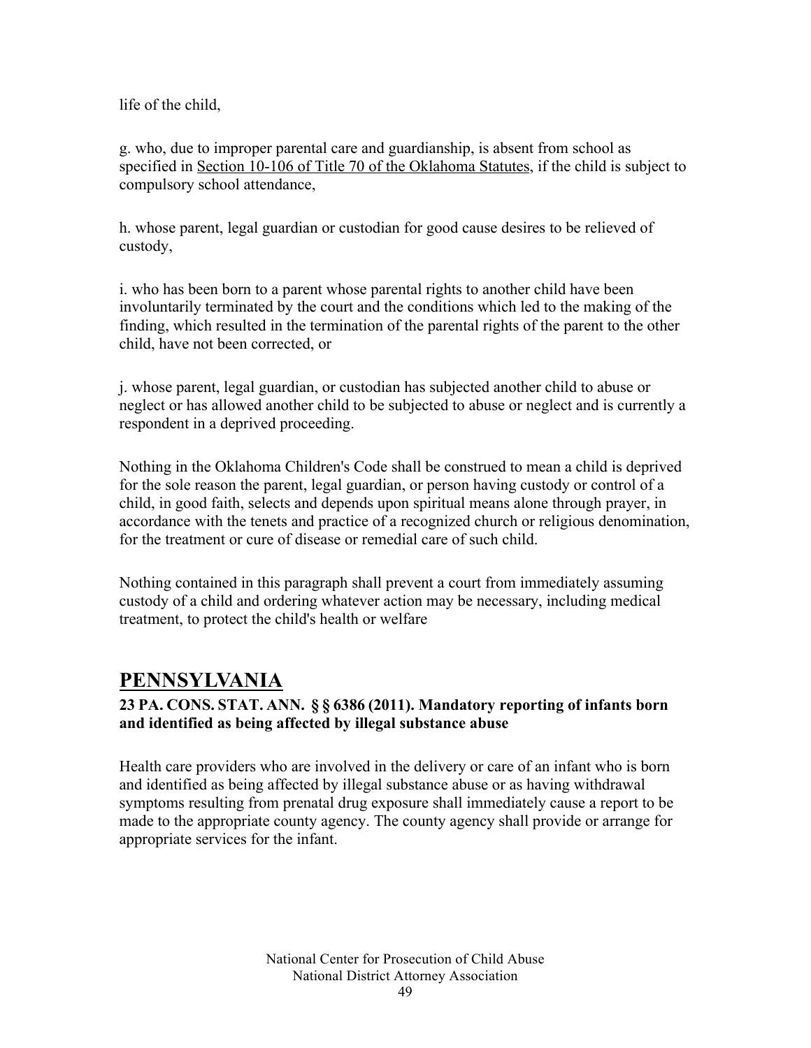life of the child,

g. who, due to improper parental care and guardianship, is absent from school as specified in Section 10-106 of Title 70 of the Oklahoma Statutes, if the child is subject to compulsory school attendance,

h. whose parent, legal guardian or custodian for good cause desires to be relieved of custody,

i. who has been born to a parent whose parental rights to another child have been involuntarily terminated by the court and the conditions which led to the making of the finding, which resulted in the termination of the parental rights of the parent to the other child, have not been corrected, or

j. whose parent, legal guardian, or custodian has subjected another child to abuse or neglect or has allowed another child to be subjected to abuse or neglect and is currently a respondent in a deprived proceeding.

Nothing in the Oklahoma Children's Code shall be construed to mean a child is deprived for the sole reason the parent, legal guardian, or person having custody or control of a child, in good faith, selects and depends upon spiritual means alone through prayer, in accordance with the tenets and practice of a recognized church or religious denomination, for the treatment or cure of disease or remedial care of such child.

Nothing contained in this paragraph shall prevent a court from immediately assuming custody of a child and ordering whatever action may be necessary, including medical treatment, to protect the child's health or welfare

### **PENNSYLVANIA**

### **23 PA. CONS. STAT. ANN. § § 6386 (2011). Mandatory reporting of infants born and identified as being affected by illegal substance abuse**

Health care providers who are involved in the delivery or care of an infant who is born and identified as being affected by illegal substance abuse or as having withdrawal symptoms resulting from prenatal drug exposure shall immediately cause a report to be made to the appropriate county agency. The county agency shall provide or arrange for appropriate services for the infant.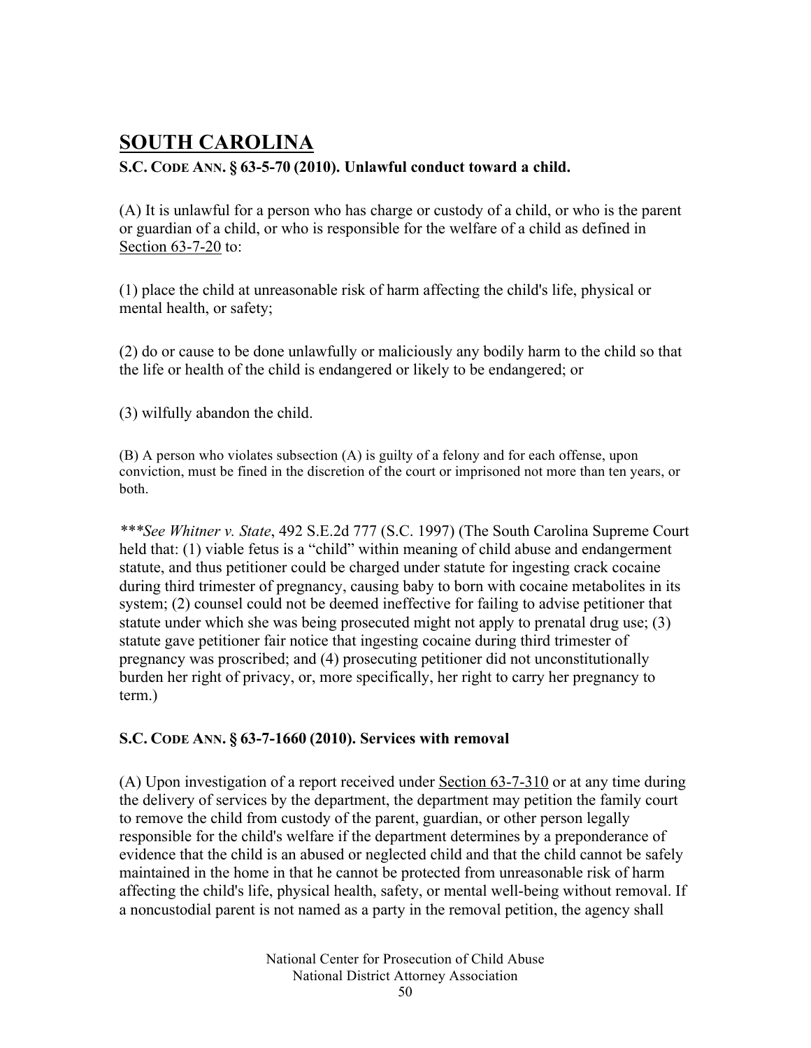# **SOUTH CAROLINA**

### **S.C. CODE ANN. § 63-5-70 (2010). Unlawful conduct toward a child.**

(A) It is unlawful for a person who has charge or custody of a child, or who is the parent or guardian of a child, or who is responsible for the welfare of a child as defined in Section 63-7-20 to:

(1) place the child at unreasonable risk of harm affecting the child's life, physical or mental health, or safety;

(2) do or cause to be done unlawfully or maliciously any bodily harm to the child so that the life or health of the child is endangered or likely to be endangered; or

(3) wilfully abandon the child.

(B) A person who violates subsection (A) is guilty of a felony and for each offense, upon conviction, must be fined in the discretion of the court or imprisoned not more than ten years, or both.

*\*\*\*See Whitner v. State*, 492 S.E.2d 777 (S.C. 1997) (The South Carolina Supreme Court held that: (1) viable fetus is a "child" within meaning of child abuse and endangerment statute, and thus petitioner could be charged under statute for ingesting crack cocaine during third trimester of pregnancy, causing baby to born with cocaine metabolites in its system; (2) counsel could not be deemed ineffective for failing to advise petitioner that statute under which she was being prosecuted might not apply to prenatal drug use; (3) statute gave petitioner fair notice that ingesting cocaine during third trimester of pregnancy was proscribed; and (4) prosecuting petitioner did not unconstitutionally burden her right of privacy, or, more specifically, her right to carry her pregnancy to term.)

### **S.C. CODE ANN. § 63-7-1660 (2010). Services with removal**

(A) Upon investigation of a report received under Section 63-7-310 or at any time during the delivery of services by the department, the department may petition the family court to remove the child from custody of the parent, guardian, or other person legally responsible for the child's welfare if the department determines by a preponderance of evidence that the child is an abused or neglected child and that the child cannot be safely maintained in the home in that he cannot be protected from unreasonable risk of harm affecting the child's life, physical health, safety, or mental well-being without removal. If a noncustodial parent is not named as a party in the removal petition, the agency shall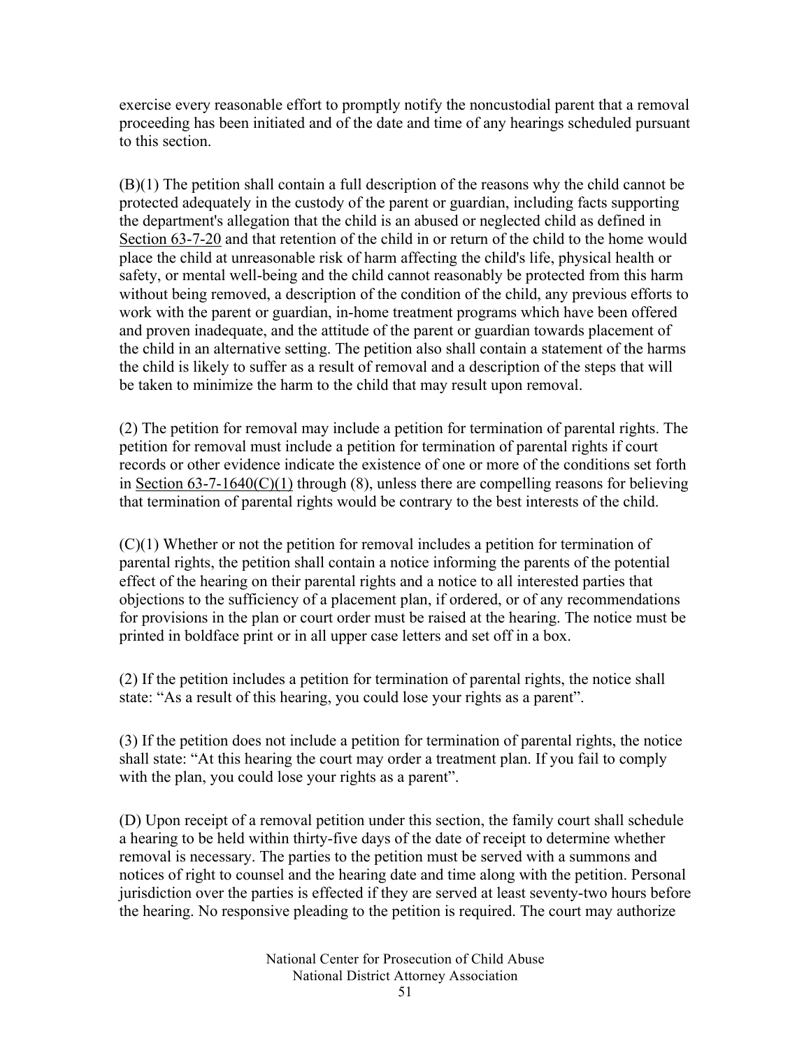exercise every reasonable effort to promptly notify the noncustodial parent that a removal proceeding has been initiated and of the date and time of any hearings scheduled pursuant to this section.

(B)(1) The petition shall contain a full description of the reasons why the child cannot be protected adequately in the custody of the parent or guardian, including facts supporting the department's allegation that the child is an abused or neglected child as defined in Section 63-7-20 and that retention of the child in or return of the child to the home would place the child at unreasonable risk of harm affecting the child's life, physical health or safety, or mental well-being and the child cannot reasonably be protected from this harm without being removed, a description of the condition of the child, any previous efforts to work with the parent or guardian, in-home treatment programs which have been offered and proven inadequate, and the attitude of the parent or guardian towards placement of the child in an alternative setting. The petition also shall contain a statement of the harms the child is likely to suffer as a result of removal and a description of the steps that will be taken to minimize the harm to the child that may result upon removal.

(2) The petition for removal may include a petition for termination of parental rights. The petition for removal must include a petition for termination of parental rights if court records or other evidence indicate the existence of one or more of the conditions set forth in Section  $63-7-1640(C)(1)$  through (8), unless there are compelling reasons for believing that termination of parental rights would be contrary to the best interests of the child.

(C)(1) Whether or not the petition for removal includes a petition for termination of parental rights, the petition shall contain a notice informing the parents of the potential effect of the hearing on their parental rights and a notice to all interested parties that objections to the sufficiency of a placement plan, if ordered, or of any recommendations for provisions in the plan or court order must be raised at the hearing. The notice must be printed in boldface print or in all upper case letters and set off in a box.

(2) If the petition includes a petition for termination of parental rights, the notice shall state: "As a result of this hearing, you could lose your rights as a parent".

(3) If the petition does not include a petition for termination of parental rights, the notice shall state: "At this hearing the court may order a treatment plan. If you fail to comply with the plan, you could lose your rights as a parent".

(D) Upon receipt of a removal petition under this section, the family court shall schedule a hearing to be held within thirty-five days of the date of receipt to determine whether removal is necessary. The parties to the petition must be served with a summons and notices of right to counsel and the hearing date and time along with the petition. Personal jurisdiction over the parties is effected if they are served at least seventy-two hours before the hearing. No responsive pleading to the petition is required. The court may authorize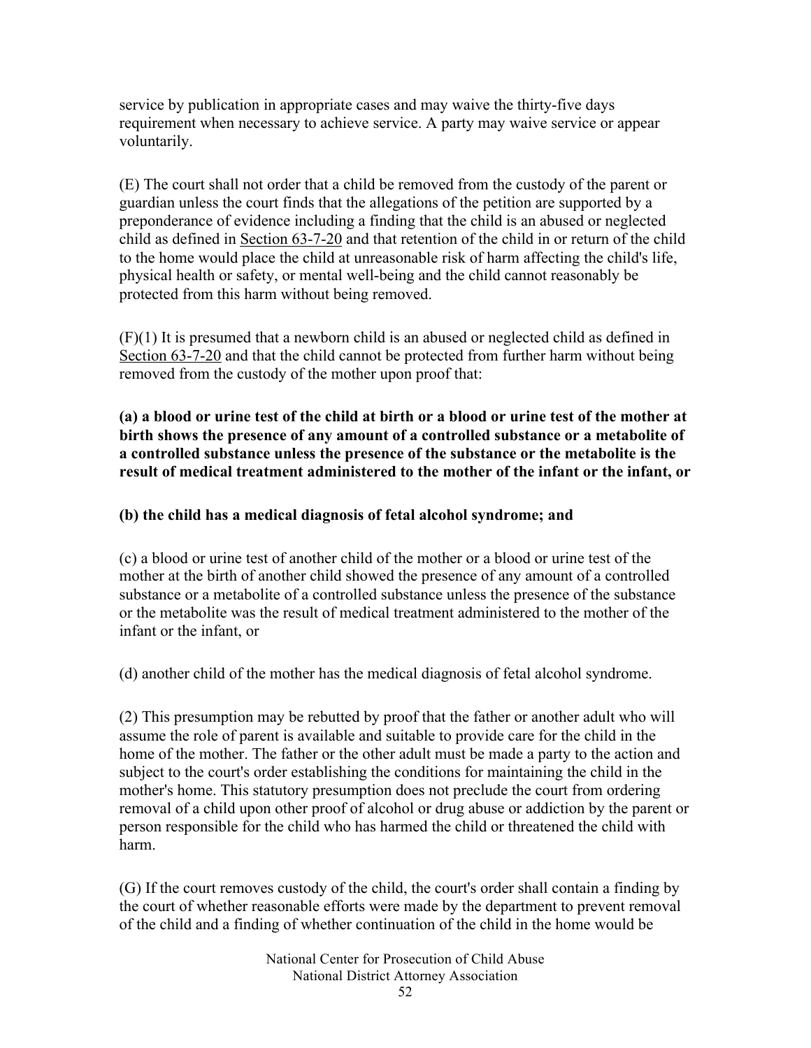service by publication in appropriate cases and may waive the thirty-five days requirement when necessary to achieve service. A party may waive service or appear voluntarily.

(E) The court shall not order that a child be removed from the custody of the parent or guardian unless the court finds that the allegations of the petition are supported by a preponderance of evidence including a finding that the child is an abused or neglected child as defined in Section 63-7-20 and that retention of the child in or return of the child to the home would place the child at unreasonable risk of harm affecting the child's life, physical health or safety, or mental well-being and the child cannot reasonably be protected from this harm without being removed.

(F)(1) It is presumed that a newborn child is an abused or neglected child as defined in Section 63-7-20 and that the child cannot be protected from further harm without being removed from the custody of the mother upon proof that:

**(a) a blood or urine test of the child at birth or a blood or urine test of the mother at birth shows the presence of any amount of a controlled substance or a metabolite of a controlled substance unless the presence of the substance or the metabolite is the result of medical treatment administered to the mother of the infant or the infant, or** 

### **(b) the child has a medical diagnosis of fetal alcohol syndrome; and**

(c) a blood or urine test of another child of the mother or a blood or urine test of the mother at the birth of another child showed the presence of any amount of a controlled substance or a metabolite of a controlled substance unless the presence of the substance or the metabolite was the result of medical treatment administered to the mother of the infant or the infant, or

(d) another child of the mother has the medical diagnosis of fetal alcohol syndrome.

(2) This presumption may be rebutted by proof that the father or another adult who will assume the role of parent is available and suitable to provide care for the child in the home of the mother. The father or the other adult must be made a party to the action and subject to the court's order establishing the conditions for maintaining the child in the mother's home. This statutory presumption does not preclude the court from ordering removal of a child upon other proof of alcohol or drug abuse or addiction by the parent or person responsible for the child who has harmed the child or threatened the child with harm.

(G) If the court removes custody of the child, the court's order shall contain a finding by the court of whether reasonable efforts were made by the department to prevent removal of the child and a finding of whether continuation of the child in the home would be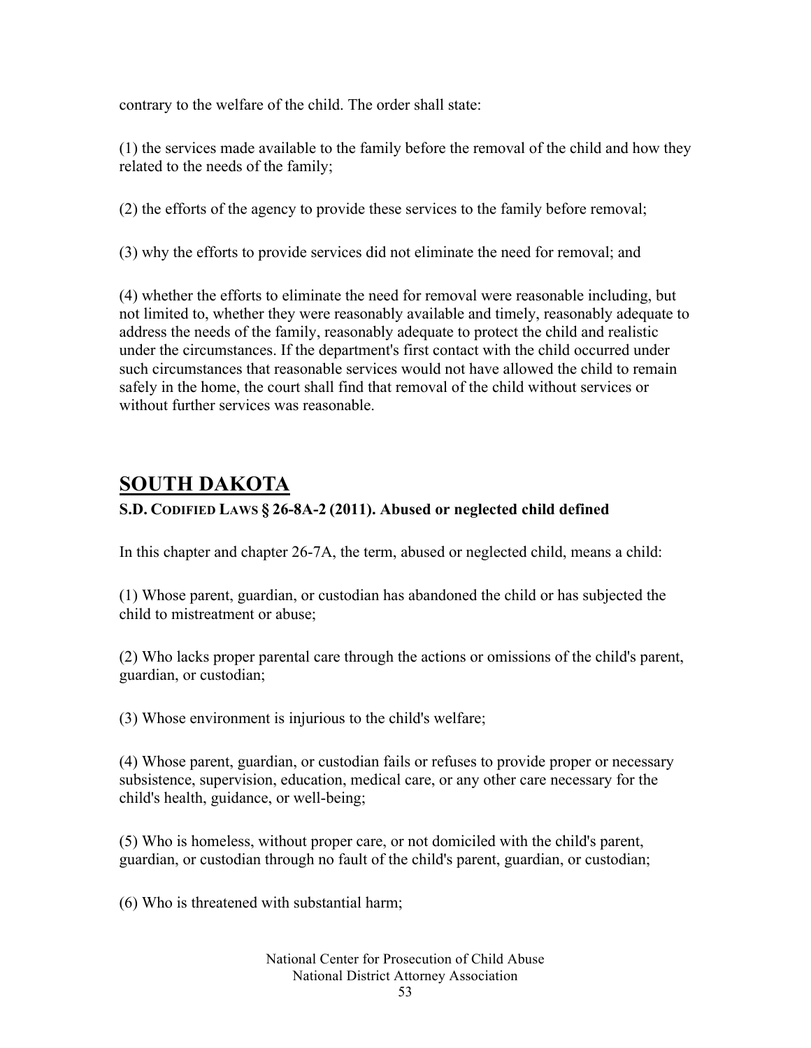contrary to the welfare of the child. The order shall state:

(1) the services made available to the family before the removal of the child and how they related to the needs of the family;

(2) the efforts of the agency to provide these services to the family before removal;

(3) why the efforts to provide services did not eliminate the need for removal; and

(4) whether the efforts to eliminate the need for removal were reasonable including, but not limited to, whether they were reasonably available and timely, reasonably adequate to address the needs of the family, reasonably adequate to protect the child and realistic under the circumstances. If the department's first contact with the child occurred under such circumstances that reasonable services would not have allowed the child to remain safely in the home, the court shall find that removal of the child without services or without further services was reasonable.

### **SOUTH DAKOTA**

### **S.D. CODIFIED LAWS § 26-8A-2 (2011). Abused or neglected child defined**

In this chapter and chapter 26-7A, the term, abused or neglected child, means a child:

(1) Whose parent, guardian, or custodian has abandoned the child or has subjected the child to mistreatment or abuse;

(2) Who lacks proper parental care through the actions or omissions of the child's parent, guardian, or custodian;

(3) Whose environment is injurious to the child's welfare;

(4) Whose parent, guardian, or custodian fails or refuses to provide proper or necessary subsistence, supervision, education, medical care, or any other care necessary for the child's health, guidance, or well-being;

(5) Who is homeless, without proper care, or not domiciled with the child's parent, guardian, or custodian through no fault of the child's parent, guardian, or custodian;

(6) Who is threatened with substantial harm;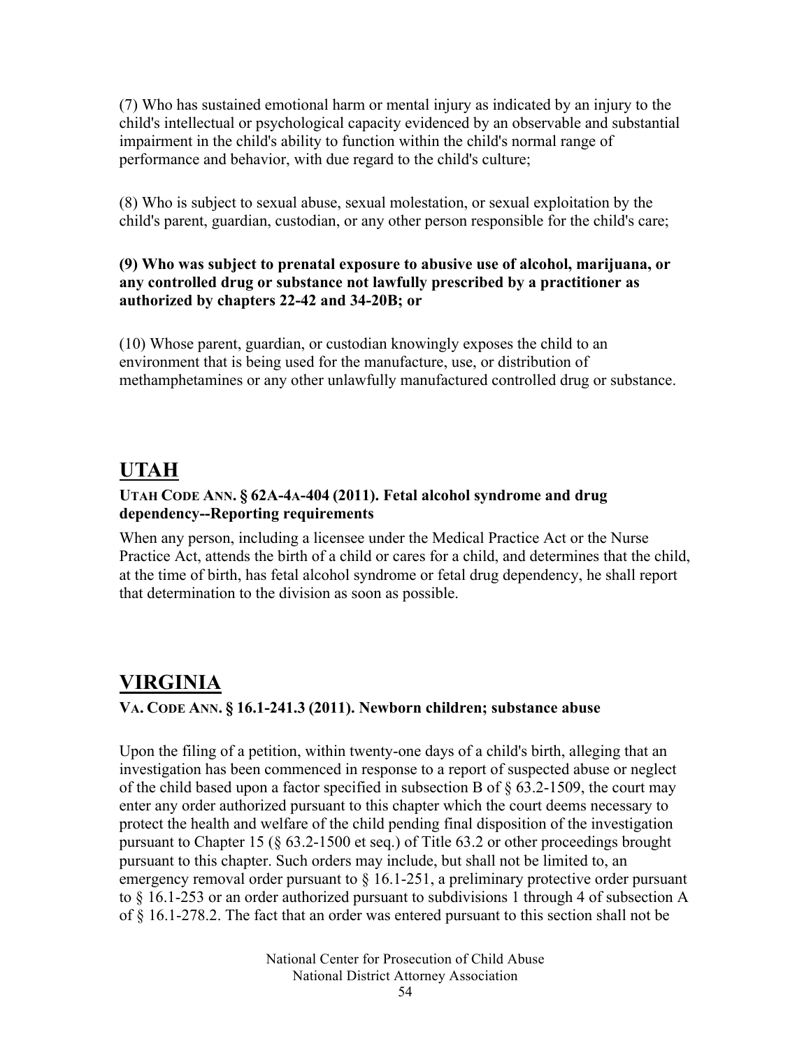(7) Who has sustained emotional harm or mental injury as indicated by an injury to the child's intellectual or psychological capacity evidenced by an observable and substantial impairment in the child's ability to function within the child's normal range of performance and behavior, with due regard to the child's culture;

(8) Who is subject to sexual abuse, sexual molestation, or sexual exploitation by the child's parent, guardian, custodian, or any other person responsible for the child's care;

### **(9) Who was subject to prenatal exposure to abusive use of alcohol, marijuana, or any controlled drug or substance not lawfully prescribed by a practitioner as authorized by chapters 22-42 and 34-20B; or**

(10) Whose parent, guardian, or custodian knowingly exposes the child to an environment that is being used for the manufacture, use, or distribution of methamphetamines or any other unlawfully manufactured controlled drug or substance.

# **UTAH**

### **UTAH CODE ANN. § 62A-4A-404 (2011). Fetal alcohol syndrome and drug dependency--Reporting requirements**

When any person, including a licensee under the Medical Practice Act or the Nurse Practice Act, attends the birth of a child or cares for a child, and determines that the child, at the time of birth, has fetal alcohol syndrome or fetal drug dependency, he shall report that determination to the division as soon as possible.

# **VIRGINIA**

### **VA. CODE ANN. § 16.1-241.3 (2011). Newborn children; substance abuse**

Upon the filing of a petition, within twenty-one days of a child's birth, alleging that an investigation has been commenced in response to a report of suspected abuse or neglect of the child based upon a factor specified in subsection B of § 63.2-1509, the court may enter any order authorized pursuant to this chapter which the court deems necessary to protect the health and welfare of the child pending final disposition of the investigation pursuant to Chapter 15 (§ 63.2-1500 et seq.) of Title 63.2 or other proceedings brought pursuant to this chapter. Such orders may include, but shall not be limited to, an emergency removal order pursuant to § 16.1-251, a preliminary protective order pursuant to § 16.1-253 or an order authorized pursuant to subdivisions 1 through 4 of subsection A of § 16.1-278.2. The fact that an order was entered pursuant to this section shall not be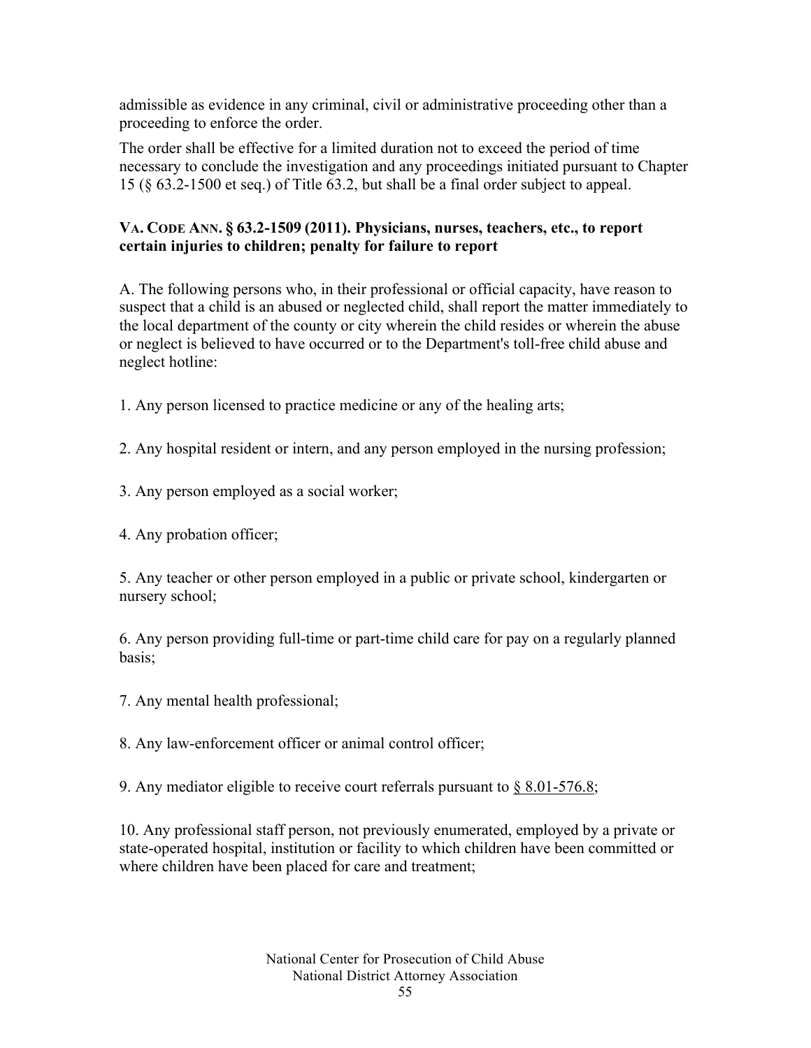admissible as evidence in any criminal, civil or administrative proceeding other than a proceeding to enforce the order.

The order shall be effective for a limited duration not to exceed the period of time necessary to conclude the investigation and any proceedings initiated pursuant to Chapter 15 (§ 63.2-1500 et seq.) of Title 63.2, but shall be a final order subject to appeal.

### **VA. CODE ANN. § 63.2-1509 (2011). Physicians, nurses, teachers, etc., to report certain injuries to children; penalty for failure to report**

A. The following persons who, in their professional or official capacity, have reason to suspect that a child is an abused or neglected child, shall report the matter immediately to the local department of the county or city wherein the child resides or wherein the abuse or neglect is believed to have occurred or to the Department's toll-free child abuse and neglect hotline:

1. Any person licensed to practice medicine or any of the healing arts;

2. Any hospital resident or intern, and any person employed in the nursing profession;

3. Any person employed as a social worker;

4. Any probation officer;

5. Any teacher or other person employed in a public or private school, kindergarten or nursery school;

6. Any person providing full-time or part-time child care for pay on a regularly planned basis;

7. Any mental health professional;

8. Any law-enforcement officer or animal control officer;

9. Any mediator eligible to receive court referrals pursuant to § 8.01-576.8;

10. Any professional staff person, not previously enumerated, employed by a private or state-operated hospital, institution or facility to which children have been committed or where children have been placed for care and treatment;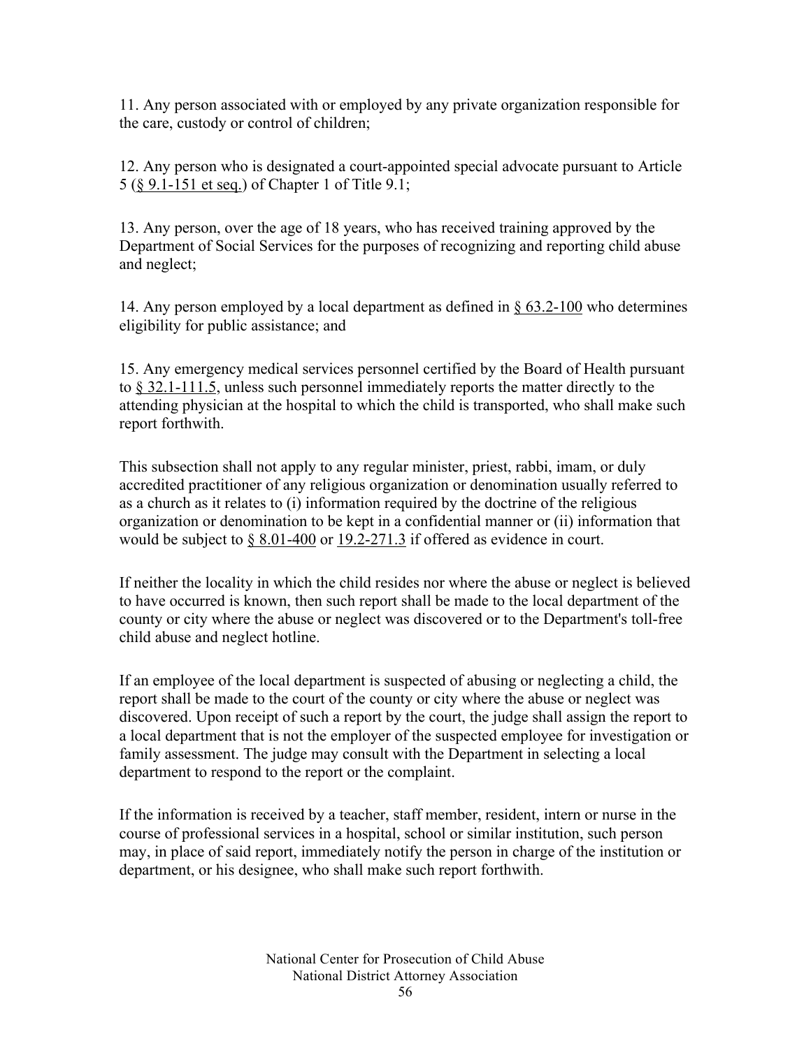11. Any person associated with or employed by any private organization responsible for the care, custody or control of children;

12. Any person who is designated a court-appointed special advocate pursuant to Article 5 (§ 9.1-151 et seq.) of Chapter 1 of Title 9.1;

13. Any person, over the age of 18 years, who has received training approved by the Department of Social Services for the purposes of recognizing and reporting child abuse and neglect;

14. Any person employed by a local department as defined in § 63.2-100 who determines eligibility for public assistance; and

15. Any emergency medical services personnel certified by the Board of Health pursuant to § 32.1-111.5, unless such personnel immediately reports the matter directly to the attending physician at the hospital to which the child is transported, who shall make such report forthwith.

This subsection shall not apply to any regular minister, priest, rabbi, imam, or duly accredited practitioner of any religious organization or denomination usually referred to as a church as it relates to (i) information required by the doctrine of the religious organization or denomination to be kept in a confidential manner or (ii) information that would be subject to § 8.01-400 or 19.2-271.3 if offered as evidence in court.

If neither the locality in which the child resides nor where the abuse or neglect is believed to have occurred is known, then such report shall be made to the local department of the county or city where the abuse or neglect was discovered or to the Department's toll-free child abuse and neglect hotline.

If an employee of the local department is suspected of abusing or neglecting a child, the report shall be made to the court of the county or city where the abuse or neglect was discovered. Upon receipt of such a report by the court, the judge shall assign the report to a local department that is not the employer of the suspected employee for investigation or family assessment. The judge may consult with the Department in selecting a local department to respond to the report or the complaint.

If the information is received by a teacher, staff member, resident, intern or nurse in the course of professional services in a hospital, school or similar institution, such person may, in place of said report, immediately notify the person in charge of the institution or department, or his designee, who shall make such report forthwith.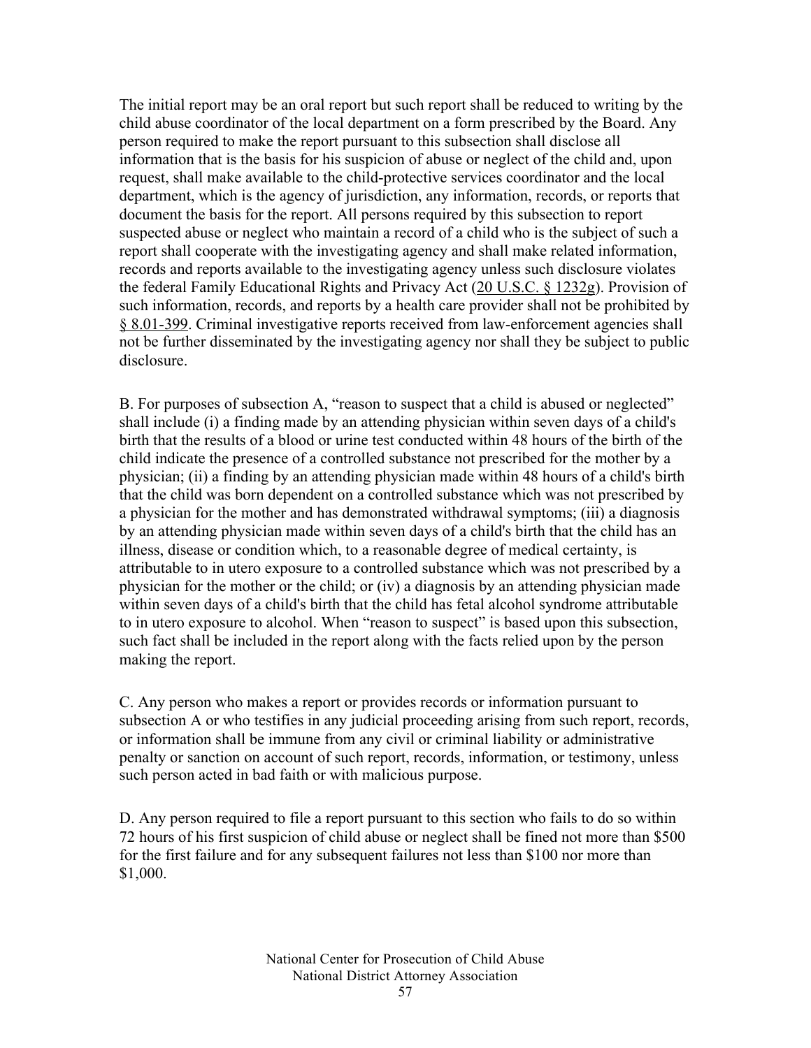The initial report may be an oral report but such report shall be reduced to writing by the child abuse coordinator of the local department on a form prescribed by the Board. Any person required to make the report pursuant to this subsection shall disclose all information that is the basis for his suspicion of abuse or neglect of the child and, upon request, shall make available to the child-protective services coordinator and the local department, which is the agency of jurisdiction, any information, records, or reports that document the basis for the report. All persons required by this subsection to report suspected abuse or neglect who maintain a record of a child who is the subject of such a report shall cooperate with the investigating agency and shall make related information, records and reports available to the investigating agency unless such disclosure violates the federal Family Educational Rights and Privacy Act (20 U.S.C. § 1232g). Provision of such information, records, and reports by a health care provider shall not be prohibited by § 8.01-399. Criminal investigative reports received from law-enforcement agencies shall not be further disseminated by the investigating agency nor shall they be subject to public disclosure.

B. For purposes of subsection A, "reason to suspect that a child is abused or neglected" shall include (i) a finding made by an attending physician within seven days of a child's birth that the results of a blood or urine test conducted within 48 hours of the birth of the child indicate the presence of a controlled substance not prescribed for the mother by a physician; (ii) a finding by an attending physician made within 48 hours of a child's birth that the child was born dependent on a controlled substance which was not prescribed by a physician for the mother and has demonstrated withdrawal symptoms; (iii) a diagnosis by an attending physician made within seven days of a child's birth that the child has an illness, disease or condition which, to a reasonable degree of medical certainty, is attributable to in utero exposure to a controlled substance which was not prescribed by a physician for the mother or the child; or (iv) a diagnosis by an attending physician made within seven days of a child's birth that the child has fetal alcohol syndrome attributable to in utero exposure to alcohol. When "reason to suspect" is based upon this subsection, such fact shall be included in the report along with the facts relied upon by the person making the report.

C. Any person who makes a report or provides records or information pursuant to subsection A or who testifies in any judicial proceeding arising from such report, records, or information shall be immune from any civil or criminal liability or administrative penalty or sanction on account of such report, records, information, or testimony, unless such person acted in bad faith or with malicious purpose.

D. Any person required to file a report pursuant to this section who fails to do so within 72 hours of his first suspicion of child abuse or neglect shall be fined not more than \$500 for the first failure and for any subsequent failures not less than \$100 nor more than \$1,000.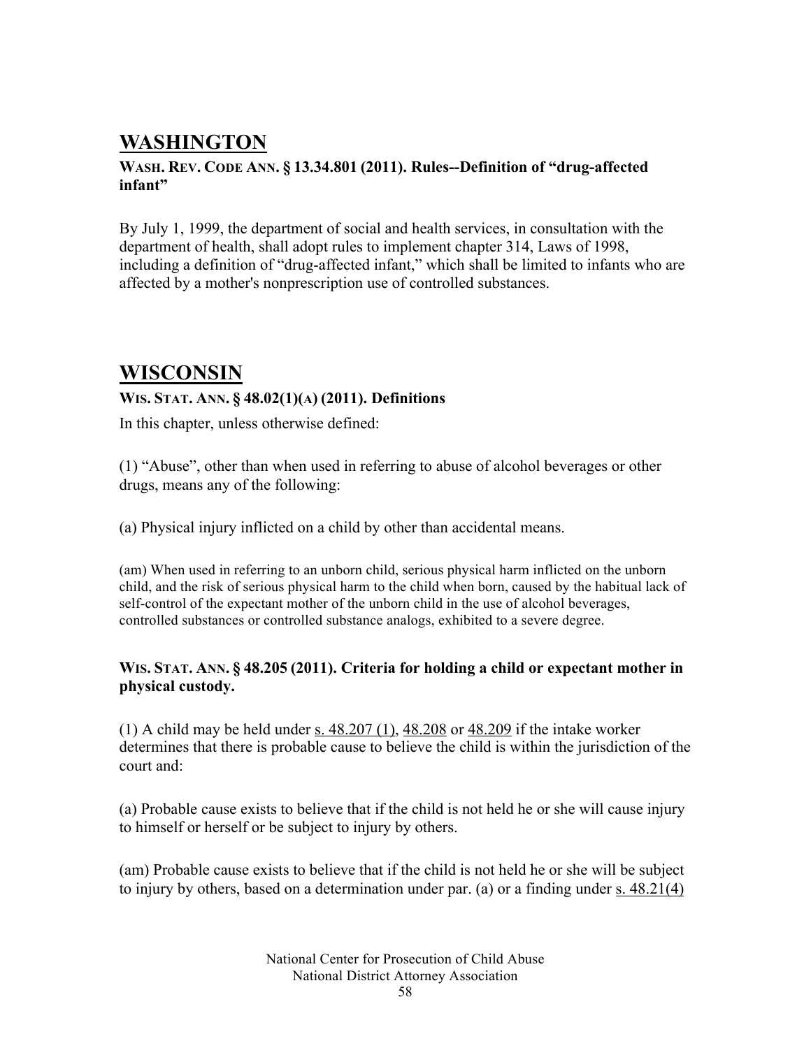# **WASHINGTON**

### **WASH. REV. CODE ANN. § 13.34.801 (2011). Rules--Definition of "drug-affected infant"**

By July 1, 1999, the department of social and health services, in consultation with the department of health, shall adopt rules to implement chapter 314, Laws of 1998, including a definition of "drug-affected infant," which shall be limited to infants who are affected by a mother's nonprescription use of controlled substances.

### **WISCONSIN**

### **WIS. STAT. ANN. § 48.02(1)(A) (2011). Definitions**

In this chapter, unless otherwise defined:

(1) "Abuse", other than when used in referring to abuse of alcohol beverages or other drugs, means any of the following:

(a) Physical injury inflicted on a child by other than accidental means.

(am) When used in referring to an unborn child, serious physical harm inflicted on the unborn child, and the risk of serious physical harm to the child when born, caused by the habitual lack of self-control of the expectant mother of the unborn child in the use of alcohol beverages, controlled substances or controlled substance analogs, exhibited to a severe degree.

### **WIS. STAT. ANN. § 48.205 (2011). Criteria for holding a child or expectant mother in physical custody.**

(1) A child may be held under s. 48.207 (1), 48.208 or 48.209 if the intake worker determines that there is probable cause to believe the child is within the jurisdiction of the court and:

(a) Probable cause exists to believe that if the child is not held he or she will cause injury to himself or herself or be subject to injury by others.

(am) Probable cause exists to believe that if the child is not held he or she will be subject to injury by others, based on a determination under par. (a) or a finding under s. 48.21(4)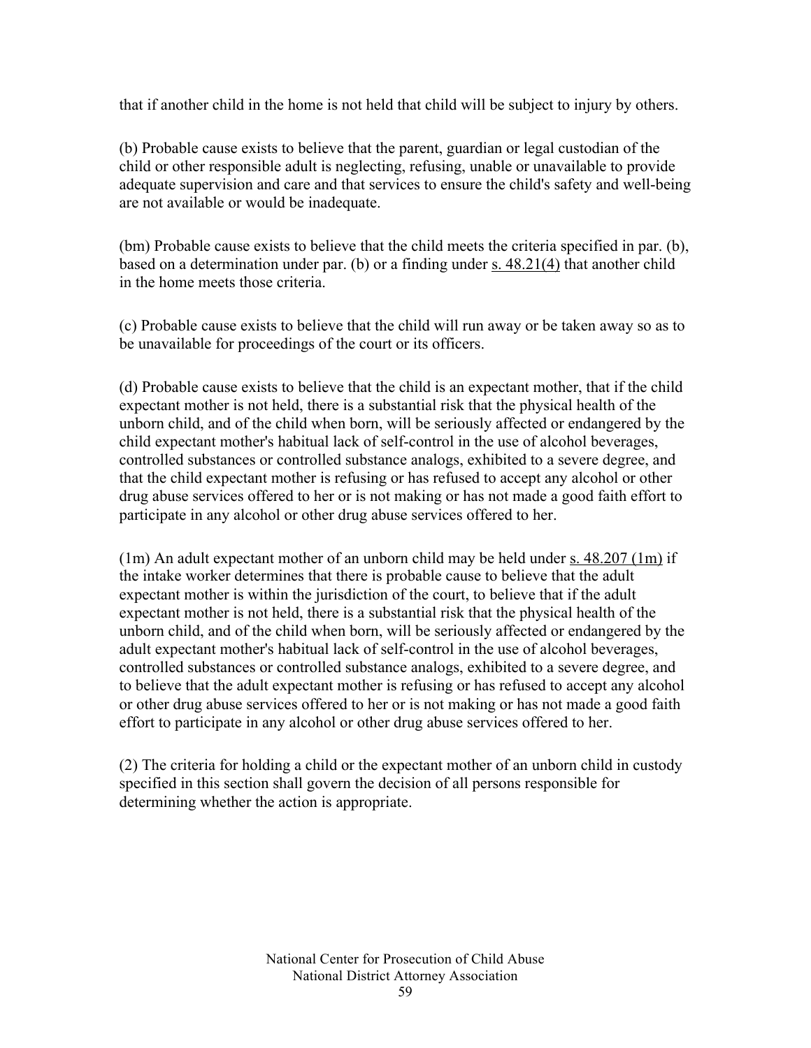that if another child in the home is not held that child will be subject to injury by others.

(b) Probable cause exists to believe that the parent, guardian or legal custodian of the child or other responsible adult is neglecting, refusing, unable or unavailable to provide adequate supervision and care and that services to ensure the child's safety and well-being are not available or would be inadequate.

(bm) Probable cause exists to believe that the child meets the criteria specified in par. (b), based on a determination under par. (b) or a finding under s. 48.21(4) that another child in the home meets those criteria.

(c) Probable cause exists to believe that the child will run away or be taken away so as to be unavailable for proceedings of the court or its officers.

(d) Probable cause exists to believe that the child is an expectant mother, that if the child expectant mother is not held, there is a substantial risk that the physical health of the unborn child, and of the child when born, will be seriously affected or endangered by the child expectant mother's habitual lack of self-control in the use of alcohol beverages, controlled substances or controlled substance analogs, exhibited to a severe degree, and that the child expectant mother is refusing or has refused to accept any alcohol or other drug abuse services offered to her or is not making or has not made a good faith effort to participate in any alcohol or other drug abuse services offered to her.

 $(1m)$  An adult expectant mother of an unborn child may be held under s. 48.207  $(1m)$  if the intake worker determines that there is probable cause to believe that the adult expectant mother is within the jurisdiction of the court, to believe that if the adult expectant mother is not held, there is a substantial risk that the physical health of the unborn child, and of the child when born, will be seriously affected or endangered by the adult expectant mother's habitual lack of self-control in the use of alcohol beverages, controlled substances or controlled substance analogs, exhibited to a severe degree, and to believe that the adult expectant mother is refusing or has refused to accept any alcohol or other drug abuse services offered to her or is not making or has not made a good faith effort to participate in any alcohol or other drug abuse services offered to her.

(2) The criteria for holding a child or the expectant mother of an unborn child in custody specified in this section shall govern the decision of all persons responsible for determining whether the action is appropriate.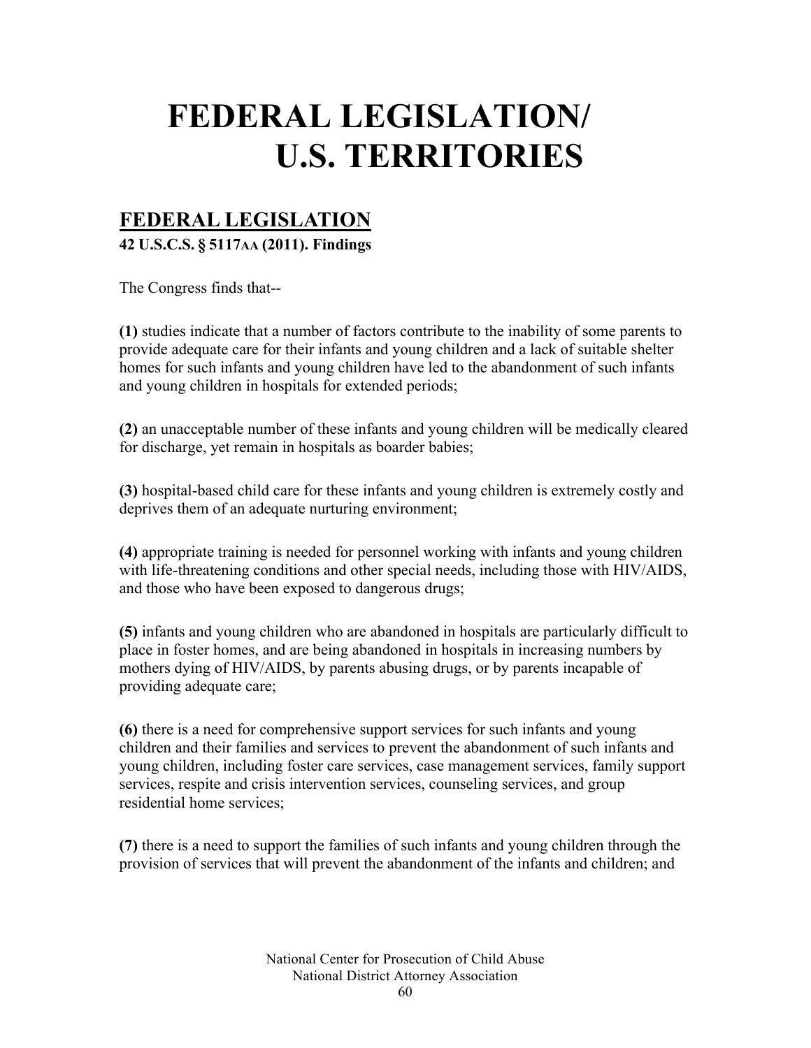# **FEDERAL LEGISLATION/ U.S. TERRITORIES**

## **FEDERAL LEGISLATION**

**42 U.S.C.S. § 5117AA (2011). Findings**

The Congress finds that--

**(1)** studies indicate that a number of factors contribute to the inability of some parents to provide adequate care for their infants and young children and a lack of suitable shelter homes for such infants and young children have led to the abandonment of such infants and young children in hospitals for extended periods;

**(2)** an unacceptable number of these infants and young children will be medically cleared for discharge, yet remain in hospitals as boarder babies;

**(3)** hospital-based child care for these infants and young children is extremely costly and deprives them of an adequate nurturing environment;

**(4)** appropriate training is needed for personnel working with infants and young children with life-threatening conditions and other special needs, including those with HIV/AIDS, and those who have been exposed to dangerous drugs;

**(5)** infants and young children who are abandoned in hospitals are particularly difficult to place in foster homes, and are being abandoned in hospitals in increasing numbers by mothers dying of HIV/AIDS, by parents abusing drugs, or by parents incapable of providing adequate care;

**(6)** there is a need for comprehensive support services for such infants and young children and their families and services to prevent the abandonment of such infants and young children, including foster care services, case management services, family support services, respite and crisis intervention services, counseling services, and group residential home services;

**(7)** there is a need to support the families of such infants and young children through the provision of services that will prevent the abandonment of the infants and children; and